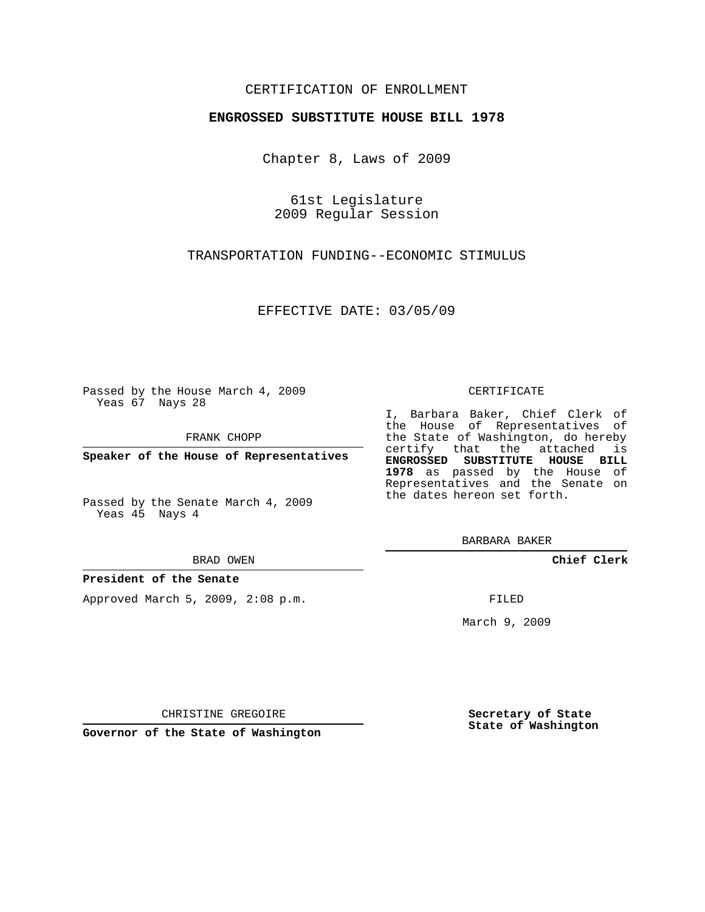#### CERTIFICATION OF ENROLLMENT

#### **ENGROSSED SUBSTITUTE HOUSE BILL 1978**

Chapter 8, Laws of 2009

61st Legislature 2009 Regular Session

TRANSPORTATION FUNDING--ECONOMIC STIMULUS

EFFECTIVE DATE: 03/05/09

Passed by the House March 4, 2009 Yeas 67 Nays 28

FRANK CHOPP

**Speaker of the House of Representatives**

Passed by the Senate March 4, 2009 Yeas 45 Nays 4

BRAD OWEN

#### **President of the Senate**

Approved March 5, 2009, 2:08 p.m.

#### CERTIFICATE

I, Barbara Baker, Chief Clerk of the House of Representatives of the State of Washington, do hereby certify that the attached is **ENGROSSED SUBSTITUTE HOUSE BILL 1978** as passed by the House of Representatives and the Senate on the dates hereon set forth.

BARBARA BAKER

**Chief Clerk**

FILED

March 9, 2009

**Secretary of State State of Washington**

CHRISTINE GREGOIRE

**Governor of the State of Washington**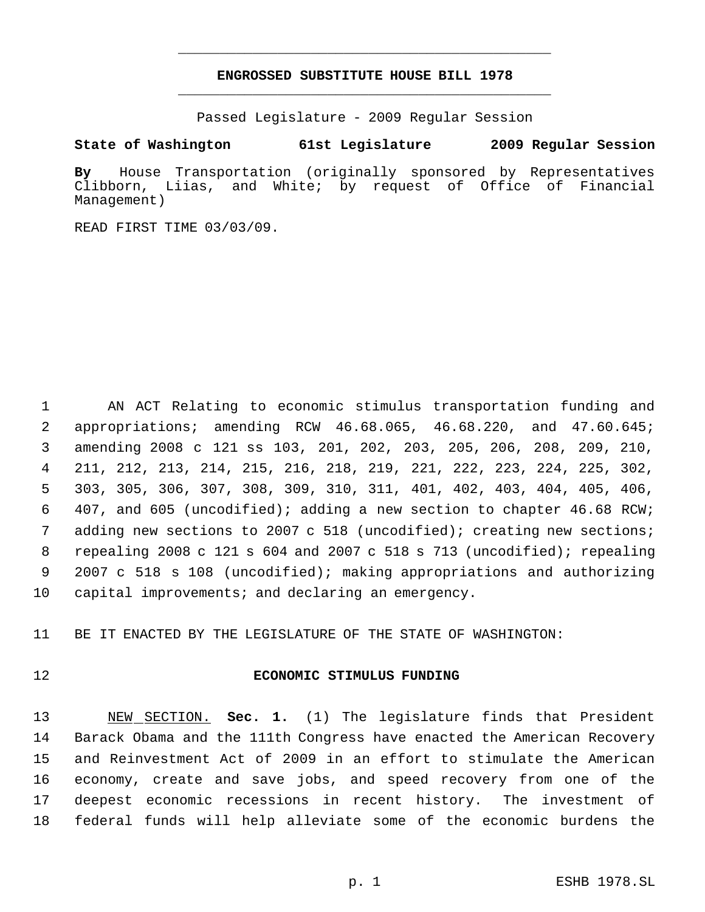## **ENGROSSED SUBSTITUTE HOUSE BILL 1978** \_\_\_\_\_\_\_\_\_\_\_\_\_\_\_\_\_\_\_\_\_\_\_\_\_\_\_\_\_\_\_\_\_\_\_\_\_\_\_\_\_\_\_\_\_

\_\_\_\_\_\_\_\_\_\_\_\_\_\_\_\_\_\_\_\_\_\_\_\_\_\_\_\_\_\_\_\_\_\_\_\_\_\_\_\_\_\_\_\_\_

Passed Legislature - 2009 Regular Session

### **State of Washington 61st Legislature 2009 Regular Session**

**By** House Transportation (originally sponsored by Representatives Clibborn, Liias, and White; by request of Office of Financial Management)

READ FIRST TIME 03/03/09.

 AN ACT Relating to economic stimulus transportation funding and appropriations; amending RCW 46.68.065, 46.68.220, and 47.60.645; amending 2008 c 121 ss 103, 201, 202, 203, 205, 206, 208, 209, 210, 211, 212, 213, 214, 215, 216, 218, 219, 221, 222, 223, 224, 225, 302, 303, 305, 306, 307, 308, 309, 310, 311, 401, 402, 403, 404, 405, 406, 407, and 605 (uncodified); adding a new section to chapter 46.68 RCW; adding new sections to 2007 c 518 (uncodified); creating new sections; repealing 2008 c 121 s 604 and 2007 c 518 s 713 (uncodified); repealing 2007 c 518 s 108 (uncodified); making appropriations and authorizing capital improvements; and declaring an emergency.

BE IT ENACTED BY THE LEGISLATURE OF THE STATE OF WASHINGTON:

#### **ECONOMIC STIMULUS FUNDING**

 NEW SECTION. **Sec. 1.** (1) The legislature finds that President Barack Obama and the 111th Congress have enacted the American Recovery and Reinvestment Act of 2009 in an effort to stimulate the American economy, create and save jobs, and speed recovery from one of the deepest economic recessions in recent history. The investment of federal funds will help alleviate some of the economic burdens the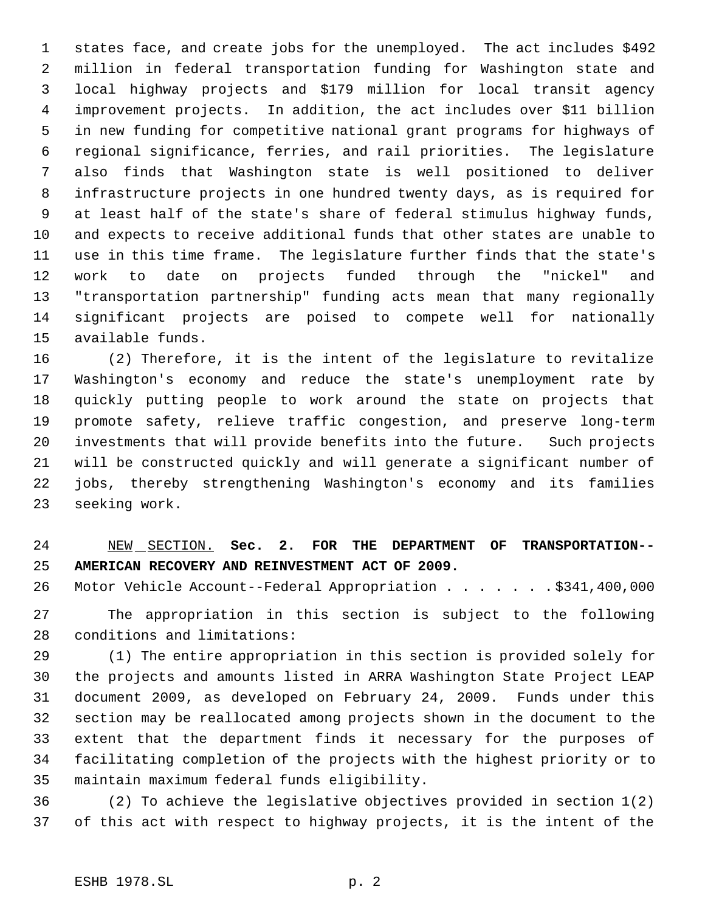states face, and create jobs for the unemployed. The act includes \$492 million in federal transportation funding for Washington state and local highway projects and \$179 million for local transit agency improvement projects. In addition, the act includes over \$11 billion in new funding for competitive national grant programs for highways of regional significance, ferries, and rail priorities. The legislature also finds that Washington state is well positioned to deliver infrastructure projects in one hundred twenty days, as is required for at least half of the state's share of federal stimulus highway funds, and expects to receive additional funds that other states are unable to use in this time frame. The legislature further finds that the state's work to date on projects funded through the "nickel" and "transportation partnership" funding acts mean that many regionally significant projects are poised to compete well for nationally available funds.

 (2) Therefore, it is the intent of the legislature to revitalize Washington's economy and reduce the state's unemployment rate by quickly putting people to work around the state on projects that promote safety, relieve traffic congestion, and preserve long-term investments that will provide benefits into the future. Such projects will be constructed quickly and will generate a significant number of jobs, thereby strengthening Washington's economy and its families seeking work.

# NEW SECTION. **Sec. 2. FOR THE DEPARTMENT OF TRANSPORTATION-- AMERICAN RECOVERY AND REINVESTMENT ACT OF 2009.**

26 Motor Vehicle Account--Federal Appropriation . . . . . . \$341,400,000

 The appropriation in this section is subject to the following conditions and limitations:

 (1) The entire appropriation in this section is provided solely for the projects and amounts listed in ARRA Washington State Project LEAP document 2009, as developed on February 24, 2009. Funds under this section may be reallocated among projects shown in the document to the extent that the department finds it necessary for the purposes of facilitating completion of the projects with the highest priority or to maintain maximum federal funds eligibility.

 (2) To achieve the legislative objectives provided in section 1(2) of this act with respect to highway projects, it is the intent of the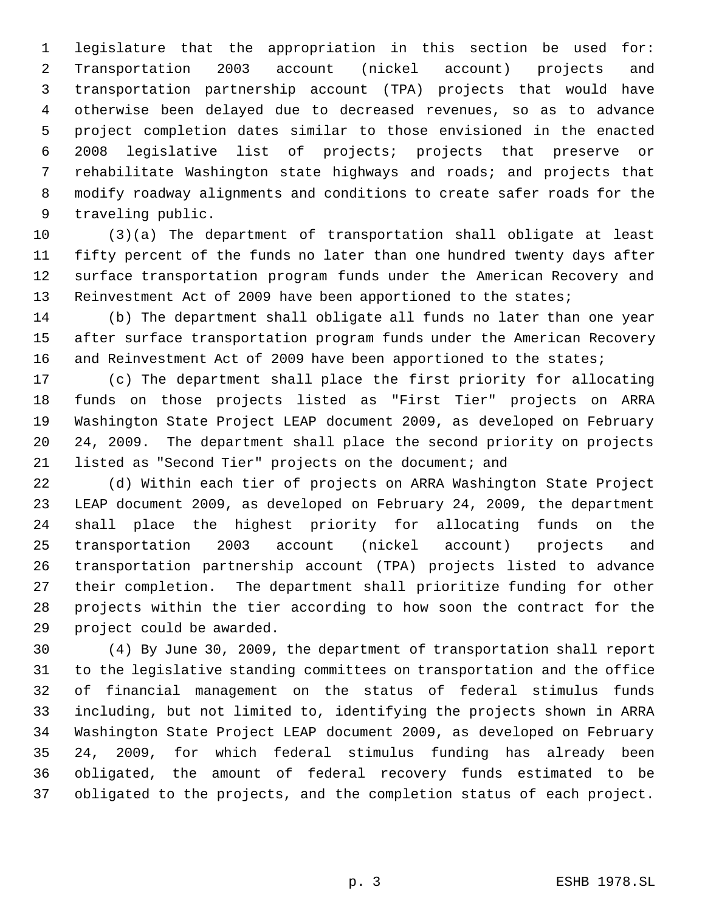legislature that the appropriation in this section be used for: Transportation 2003 account (nickel account) projects and transportation partnership account (TPA) projects that would have otherwise been delayed due to decreased revenues, so as to advance project completion dates similar to those envisioned in the enacted 2008 legislative list of projects; projects that preserve or rehabilitate Washington state highways and roads; and projects that modify roadway alignments and conditions to create safer roads for the traveling public.

 (3)(a) The department of transportation shall obligate at least fifty percent of the funds no later than one hundred twenty days after surface transportation program funds under the American Recovery and Reinvestment Act of 2009 have been apportioned to the states;

 (b) The department shall obligate all funds no later than one year after surface transportation program funds under the American Recovery 16 and Reinvestment Act of 2009 have been apportioned to the states;

 (c) The department shall place the first priority for allocating funds on those projects listed as "First Tier" projects on ARRA Washington State Project LEAP document 2009, as developed on February 24, 2009. The department shall place the second priority on projects listed as "Second Tier" projects on the document; and

 (d) Within each tier of projects on ARRA Washington State Project LEAP document 2009, as developed on February 24, 2009, the department shall place the highest priority for allocating funds on the transportation 2003 account (nickel account) projects and transportation partnership account (TPA) projects listed to advance their completion. The department shall prioritize funding for other projects within the tier according to how soon the contract for the project could be awarded.

 (4) By June 30, 2009, the department of transportation shall report to the legislative standing committees on transportation and the office of financial management on the status of federal stimulus funds including, but not limited to, identifying the projects shown in ARRA Washington State Project LEAP document 2009, as developed on February 24, 2009, for which federal stimulus funding has already been obligated, the amount of federal recovery funds estimated to be obligated to the projects, and the completion status of each project.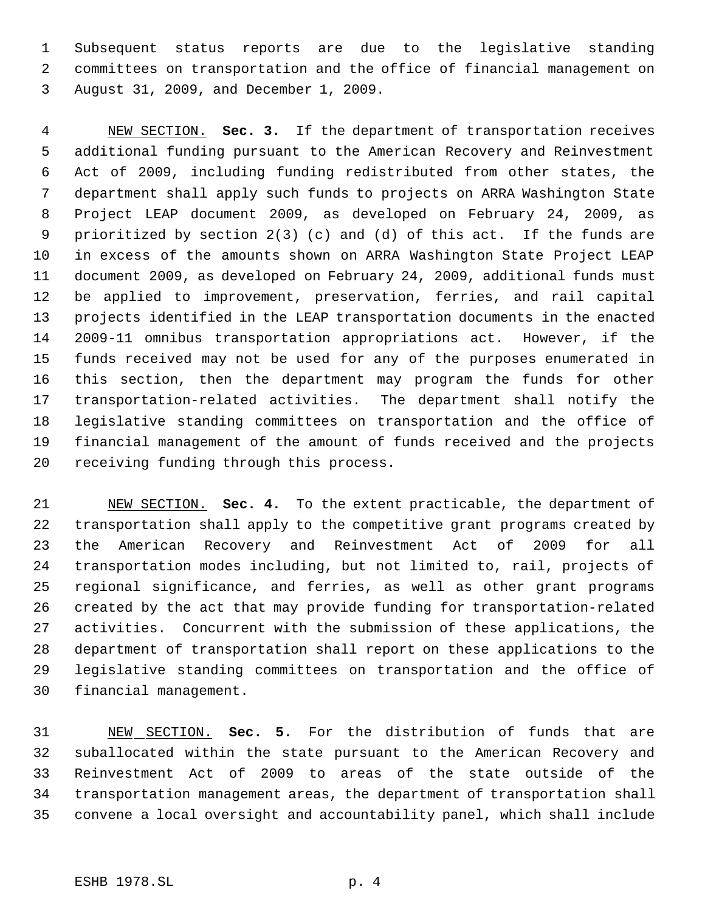Subsequent status reports are due to the legislative standing committees on transportation and the office of financial management on August 31, 2009, and December 1, 2009.

 NEW SECTION. **Sec. 3.** If the department of transportation receives additional funding pursuant to the American Recovery and Reinvestment Act of 2009, including funding redistributed from other states, the department shall apply such funds to projects on ARRA Washington State Project LEAP document 2009, as developed on February 24, 2009, as prioritized by section 2(3) (c) and (d) of this act. If the funds are in excess of the amounts shown on ARRA Washington State Project LEAP document 2009, as developed on February 24, 2009, additional funds must be applied to improvement, preservation, ferries, and rail capital projects identified in the LEAP transportation documents in the enacted 2009-11 omnibus transportation appropriations act. However, if the funds received may not be used for any of the purposes enumerated in this section, then the department may program the funds for other transportation-related activities. The department shall notify the legislative standing committees on transportation and the office of financial management of the amount of funds received and the projects receiving funding through this process.

 NEW SECTION. **Sec. 4.** To the extent practicable, the department of transportation shall apply to the competitive grant programs created by the American Recovery and Reinvestment Act of 2009 for all transportation modes including, but not limited to, rail, projects of regional significance, and ferries, as well as other grant programs created by the act that may provide funding for transportation-related activities. Concurrent with the submission of these applications, the department of transportation shall report on these applications to the legislative standing committees on transportation and the office of financial management.

 NEW SECTION. **Sec. 5.** For the distribution of funds that are suballocated within the state pursuant to the American Recovery and Reinvestment Act of 2009 to areas of the state outside of the transportation management areas, the department of transportation shall convene a local oversight and accountability panel, which shall include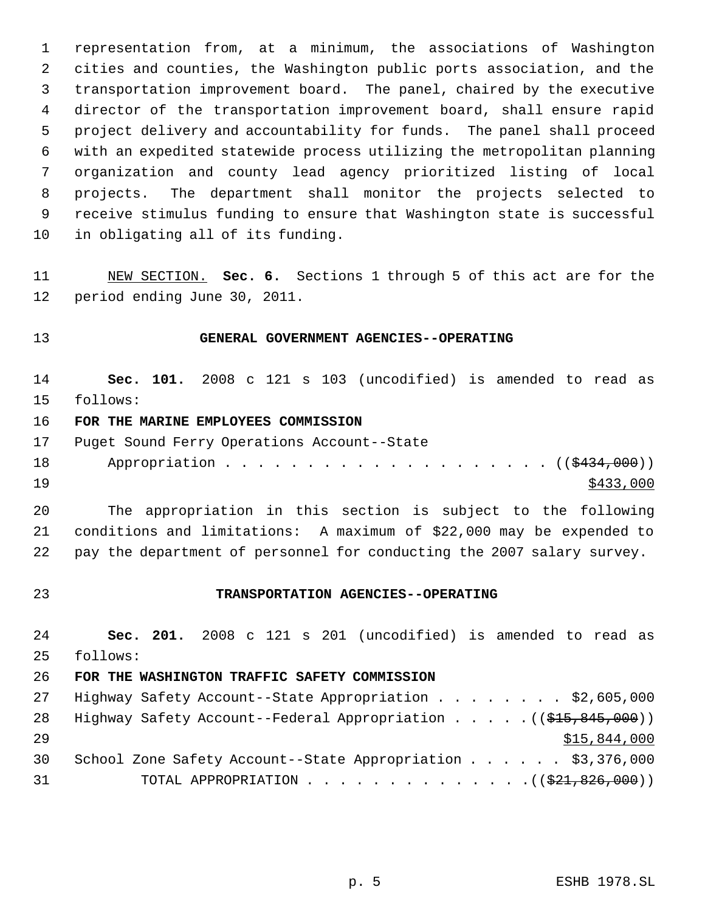representation from, at a minimum, the associations of Washington cities and counties, the Washington public ports association, and the transportation improvement board. The panel, chaired by the executive director of the transportation improvement board, shall ensure rapid project delivery and accountability for funds. The panel shall proceed with an expedited statewide process utilizing the metropolitan planning organization and county lead agency prioritized listing of local projects. The department shall monitor the projects selected to receive stimulus funding to ensure that Washington state is successful in obligating all of its funding.

 NEW SECTION. **Sec. 6.** Sections 1 through 5 of this act are for the period ending June 30, 2011.

## **GENERAL GOVERNMENT AGENCIES--OPERATING**

 **Sec. 101.** 2008 c 121 s 103 (uncodified) is amended to read as follows:

### **FOR THE MARINE EMPLOYEES COMMISSION**

- Puget Sound Ferry Operations Account--State
- 18 Appropriation . . . . . . . . . . . . . . . . . ((\$434,000)) \$433,000

 The appropriation in this section is subject to the following conditions and limitations: A maximum of \$22,000 may be expended to pay the department of personnel for conducting the 2007 salary survey.

#### **TRANSPORTATION AGENCIES--OPERATING**

 **Sec. 201.** 2008 c 121 s 201 (uncodified) is amended to read as follows:

#### **FOR THE WASHINGTON TRAFFIC SAFETY COMMISSION**

| 27 | Highway Safety Account--State Appropriation \$2,605,000                                   |
|----|-------------------------------------------------------------------------------------------|
| 28 | Highway Safety Account--Federal Appropriation $($ $($ $\frac{215}{615}, \frac{845}{600})$ |
| 29 | \$15,844,000                                                                              |
| 30 | School Zone Safety Account--State Appropriation \$3,376,000                               |
| 31 | TOTAL APPROPRIATION $($ $(\frac{21}{21}, \frac{826}{100})$                                |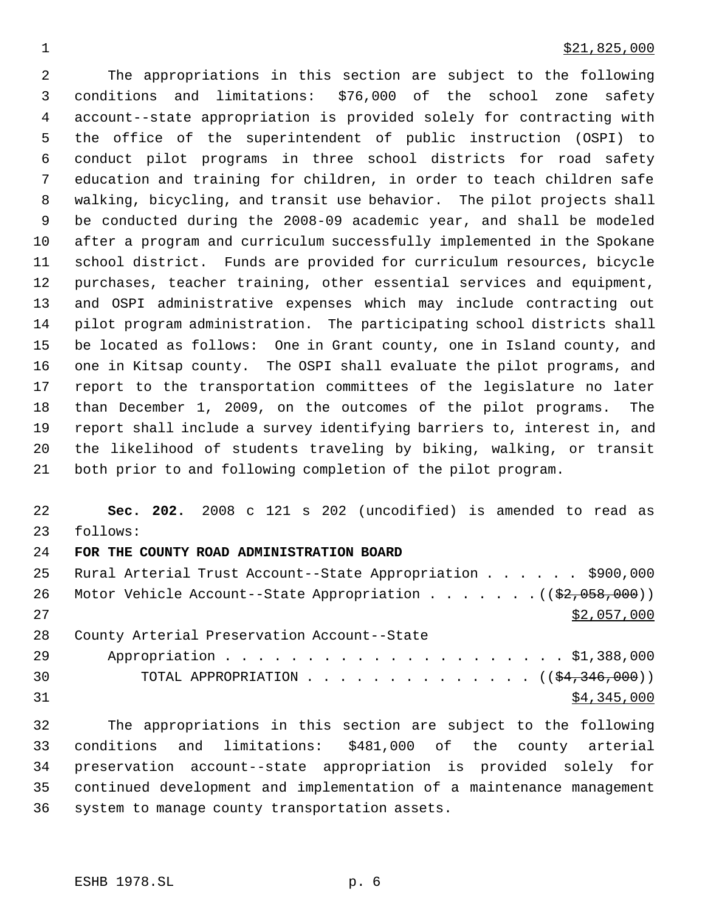#### $\frac{$21,825,000}{2}$

 The appropriations in this section are subject to the following conditions and limitations: \$76,000 of the school zone safety account--state appropriation is provided solely for contracting with the office of the superintendent of public instruction (OSPI) to conduct pilot programs in three school districts for road safety education and training for children, in order to teach children safe walking, bicycling, and transit use behavior. The pilot projects shall be conducted during the 2008-09 academic year, and shall be modeled after a program and curriculum successfully implemented in the Spokane school district. Funds are provided for curriculum resources, bicycle purchases, teacher training, other essential services and equipment, and OSPI administrative expenses which may include contracting out pilot program administration. The participating school districts shall be located as follows: One in Grant county, one in Island county, and one in Kitsap county. The OSPI shall evaluate the pilot programs, and report to the transportation committees of the legislature no later than December 1, 2009, on the outcomes of the pilot programs. The report shall include a survey identifying barriers to, interest in, and the likelihood of students traveling by biking, walking, or transit both prior to and following completion of the pilot program.

 **Sec. 202.** 2008 c 121 s 202 (uncodified) is amended to read as follows:

## **FOR THE COUNTY ROAD ADMINISTRATION BOARD**

|    | 25 Rural Arterial Trust Account--State Appropriation \$900,000                     |
|----|------------------------------------------------------------------------------------|
| 26 | Motor Vehicle Account--State Appropriation $($ $($ $\frac{2}{2}, 0.058, 0.00)$ $)$ |
| 27 | \$2,057,000                                                                        |
| 28 | County Arterial Preservation Account--State                                        |
| 29 |                                                                                    |
| 30 | TOTAL APPROPRIATION $($ $($ \$4,346,000) $)$                                       |
| 31 | \$4,345,000                                                                        |

 The appropriations in this section are subject to the following conditions and limitations: \$481,000 of the county arterial preservation account--state appropriation is provided solely for continued development and implementation of a maintenance management system to manage county transportation assets.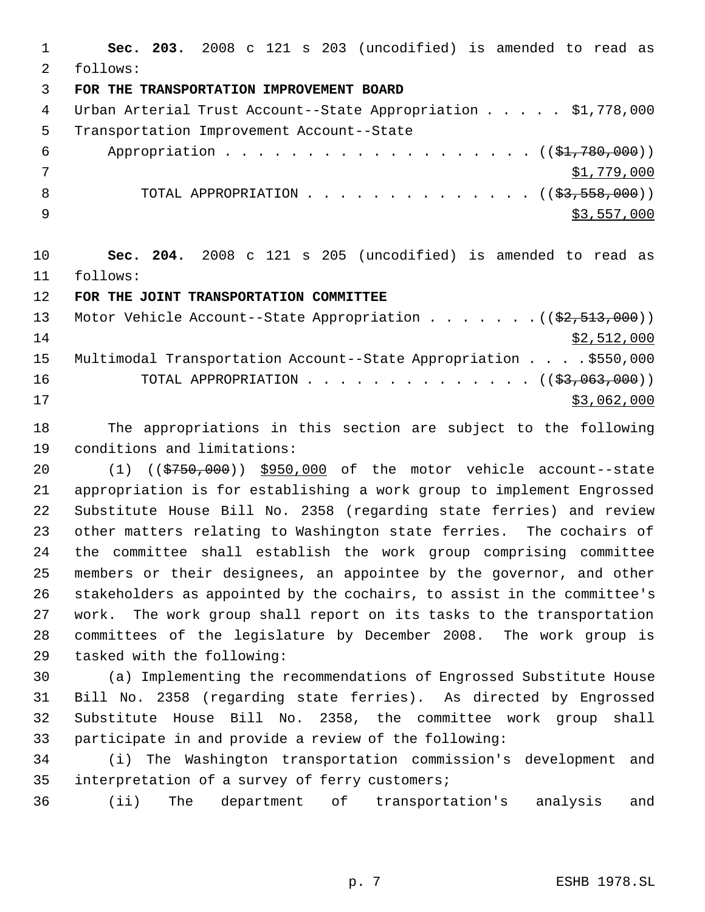**Sec. 203.** 2008 c 121 s 203 (uncodified) is amended to read as follows: **FOR THE TRANSPORTATION IMPROVEMENT BOARD** 4 Urban Arterial Trust Account--State Appropriation . . . . \$1,778,000 Transportation Improvement Account--State 6 Appropriation . . . . . . . . . . . . . . . . . (  $(\frac{1}{2}, 780, 000)$  ) \$1,779,000 8 TOTAL APPROPRIATION . . . . . . . . . . . . . ((<del>\$3,558,000</del>))  $\frac{1}{2}$   $\frac{1}{2}$ ,  $\frac{557}{000}$  **Sec. 204.** 2008 c 121 s 205 (uncodified) is amended to read as follows:

**FOR THE JOINT TRANSPORTATION COMMITTEE**

| 13 | Motor Vehicle Account--State Appropriation $($ $($ \$2,513,000)) |
|----|------------------------------------------------------------------|
| 14 | \$2,512,000                                                      |
| 15 | Multimodal Transportation Account--State Appropriation \$550,000 |
| 16 | TOTAL APPROPRIATION $($ $(\frac{27}{27},063,000))$               |
| 17 | \$3,062,000                                                      |

 The appropriations in this section are subject to the following conditions and limitations:

 (1) ((\$750,000)) \$950,000 of the motor vehicle account--state appropriation is for establishing a work group to implement Engrossed Substitute House Bill No. 2358 (regarding state ferries) and review other matters relating to Washington state ferries. The cochairs of the committee shall establish the work group comprising committee members or their designees, an appointee by the governor, and other stakeholders as appointed by the cochairs, to assist in the committee's work. The work group shall report on its tasks to the transportation committees of the legislature by December 2008. The work group is tasked with the following:

 (a) Implementing the recommendations of Engrossed Substitute House Bill No. 2358 (regarding state ferries). As directed by Engrossed Substitute House Bill No. 2358, the committee work group shall participate in and provide a review of the following:

 (i) The Washington transportation commission's development and interpretation of a survey of ferry customers;

(ii) The department of transportation's analysis and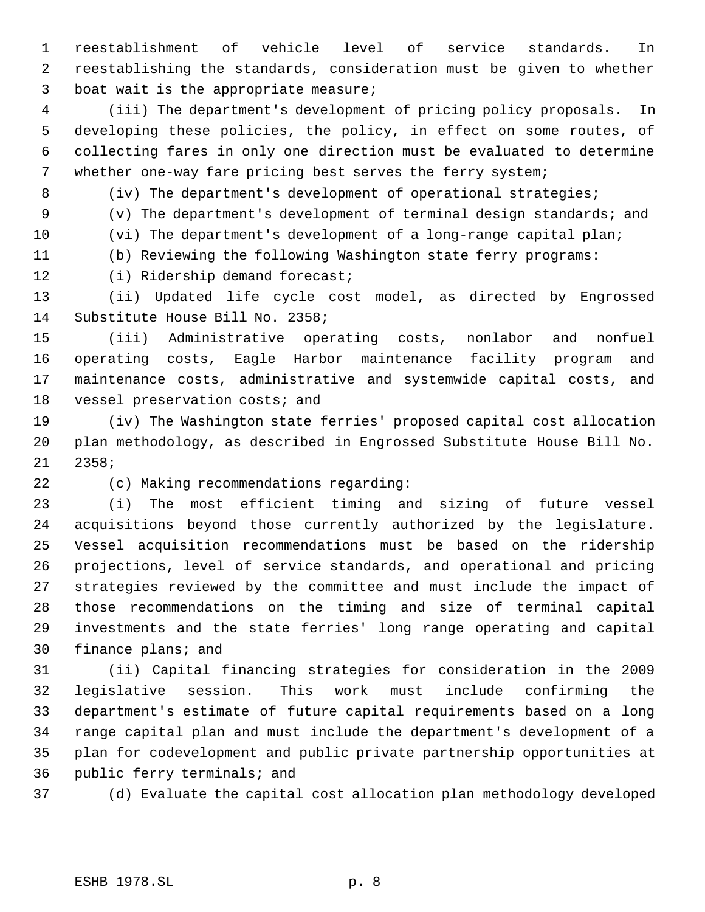reestablishment of vehicle level of service standards. In reestablishing the standards, consideration must be given to whether boat wait is the appropriate measure;

 (iii) The department's development of pricing policy proposals. In developing these policies, the policy, in effect on some routes, of collecting fares in only one direction must be evaluated to determine whether one-way fare pricing best serves the ferry system;

(iv) The department's development of operational strategies;

(v) The department's development of terminal design standards; and

(vi) The department's development of a long-range capital plan;

(b) Reviewing the following Washington state ferry programs:

(i) Ridership demand forecast;

 (ii) Updated life cycle cost model, as directed by Engrossed Substitute House Bill No. 2358;

 (iii) Administrative operating costs, nonlabor and nonfuel operating costs, Eagle Harbor maintenance facility program and maintenance costs, administrative and systemwide capital costs, and 18 vessel preservation costs; and

 (iv) The Washington state ferries' proposed capital cost allocation plan methodology, as described in Engrossed Substitute House Bill No. 2358;

(c) Making recommendations regarding:

 (i) The most efficient timing and sizing of future vessel acquisitions beyond those currently authorized by the legislature. Vessel acquisition recommendations must be based on the ridership projections, level of service standards, and operational and pricing strategies reviewed by the committee and must include the impact of those recommendations on the timing and size of terminal capital investments and the state ferries' long range operating and capital finance plans; and

 (ii) Capital financing strategies for consideration in the 2009 legislative session. This work must include confirming the department's estimate of future capital requirements based on a long range capital plan and must include the department's development of a plan for codevelopment and public private partnership opportunities at public ferry terminals; and

(d) Evaluate the capital cost allocation plan methodology developed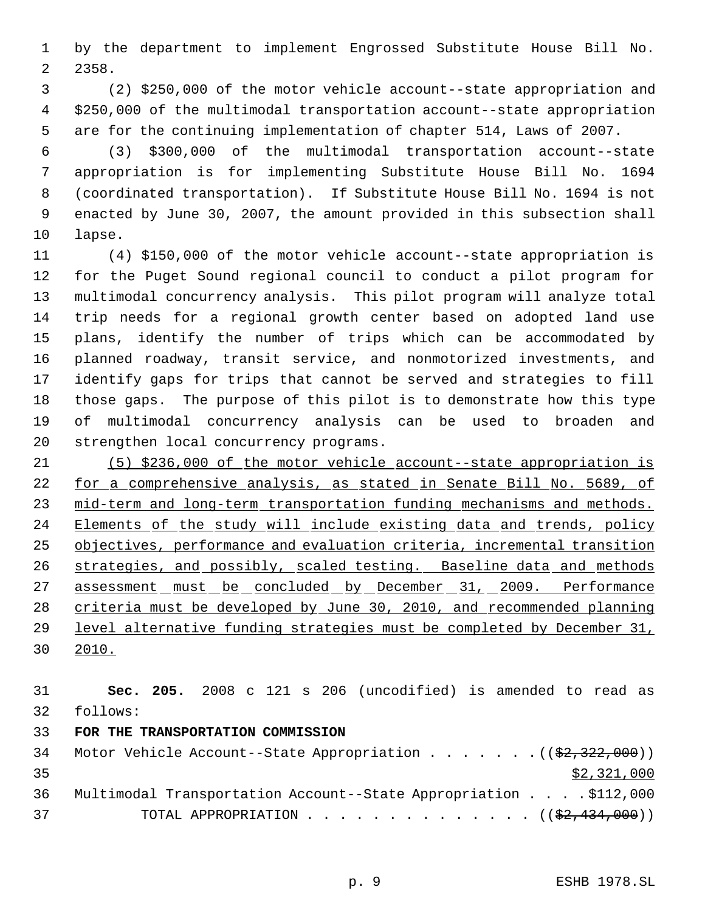by the department to implement Engrossed Substitute House Bill No. 2358.

 (2) \$250,000 of the motor vehicle account--state appropriation and \$250,000 of the multimodal transportation account--state appropriation are for the continuing implementation of chapter 514, Laws of 2007.

 (3) \$300,000 of the multimodal transportation account--state appropriation is for implementing Substitute House Bill No. 1694 (coordinated transportation). If Substitute House Bill No. 1694 is not enacted by June 30, 2007, the amount provided in this subsection shall lapse.

 (4) \$150,000 of the motor vehicle account--state appropriation is for the Puget Sound regional council to conduct a pilot program for multimodal concurrency analysis. This pilot program will analyze total trip needs for a regional growth center based on adopted land use plans, identify the number of trips which can be accommodated by planned roadway, transit service, and nonmotorized investments, and identify gaps for trips that cannot be served and strategies to fill those gaps. The purpose of this pilot is to demonstrate how this type of multimodal concurrency analysis can be used to broaden and strengthen local concurrency programs.

 (5) \$236,000 of the motor vehicle account--state appropriation is for a comprehensive analysis, as stated in Senate Bill No. 5689, of mid-term and long-term transportation funding mechanisms and methods. 24 Elements of the study will include existing data and trends, policy objectives, performance and evaluation criteria, incremental transition strategies, and possibly, scaled testing. Baseline data and methods 27 assessment must be concluded by December 31, 2009. Performance criteria must be developed by June 30, 2010, and recommended planning level alternative funding strategies must be completed by December 31, 2010.

 **Sec. 205.** 2008 c 121 s 206 (uncodified) is amended to read as follows: **FOR THE TRANSPORTATION COMMISSION** 34 Motor Vehicle Account--State Appropriation . . . . . . . ((\$2,322,000))  $\frac{$2,321,000}{ }$  Multimodal Transportation Account--State Appropriation . . . . \$112,000 37 TOTAL APPROPRIATION . . . . . . . . . . . . . . ((\$2,434,000))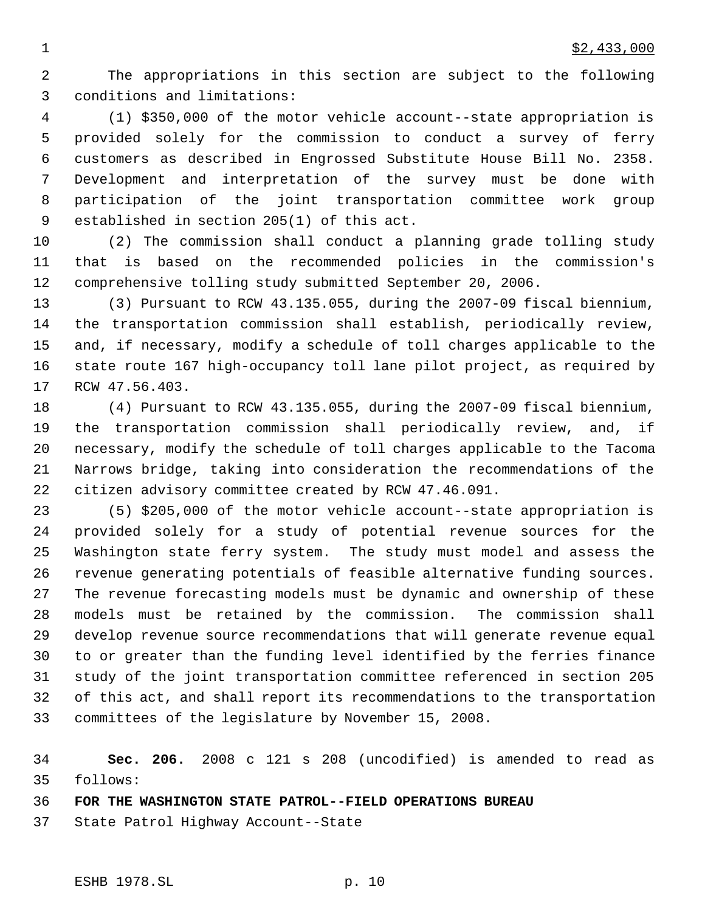The appropriations in this section are subject to the following conditions and limitations:

 (1) \$350,000 of the motor vehicle account--state appropriation is provided solely for the commission to conduct a survey of ferry customers as described in Engrossed Substitute House Bill No. 2358. Development and interpretation of the survey must be done with participation of the joint transportation committee work group established in section 205(1) of this act.

 (2) The commission shall conduct a planning grade tolling study that is based on the recommended policies in the commission's comprehensive tolling study submitted September 20, 2006.

 (3) Pursuant to RCW 43.135.055, during the 2007-09 fiscal biennium, the transportation commission shall establish, periodically review, and, if necessary, modify a schedule of toll charges applicable to the state route 167 high-occupancy toll lane pilot project, as required by RCW 47.56.403.

 (4) Pursuant to RCW 43.135.055, during the 2007-09 fiscal biennium, the transportation commission shall periodically review, and, if necessary, modify the schedule of toll charges applicable to the Tacoma Narrows bridge, taking into consideration the recommendations of the citizen advisory committee created by RCW 47.46.091.

 (5) \$205,000 of the motor vehicle account--state appropriation is provided solely for a study of potential revenue sources for the Washington state ferry system. The study must model and assess the revenue generating potentials of feasible alternative funding sources. The revenue forecasting models must be dynamic and ownership of these models must be retained by the commission. The commission shall develop revenue source recommendations that will generate revenue equal to or greater than the funding level identified by the ferries finance study of the joint transportation committee referenced in section 205 of this act, and shall report its recommendations to the transportation committees of the legislature by November 15, 2008.

 **Sec. 206.** 2008 c 121 s 208 (uncodified) is amended to read as follows:

**FOR THE WASHINGTON STATE PATROL--FIELD OPERATIONS BUREAU**

State Patrol Highway Account--State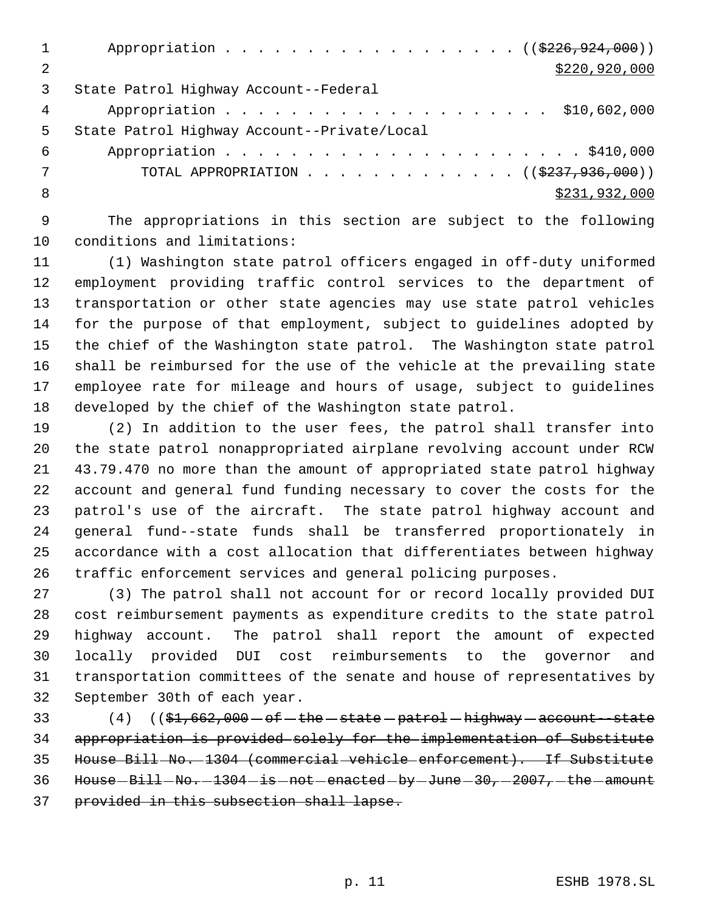1 Appropriation . . . . . . . . . . . . . . . . (  $(\frac{2226,924,000}{2})$  \$220,920,000 State Patrol Highway Account--Federal Appropriation . . . . . . . . . . . . . . . . . . . . \$10,602,000 State Patrol Highway Account--Private/Local Appropriation . . . . . . . . . . . . . . . . . . . . . . \$410,000 7 TOTAL APPROPRIATION . . . . . . . . . . . . ((\$237,936,000)) 8 \$231,932,000

 The appropriations in this section are subject to the following conditions and limitations:

 (1) Washington state patrol officers engaged in off-duty uniformed employment providing traffic control services to the department of transportation or other state agencies may use state patrol vehicles for the purpose of that employment, subject to guidelines adopted by the chief of the Washington state patrol. The Washington state patrol shall be reimbursed for the use of the vehicle at the prevailing state employee rate for mileage and hours of usage, subject to guidelines developed by the chief of the Washington state patrol.

 (2) In addition to the user fees, the patrol shall transfer into the state patrol nonappropriated airplane revolving account under RCW 43.79.470 no more than the amount of appropriated state patrol highway account and general fund funding necessary to cover the costs for the patrol's use of the aircraft. The state patrol highway account and general fund--state funds shall be transferred proportionately in accordance with a cost allocation that differentiates between highway traffic enforcement services and general policing purposes.

 (3) The patrol shall not account for or record locally provided DUI cost reimbursement payments as expenditure credits to the state patrol highway account. The patrol shall report the amount of expected locally provided DUI cost reimbursements to the governor and transportation committees of the senate and house of representatives by September 30th of each year.

 $(4)$   $((\frac{51}{662},000 - \text{of}-\text{the}-\text{state}-\text{pattern}-\text{higher}+\text{accel}-\text{accel}+\text{state})$  appropriation is provided solely for the implementation of Substitute House Bill No. 1304 (commercial vehicle enforcement). If Substitute House  $-Bi11 - No. -1304 - is - not -enacted - by - June -30, -2007, -the - amount$ provided in this subsection shall lapse.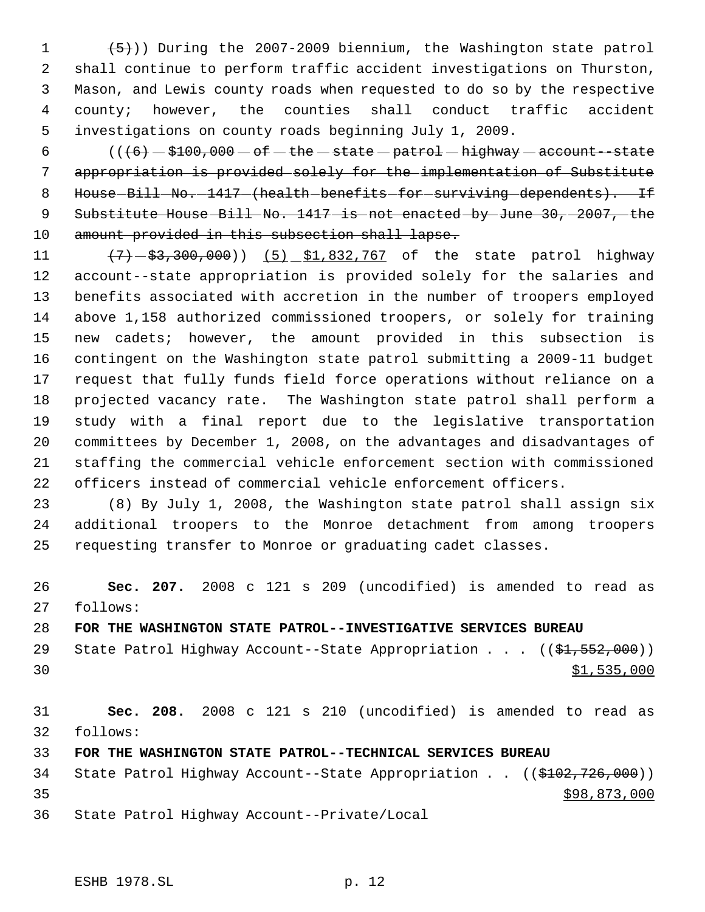$(5)$ )) During the 2007-2009 biennium, the Washington state patrol shall continue to perform traffic accident investigations on Thurston, Mason, and Lewis county roads when requested to do so by the respective county; however, the counties shall conduct traffic accident investigations on county roads beginning July 1, 2009.

 $((+6) - $100,000 - 0f - the - state - pattern) - highway - account-state$  appropriation is provided solely for the implementation of Substitute 8 House-Bill-No.-1417-(health-benefits-for-surviving-dependents). If 9 Substitute House Bill No. 1417 is not enacted by June 30, 2007, the 10 amount provided in this subsection shall lapse.

11 (7)  $(7)$   $(3)$   $(5)$   $(5)$   $(1)$   $(5)$   $(7)$  of the state patrol highway account--state appropriation is provided solely for the salaries and benefits associated with accretion in the number of troopers employed above 1,158 authorized commissioned troopers, or solely for training new cadets; however, the amount provided in this subsection is contingent on the Washington state patrol submitting a 2009-11 budget request that fully funds field force operations without reliance on a projected vacancy rate. The Washington state patrol shall perform a study with a final report due to the legislative transportation committees by December 1, 2008, on the advantages and disadvantages of staffing the commercial vehicle enforcement section with commissioned officers instead of commercial vehicle enforcement officers.

 (8) By July 1, 2008, the Washington state patrol shall assign six additional troopers to the Monroe detachment from among troopers requesting transfer to Monroe or graduating cadet classes.

 **Sec. 207.** 2008 c 121 s 209 (uncodified) is amended to read as follows:

**FOR THE WASHINGTON STATE PATROL--INVESTIGATIVE SERVICES BUREAU**

29 State Patrol Highway Account--State Appropriation . . . ((\$1,552,000)) \$1,535,000

 **Sec. 208.** 2008 c 121 s 210 (uncodified) is amended to read as follows:

**FOR THE WASHINGTON STATE PATROL--TECHNICAL SERVICES BUREAU**

34 State Patrol Highway Account--State Appropriation . . ((\$102,726,000)) \$98,873,000

State Patrol Highway Account--Private/Local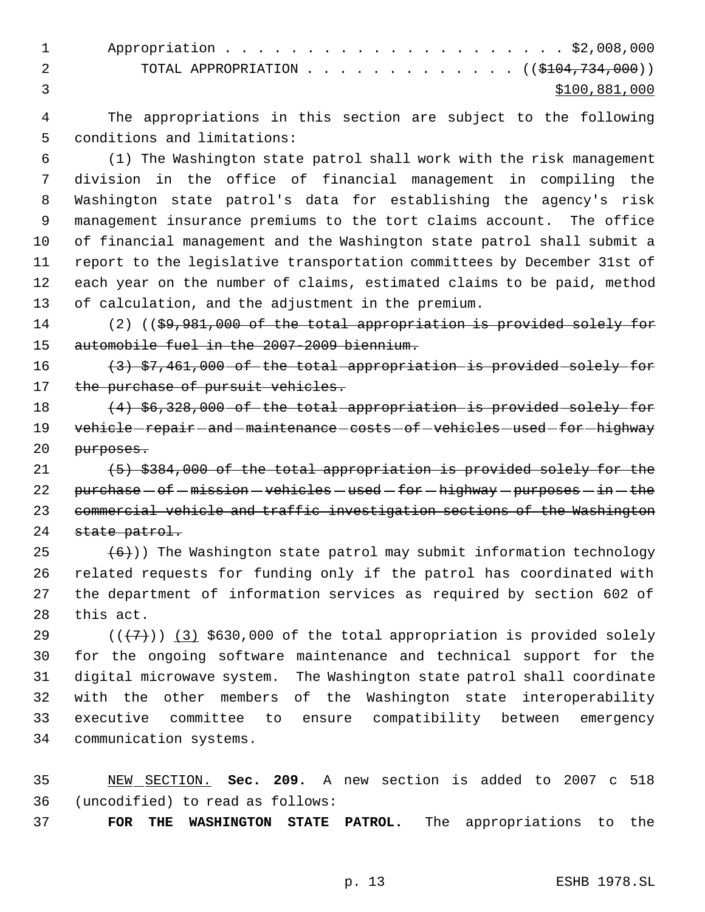|  | 1 Appropriation \$2,008,000                     |  |  |  |  |  |  |               |
|--|-------------------------------------------------|--|--|--|--|--|--|---------------|
|  | TOTAL APPROPRIATION ( $(\frac{1047734}{100})$ ) |  |  |  |  |  |  |               |
|  |                                                 |  |  |  |  |  |  | \$100,881,000 |

 The appropriations in this section are subject to the following conditions and limitations:

 (1) The Washington state patrol shall work with the risk management division in the office of financial management in compiling the Washington state patrol's data for establishing the agency's risk management insurance premiums to the tort claims account. The office of financial management and the Washington state patrol shall submit a report to the legislative transportation committees by December 31st of each year on the number of claims, estimated claims to be paid, method of calculation, and the adjustment in the premium.

14 (2) ((\$9,981,000 of the total appropriation is provided solely for automobile fuel in the 2007-2009 biennium.

 $(3)$  \$7,461,000 of the total appropriation is provided solely for 17 the purchase of pursuit vehicles.

18  $(4)$  \$6,328,000 of the total appropriation is provided solely for 19 vehicle repair and maintenance costs of vehicles used for highway purposes.

 (5) \$384,000 of the total appropriation is provided solely for the 22 purchase  $-$  of  $-$  mission  $-$  vehicles  $-$  used  $-$  for  $-$  highway  $-$  purposes  $-$  in  $-$  the commercial vehicle and traffic investigation sections of the Washington 24 state patrol.

 $(6)$ )) The Washington state patrol may submit information technology related requests for funding only if the patrol has coordinated with the department of information services as required by section 602 of this act.

 $((+7+))$   $(3)$  \$630,000 of the total appropriation is provided solely for the ongoing software maintenance and technical support for the digital microwave system. The Washington state patrol shall coordinate with the other members of the Washington state interoperability executive committee to ensure compatibility between emergency communication systems.

 NEW SECTION. **Sec. 209.** A new section is added to 2007 c 518 (uncodified) to read as follows:

**FOR THE WASHINGTON STATE PATROL.** The appropriations to the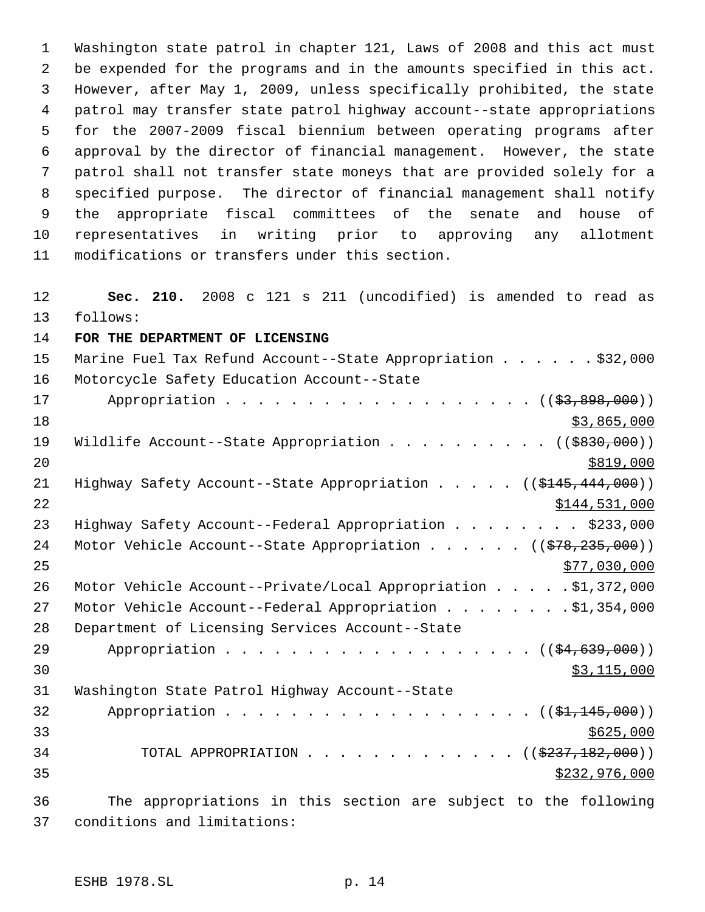Washington state patrol in chapter 121, Laws of 2008 and this act must be expended for the programs and in the amounts specified in this act. However, after May 1, 2009, unless specifically prohibited, the state patrol may transfer state patrol highway account--state appropriations for the 2007-2009 fiscal biennium between operating programs after approval by the director of financial management. However, the state patrol shall not transfer state moneys that are provided solely for a specified purpose. The director of financial management shall notify the appropriate fiscal committees of the senate and house of representatives in writing prior to approving any allotment modifications or transfers under this section.

 **Sec. 210.** 2008 c 121 s 211 (uncodified) is amended to read as follows:

**FOR THE DEPARTMENT OF LICENSING**

| 15 | Marine Fuel Tax Refund Account--State Appropriation \$32,000                        |
|----|-------------------------------------------------------------------------------------|
| 16 | Motorcycle Safety Education Account--State                                          |
| 17 | Appropriation ( (\$3,898,000))                                                      |
| 18 | \$3,865,000                                                                         |
| 19 | Wildlife Account--State Appropriation ( $(\frac{2830}{100})$ )                      |
| 20 | \$819,000                                                                           |
| 21 | Highway Safety Account--State Appropriation $($ $($ \$145,444,000) $)$              |
| 22 | \$144,531,000                                                                       |
| 23 | Highway Safety Account--Federal Appropriation \$233,000                             |
| 24 | Motor Vehicle Account--State Appropriation ( $(\frac{278}{235}, \frac{235}{000})$ ) |
| 25 | \$77,030,000                                                                        |
| 26 | Motor Vehicle Account--Private/Local Appropriation \$1,372,000                      |
| 27 | Motor Vehicle Account--Federal Appropriation \$1,354,000                            |
| 28 | Department of Licensing Services Account--State                                     |
| 29 | Appropriation ( $(\frac{24}{639}, 000)$ )                                           |
| 30 | \$3,115,000                                                                         |
| 31 | Washington State Patrol Highway Account--State                                      |
| 32 | Appropriation $($ $(\frac{1}{21}, \frac{145}{100})$                                 |
| 33 | \$625,000                                                                           |
| 34 | TOTAL APPROPRIATION ( $(\frac{2337,182,000}{s})$ )                                  |
| 35 | \$232,976,000                                                                       |
|    |                                                                                     |

 The appropriations in this section are subject to the following conditions and limitations: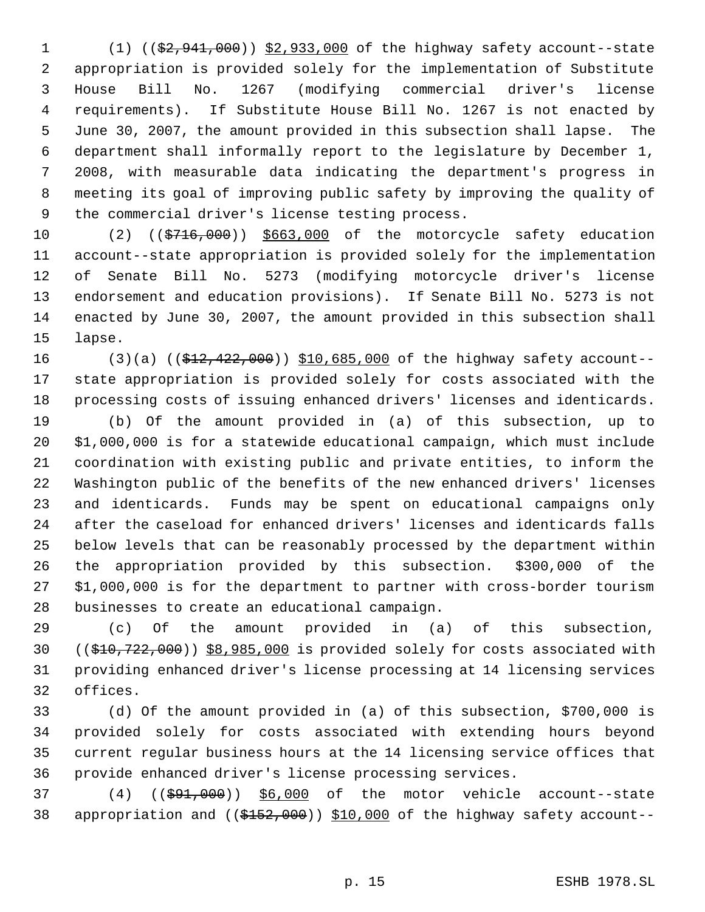1 (1) ((\$2,941,000)) \$2,933,000 of the highway safety account--state appropriation is provided solely for the implementation of Substitute House Bill No. 1267 (modifying commercial driver's license requirements). If Substitute House Bill No. 1267 is not enacted by June 30, 2007, the amount provided in this subsection shall lapse. The department shall informally report to the legislature by December 1, 2008, with measurable data indicating the department's progress in meeting its goal of improving public safety by improving the quality of the commercial driver's license testing process.

10 (2) ((\$716,000)) \$663,000 of the motorcycle safety education account--state appropriation is provided solely for the implementation of Senate Bill No. 5273 (modifying motorcycle driver's license endorsement and education provisions). If Senate Bill No. 5273 is not enacted by June 30, 2007, the amount provided in this subsection shall lapse.

16 (3)(a) ((\$12,422,000)) \$10,685,000 of the highway safety account-- state appropriation is provided solely for costs associated with the processing costs of issuing enhanced drivers' licenses and identicards.

 (b) Of the amount provided in (a) of this subsection, up to \$1,000,000 is for a statewide educational campaign, which must include coordination with existing public and private entities, to inform the Washington public of the benefits of the new enhanced drivers' licenses and identicards. Funds may be spent on educational campaigns only after the caseload for enhanced drivers' licenses and identicards falls below levels that can be reasonably processed by the department within the appropriation provided by this subsection. \$300,000 of the \$1,000,000 is for the department to partner with cross-border tourism businesses to create an educational campaign.

 (c) Of the amount provided in (a) of this subsection, ((\$10,722,000)) \$8,985,000 is provided solely for costs associated with providing enhanced driver's license processing at 14 licensing services offices.

 (d) Of the amount provided in (a) of this subsection, \$700,000 is provided solely for costs associated with extending hours beyond current regular business hours at the 14 licensing service offices that provide enhanced driver's license processing services.

37 (4) ((\$91,000)) \$6,000 of the motor vehicle account--state 38 appropriation and ((\$152,000)) \$10,000 of the highway safety account--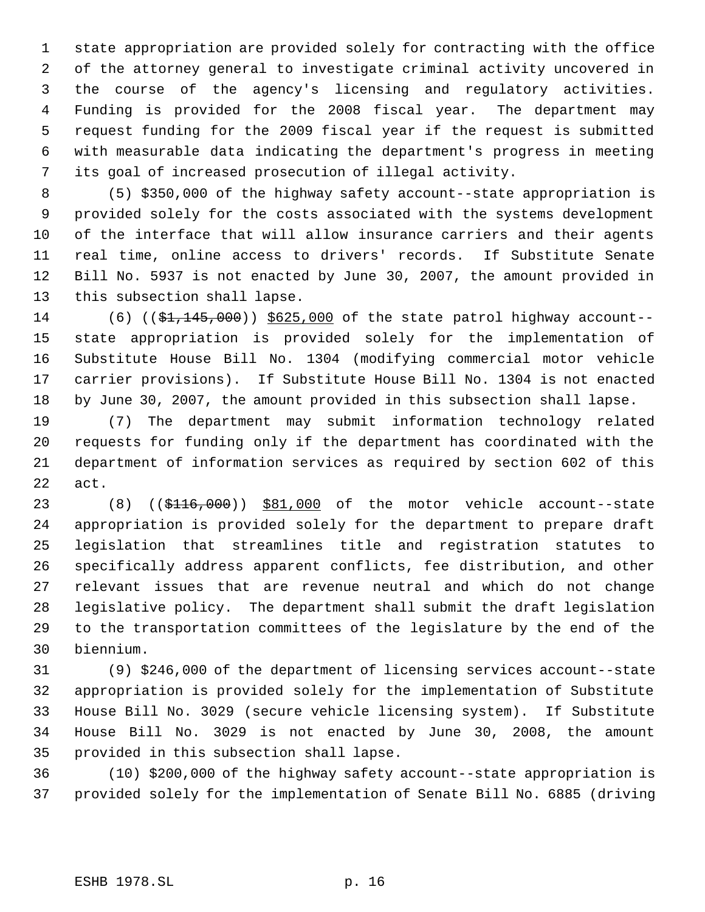state appropriation are provided solely for contracting with the office of the attorney general to investigate criminal activity uncovered in the course of the agency's licensing and regulatory activities. Funding is provided for the 2008 fiscal year. The department may request funding for the 2009 fiscal year if the request is submitted with measurable data indicating the department's progress in meeting its goal of increased prosecution of illegal activity.

 (5) \$350,000 of the highway safety account--state appropriation is provided solely for the costs associated with the systems development of the interface that will allow insurance carriers and their agents real time, online access to drivers' records. If Substitute Senate Bill No. 5937 is not enacted by June 30, 2007, the amount provided in this subsection shall lapse.

14 (6) ((\$1,145,000)) \$625,000 of the state patrol highway account-- state appropriation is provided solely for the implementation of Substitute House Bill No. 1304 (modifying commercial motor vehicle carrier provisions). If Substitute House Bill No. 1304 is not enacted by June 30, 2007, the amount provided in this subsection shall lapse.

 (7) The department may submit information technology related requests for funding only if the department has coordinated with the department of information services as required by section 602 of this act.

23 (8) ((\$116,000)) \$81,000 of the motor vehicle account--state appropriation is provided solely for the department to prepare draft legislation that streamlines title and registration statutes to specifically address apparent conflicts, fee distribution, and other relevant issues that are revenue neutral and which do not change legislative policy. The department shall submit the draft legislation to the transportation committees of the legislature by the end of the biennium.

 (9) \$246,000 of the department of licensing services account--state appropriation is provided solely for the implementation of Substitute House Bill No. 3029 (secure vehicle licensing system). If Substitute House Bill No. 3029 is not enacted by June 30, 2008, the amount provided in this subsection shall lapse.

 (10) \$200,000 of the highway safety account--state appropriation is provided solely for the implementation of Senate Bill No. 6885 (driving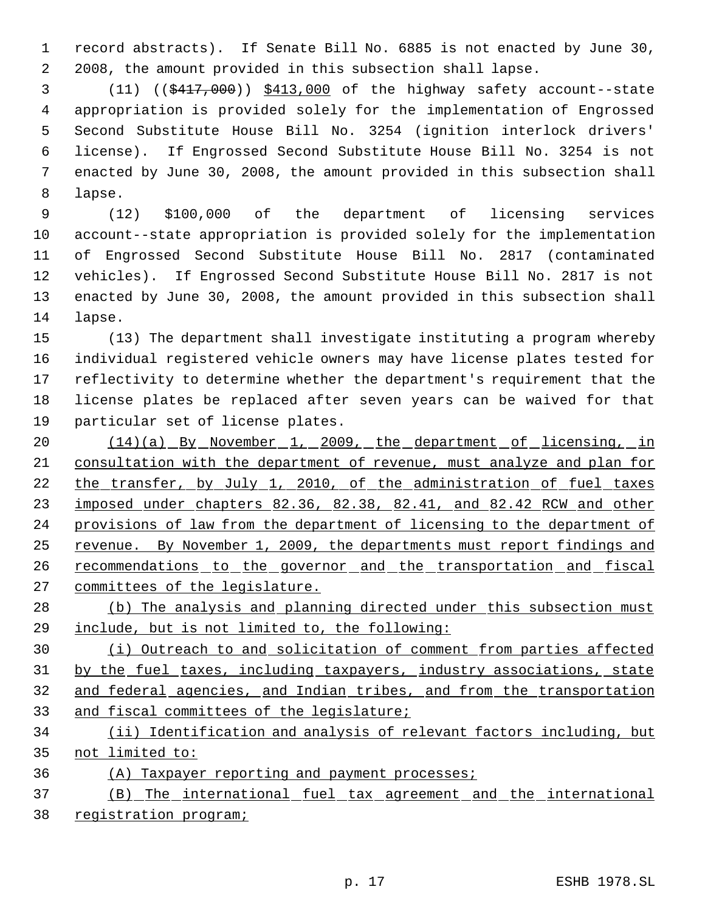record abstracts). If Senate Bill No. 6885 is not enacted by June 30, 2008, the amount provided in this subsection shall lapse.

 (11) ((\$417,000)) \$413,000 of the highway safety account--state appropriation is provided solely for the implementation of Engrossed Second Substitute House Bill No. 3254 (ignition interlock drivers' license). If Engrossed Second Substitute House Bill No. 3254 is not enacted by June 30, 2008, the amount provided in this subsection shall lapse.

 (12) \$100,000 of the department of licensing services account--state appropriation is provided solely for the implementation of Engrossed Second Substitute House Bill No. 2817 (contaminated vehicles). If Engrossed Second Substitute House Bill No. 2817 is not enacted by June 30, 2008, the amount provided in this subsection shall lapse.

 (13) The department shall investigate instituting a program whereby individual registered vehicle owners may have license plates tested for reflectivity to determine whether the department's requirement that the license plates be replaced after seven years can be waived for that particular set of license plates.

20 (14)(a) By November 1, 2009, the department of licensing, in consultation with the department of revenue, must analyze and plan for 22 the transfer, by July 1, 2010, of the administration of fuel taxes imposed under chapters 82.36, 82.38, 82.41, and 82.42 RCW and other provisions of law from the department of licensing to the department of revenue. By November 1, 2009, the departments must report findings and 26 recommendations to the governor and the transportation and fiscal committees of the legislature.

28 (b) The analysis and planning directed under this subsection must include, but is not limited to, the following:

 (i) Outreach to and solicitation of comment from parties affected 31 by the fuel taxes, including taxpayers, industry associations, state and federal agencies, and Indian tribes, and from the transportation and fiscal committees of the legislature;

 (ii) Identification and analysis of relevant factors including, but not limited to:

(A) Taxpayer reporting and payment processes;

 (B) The international fuel tax agreement and the international registration program;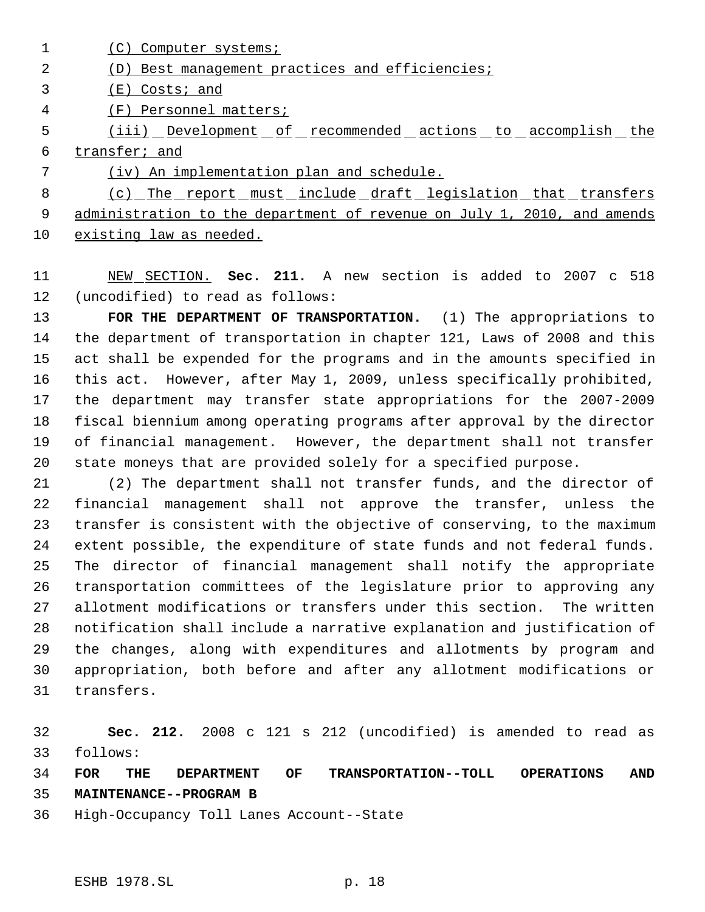1 (C) Computer systems;

## (D) Best management practices and efficiencies;

(E) Costs; and

(F) Personnel matters;

5 (iii) Development of recommended actions to accomplish the transfer; and

(iv) An implementation plan and schedule.

8 (c) The report must include draft legislation that transfers 9 administration to the department of revenue on July 1, 2010, and amends existing law as needed.

 NEW SECTION. **Sec. 211.** A new section is added to 2007 c 518 (uncodified) to read as follows:

 **FOR THE DEPARTMENT OF TRANSPORTATION.** (1) The appropriations to the department of transportation in chapter 121, Laws of 2008 and this act shall be expended for the programs and in the amounts specified in this act. However, after May 1, 2009, unless specifically prohibited, the department may transfer state appropriations for the 2007-2009 fiscal biennium among operating programs after approval by the director of financial management. However, the department shall not transfer state moneys that are provided solely for a specified purpose.

 (2) The department shall not transfer funds, and the director of financial management shall not approve the transfer, unless the transfer is consistent with the objective of conserving, to the maximum extent possible, the expenditure of state funds and not federal funds. The director of financial management shall notify the appropriate transportation committees of the legislature prior to approving any allotment modifications or transfers under this section. The written notification shall include a narrative explanation and justification of the changes, along with expenditures and allotments by program and appropriation, both before and after any allotment modifications or transfers.

 **Sec. 212.** 2008 c 121 s 212 (uncodified) is amended to read as follows:

 **FOR THE DEPARTMENT OF TRANSPORTATION--TOLL OPERATIONS AND MAINTENANCE--PROGRAM B**

High-Occupancy Toll Lanes Account--State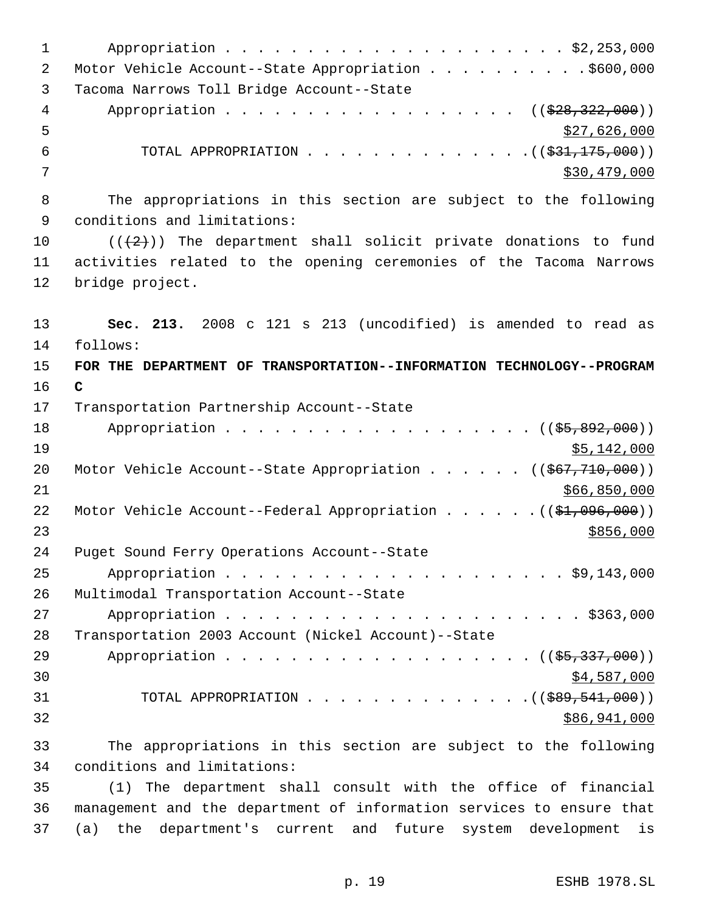| $\mathbf{1}$ |                                                                                |
|--------------|--------------------------------------------------------------------------------|
| 2            | Motor Vehicle Account--State Appropriation \$600,000                           |
| 3            | Tacoma Narrows Toll Bridge Account--State                                      |
| 4            | Appropriation ( $(\frac{228}{28}, \frac{322}{200})$ )                          |
| 5            | \$27,626,000                                                                   |
| $\epsilon$   | TOTAL APPROPRIATION $($ $($ $\frac{21}{75},000)$ $)$                           |
| 7            | \$30,479,000                                                                   |
| 8            | The appropriations in this section are subject to the following                |
| 9            | conditions and limitations:                                                    |
| 10           | $((+2))$ The department shall solicit private donations to fund                |
| 11           | activities related to the opening ceremonies of the Tacoma Narrows             |
| 12           | bridge project.                                                                |
| 13           | Sec. 213. 2008 c 121 s 213 (uncodified) is amended to read as                  |
| 14           | follows:                                                                       |
| 15           | FOR THE DEPARTMENT OF TRANSPORTATION--INFORMATION TECHNOLOGY--PROGRAM          |
| 16           | $\mathbf C$                                                                    |
| 17           | Transportation Partnership Account--State                                      |
| 18           | Appropriation ((\$5,892,000))                                                  |
| 19           | \$5,142,000                                                                    |
| 20           | Motor Vehicle Account--State Appropriation ( $(\frac{267}{770}, 710, 000)$ )   |
| 21           | \$66,850,000                                                                   |
| 22           | Motor Vehicle Account--Federal Appropriation $($ $($ $\frac{21}{996},000)$ $)$ |
| 23           | \$856,000                                                                      |
| 24           | Puget Sound Ferry Operations Account--State                                    |
| 25           |                                                                                |
| 26           | Multimodal Transportation Account--State                                       |
| 27           |                                                                                |
| 28           | Transportation 2003 Account (Nickel Account)--State                            |
| 29           | Appropriation ((\$5,337,000))                                                  |
| 30           | \$4,587,000                                                                    |
| 31           | TOTAL APPROPRIATION ( $(\frac{289}{541},000)$ )                                |
| 32           | \$86,941,000                                                                   |
| 33           | The appropriations in this section are subject to the following                |
| 34           | conditions and limitations:                                                    |
|              |                                                                                |

 (1) The department shall consult with the office of financial management and the department of information services to ensure that (a) the department's current and future system development is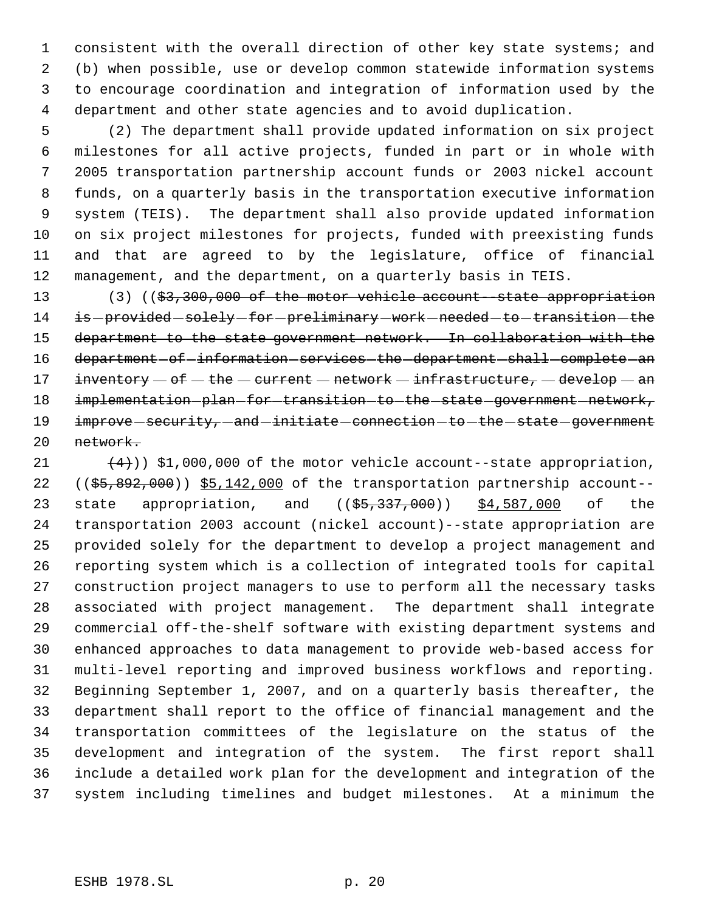consistent with the overall direction of other key state systems; and (b) when possible, use or develop common statewide information systems to encourage coordination and integration of information used by the department and other state agencies and to avoid duplication.

 (2) The department shall provide updated information on six project milestones for all active projects, funded in part or in whole with 2005 transportation partnership account funds or 2003 nickel account funds, on a quarterly basis in the transportation executive information system (TEIS). The department shall also provide updated information on six project milestones for projects, funded with preexisting funds and that are agreed to by the legislature, office of financial management, and the department, on a quarterly basis in TEIS.

13 (3) ((\$3,300,000 of the motor vehicle account--state appropriation 14 is-provided-solely-for-preliminary-work-needed-to-transition-the department to the state government network. In collaboration with the 16 department of information services the department shall complete an 17 inventory  $-$  of  $-$  the  $-$  current  $-$  network  $-$  infrastructure,  $-$  develop  $-$  an 18 implementation-plan-for-transition-to-the-state-government-network, 19 improve security, and initiate connection - to - the - state - government network.

 $(4)$ ) \$1,000,000 of the motor vehicle account--state appropriation, (( $$5,892,000$ ))  $$5,142,000$  of the transportation partnership account--23 state appropriation, and ((\$5,337,000)) \$4,587,000 of the transportation 2003 account (nickel account)--state appropriation are provided solely for the department to develop a project management and reporting system which is a collection of integrated tools for capital construction project managers to use to perform all the necessary tasks associated with project management. The department shall integrate commercial off-the-shelf software with existing department systems and enhanced approaches to data management to provide web-based access for multi-level reporting and improved business workflows and reporting. Beginning September 1, 2007, and on a quarterly basis thereafter, the department shall report to the office of financial management and the transportation committees of the legislature on the status of the development and integration of the system. The first report shall include a detailed work plan for the development and integration of the system including timelines and budget milestones. At a minimum the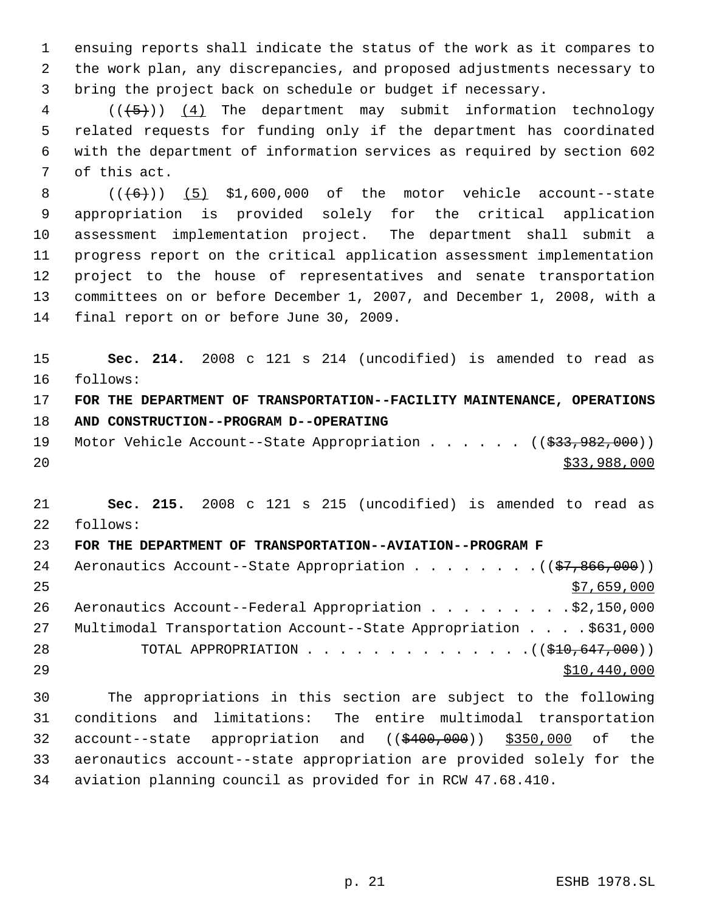ensuing reports shall indicate the status of the work as it compares to the work plan, any discrepancies, and proposed adjustments necessary to bring the project back on schedule or budget if necessary.

 (( $\overline{5}$ )) (4) The department may submit information technology related requests for funding only if the department has coordinated with the department of information services as required by section 602 of this act.

  $((\overline{6}))$  (5) \$1,600,000 of the motor vehicle account--state appropriation is provided solely for the critical application assessment implementation project. The department shall submit a progress report on the critical application assessment implementation project to the house of representatives and senate transportation committees on or before December 1, 2007, and December 1, 2008, with a final report on or before June 30, 2009.

 **Sec. 214.** 2008 c 121 s 214 (uncodified) is amended to read as follows: **FOR THE DEPARTMENT OF TRANSPORTATION--FACILITY MAINTENANCE, OPERATIONS**

**AND CONSTRUCTION--PROGRAM D--OPERATING**

19 Motor Vehicle Account--State Appropriation . . . . . ((\$33,982,000)) \$33,988,000

 **Sec. 215.** 2008 c 121 s 215 (uncodified) is amended to read as follows:

# **FOR THE DEPARTMENT OF TRANSPORTATION--AVIATION--PROGRAM F**

| 24 | Aeronautics Account--State Appropriation ((\$7,866,000))         |
|----|------------------------------------------------------------------|
| 25 | \$7,659,000                                                      |
| 26 | Aeronautics Account--Federal Appropriation \$2,150,000           |
| 27 | Multimodal Transportation Account--State Appropriation \$631,000 |
| 28 | TOTAL APPROPRIATION $\ldots$ , ( $(\frac{10}{210}, 647, 000)$ )  |
| 29 | \$10,440,000                                                     |

 The appropriations in this section are subject to the following conditions and limitations: The entire multimodal transportation 32 account--state appropriation and ((\$400,000)) \$350,000 of the aeronautics account--state appropriation are provided solely for the aviation planning council as provided for in RCW 47.68.410.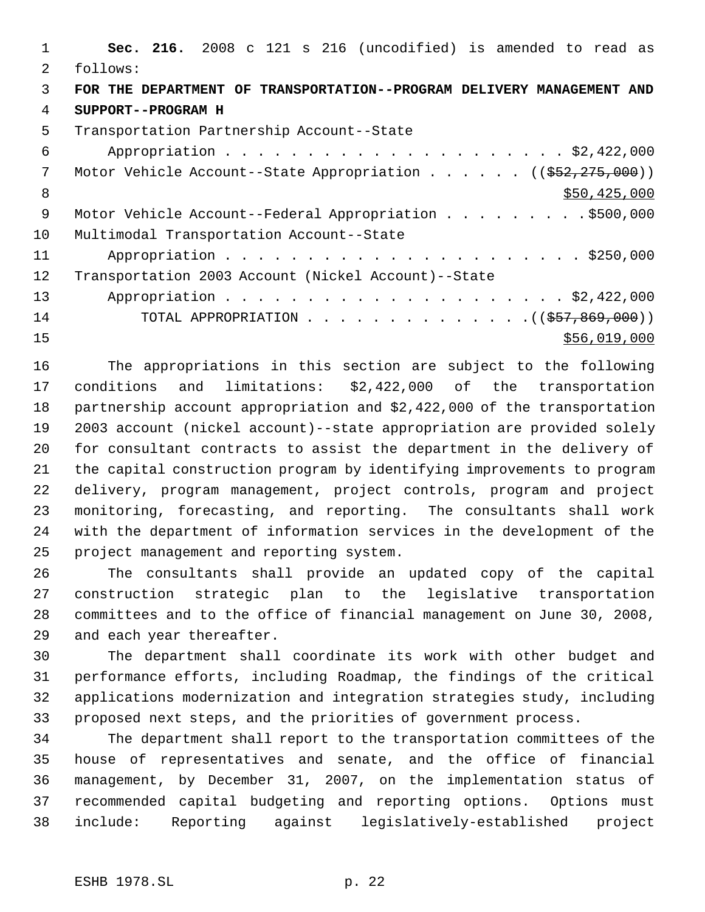**Sec. 216.** 2008 c 121 s 216 (uncodified) is amended to read as follows: **FOR THE DEPARTMENT OF TRANSPORTATION--PROGRAM DELIVERY MANAGEMENT AND SUPPORT--PROGRAM H** Transportation Partnership Account--State Appropriation . . . . . . . . . . . . . . . . . . . . . \$2,422,000 7 Motor Vehicle Account--State Appropriation . . . . . . ((\$52,275,000)) 8 \$50,425,000 \$50,425,000 \$50,425,000 \$50,425,000 \$50,425,000 \$50,425,000 \$50,425,000 \$ 9 Motor Vehicle Account--Federal Appropriation . . . . . . . . . \$500,000 Multimodal Transportation Account--State Appropriation . . . . . . . . . . . . . . . . . . . . . . \$250,000 Transportation 2003 Account (Nickel Account)--State Appropriation . . . . . . . . . . . . . . . . . . . . . \$2,422,000 14 TOTAL APPROPRIATION . . . . . . . . . . . . . ((\$57,869,000)) 15 \$56,019,000

 The appropriations in this section are subject to the following conditions and limitations: \$2,422,000 of the transportation partnership account appropriation and \$2,422,000 of the transportation 2003 account (nickel account)--state appropriation are provided solely for consultant contracts to assist the department in the delivery of the capital construction program by identifying improvements to program delivery, program management, project controls, program and project monitoring, forecasting, and reporting. The consultants shall work with the department of information services in the development of the project management and reporting system.

 The consultants shall provide an updated copy of the capital construction strategic plan to the legislative transportation committees and to the office of financial management on June 30, 2008, and each year thereafter.

 The department shall coordinate its work with other budget and performance efforts, including Roadmap, the findings of the critical applications modernization and integration strategies study, including proposed next steps, and the priorities of government process.

 The department shall report to the transportation committees of the house of representatives and senate, and the office of financial management, by December 31, 2007, on the implementation status of recommended capital budgeting and reporting options. Options must include: Reporting against legislatively-established project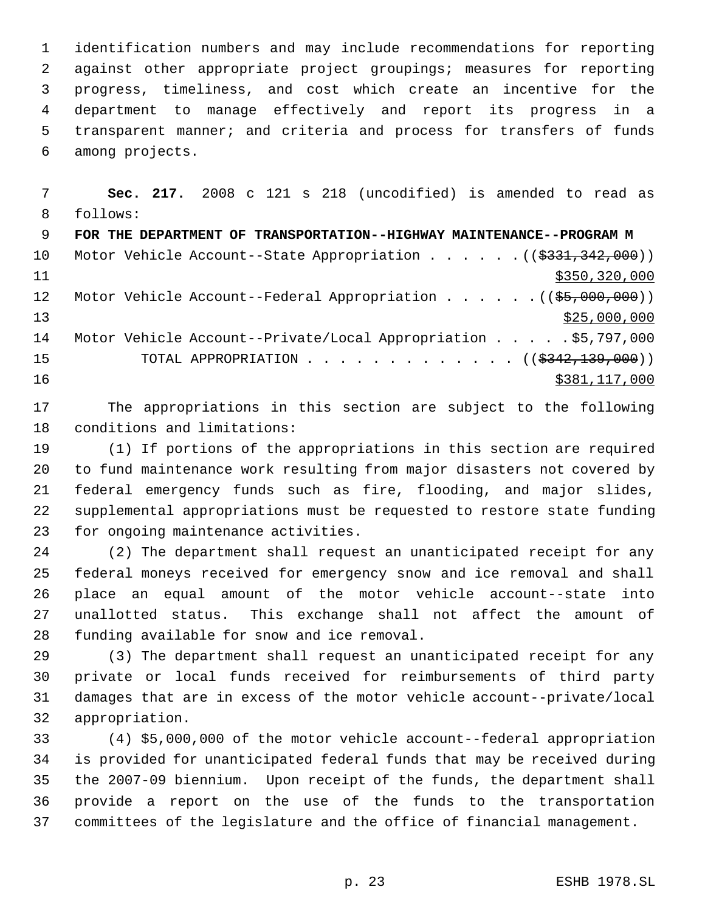identification numbers and may include recommendations for reporting against other appropriate project groupings; measures for reporting progress, timeliness, and cost which create an incentive for the department to manage effectively and report its progress in a transparent manner; and criteria and process for transfers of funds among projects.

 **Sec. 217.** 2008 c 121 s 218 (uncodified) is amended to read as follows: **FOR THE DEPARTMENT OF TRANSPORTATION--HIGHWAY MAINTENANCE--PROGRAM M** 10 Motor Vehicle Account--State Appropriation . . . . . . ((\$331,342,000)) \$350,320,000 12 Motor Vehicle Account--Federal Appropriation . . . . . . ((\$5,000,000))  $\frac{13}{25,000,000}$  Motor Vehicle Account--Private/Local Appropriation . . . . . \$5,797,000 15 TOTAL APPROPRIATION . . . . . . . . . . . . ((\$<del>342,139,000</del>)) 16 \$381,117,000 \$381,117,000

 The appropriations in this section are subject to the following conditions and limitations:

 (1) If portions of the appropriations in this section are required to fund maintenance work resulting from major disasters not covered by federal emergency funds such as fire, flooding, and major slides, supplemental appropriations must be requested to restore state funding for ongoing maintenance activities.

 (2) The department shall request an unanticipated receipt for any federal moneys received for emergency snow and ice removal and shall place an equal amount of the motor vehicle account--state into unallotted status. This exchange shall not affect the amount of funding available for snow and ice removal.

 (3) The department shall request an unanticipated receipt for any private or local funds received for reimbursements of third party damages that are in excess of the motor vehicle account--private/local appropriation.

 (4) \$5,000,000 of the motor vehicle account--federal appropriation is provided for unanticipated federal funds that may be received during the 2007-09 biennium. Upon receipt of the funds, the department shall provide a report on the use of the funds to the transportation committees of the legislature and the office of financial management.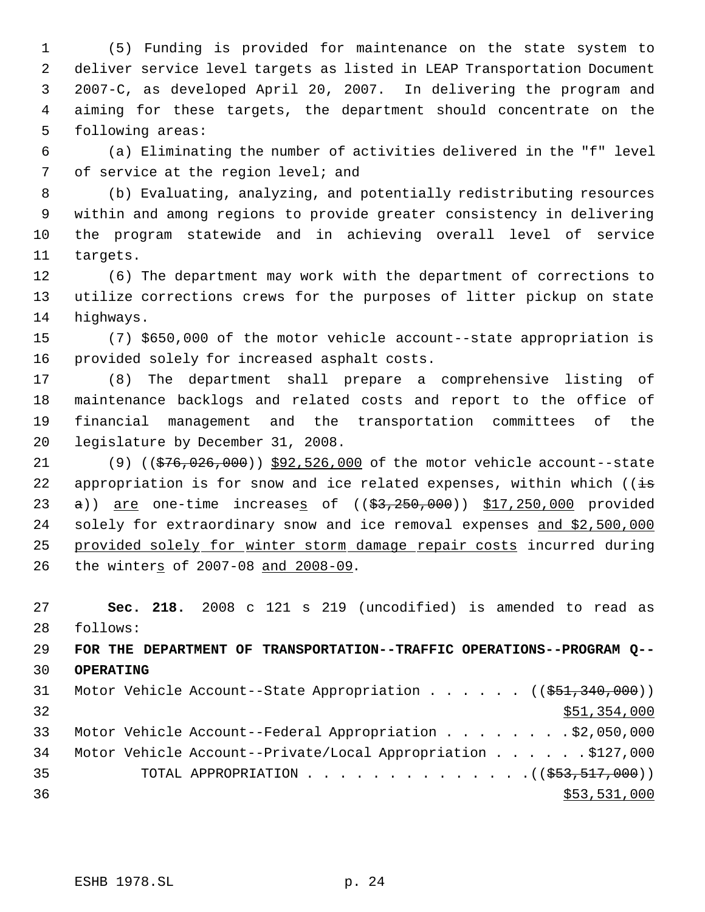(5) Funding is provided for maintenance on the state system to deliver service level targets as listed in LEAP Transportation Document 2007-C, as developed April 20, 2007. In delivering the program and aiming for these targets, the department should concentrate on the following areas:

 (a) Eliminating the number of activities delivered in the "f" level 7 of service at the region level; and

 (b) Evaluating, analyzing, and potentially redistributing resources within and among regions to provide greater consistency in delivering the program statewide and in achieving overall level of service targets.

 (6) The department may work with the department of corrections to utilize corrections crews for the purposes of litter pickup on state highways.

 (7) \$650,000 of the motor vehicle account--state appropriation is provided solely for increased asphalt costs.

 (8) The department shall prepare a comprehensive listing of maintenance backlogs and related costs and report to the office of financial management and the transportation committees of the legislature by December 31, 2008.

21 (9) ((\$76,026,000)) \$92,526,000 of the motor vehicle account--state 22 appropriation is for snow and ice related expenses, within which ( $\overline{is}$ 23  $a)$  are one-time increases of  $($  $($ \$3,250,000)) \$17,250,000 provided 24 solely for extraordinary snow and ice removal expenses and \$2,500,000 25 provided solely for winter storm damage repair costs incurred during 26 the winters of 2007-08 and 2008-09.

 **Sec. 218.** 2008 c 121 s 219 (uncodified) is amended to read as follows:

 **FOR THE DEPARTMENT OF TRANSPORTATION--TRAFFIC OPERATIONS--PROGRAM Q-- OPERATING**

31 Motor Vehicle Account--State Appropriation . . . . . ((\$51,340,000))  $\frac{$51,354,000}{51}$  Motor Vehicle Account--Federal Appropriation . . . . . . . . \$2,050,000 Motor Vehicle Account--Private/Local Appropriation . . . . . . \$127,000 35 TOTAL APPROPRIATION . . . . . . . . . . . . . . ((\$53,517,000))  $\frac{$53,531,000}{553,531,000}$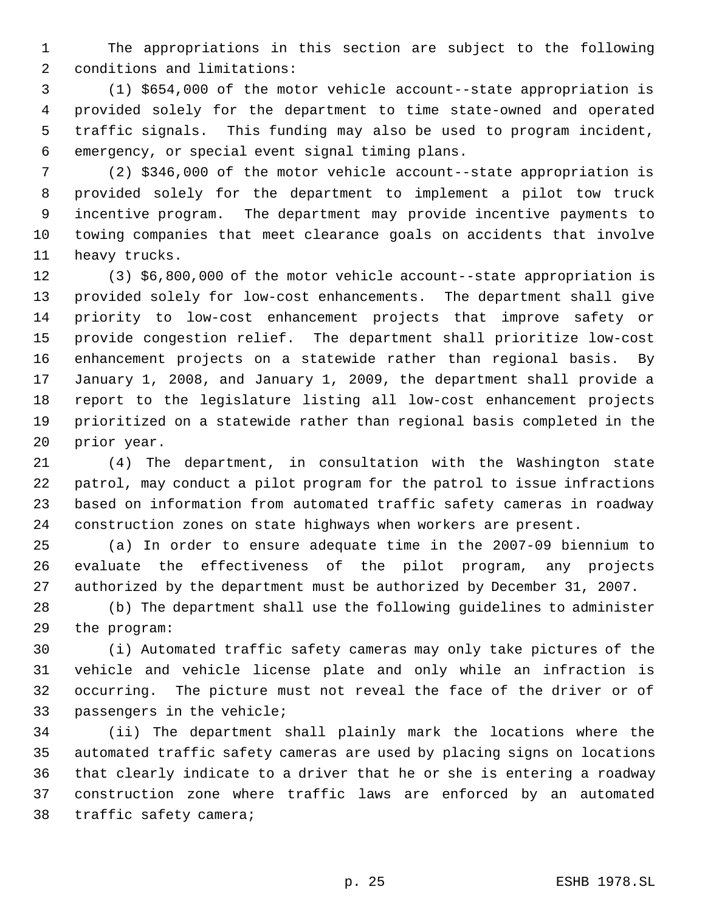The appropriations in this section are subject to the following conditions and limitations:

 (1) \$654,000 of the motor vehicle account--state appropriation is provided solely for the department to time state-owned and operated traffic signals. This funding may also be used to program incident, emergency, or special event signal timing plans.

 (2) \$346,000 of the motor vehicle account--state appropriation is provided solely for the department to implement a pilot tow truck incentive program. The department may provide incentive payments to towing companies that meet clearance goals on accidents that involve heavy trucks.

 (3) \$6,800,000 of the motor vehicle account--state appropriation is provided solely for low-cost enhancements. The department shall give priority to low-cost enhancement projects that improve safety or provide congestion relief. The department shall prioritize low-cost enhancement projects on a statewide rather than regional basis. By January 1, 2008, and January 1, 2009, the department shall provide a report to the legislature listing all low-cost enhancement projects prioritized on a statewide rather than regional basis completed in the prior year.

 (4) The department, in consultation with the Washington state patrol, may conduct a pilot program for the patrol to issue infractions based on information from automated traffic safety cameras in roadway construction zones on state highways when workers are present.

 (a) In order to ensure adequate time in the 2007-09 biennium to evaluate the effectiveness of the pilot program, any projects authorized by the department must be authorized by December 31, 2007.

 (b) The department shall use the following guidelines to administer the program:

 (i) Automated traffic safety cameras may only take pictures of the vehicle and vehicle license plate and only while an infraction is occurring. The picture must not reveal the face of the driver or of passengers in the vehicle;

 (ii) The department shall plainly mark the locations where the automated traffic safety cameras are used by placing signs on locations that clearly indicate to a driver that he or she is entering a roadway construction zone where traffic laws are enforced by an automated traffic safety camera;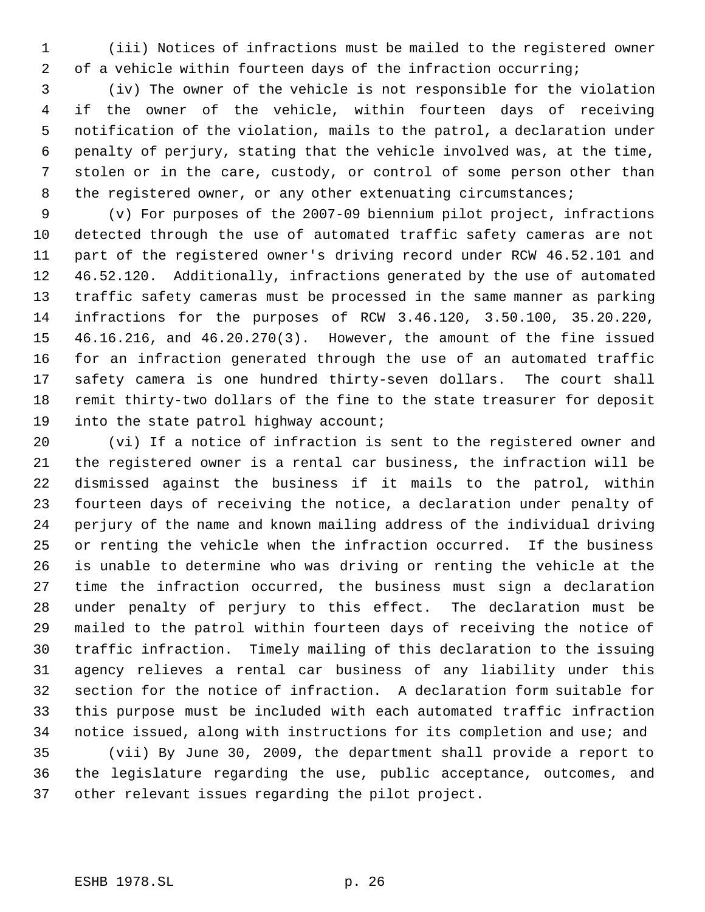(iii) Notices of infractions must be mailed to the registered owner of a vehicle within fourteen days of the infraction occurring;

 (iv) The owner of the vehicle is not responsible for the violation if the owner of the vehicle, within fourteen days of receiving notification of the violation, mails to the patrol, a declaration under penalty of perjury, stating that the vehicle involved was, at the time, stolen or in the care, custody, or control of some person other than 8 the registered owner, or any other extenuating circumstances;

 (v) For purposes of the 2007-09 biennium pilot project, infractions detected through the use of automated traffic safety cameras are not part of the registered owner's driving record under RCW 46.52.101 and 46.52.120. Additionally, infractions generated by the use of automated traffic safety cameras must be processed in the same manner as parking infractions for the purposes of RCW 3.46.120, 3.50.100, 35.20.220, 46.16.216, and 46.20.270(3). However, the amount of the fine issued for an infraction generated through the use of an automated traffic safety camera is one hundred thirty-seven dollars. The court shall remit thirty-two dollars of the fine to the state treasurer for deposit 19 into the state patrol highway account;

 (vi) If a notice of infraction is sent to the registered owner and the registered owner is a rental car business, the infraction will be dismissed against the business if it mails to the patrol, within fourteen days of receiving the notice, a declaration under penalty of perjury of the name and known mailing address of the individual driving or renting the vehicle when the infraction occurred. If the business is unable to determine who was driving or renting the vehicle at the time the infraction occurred, the business must sign a declaration under penalty of perjury to this effect. The declaration must be mailed to the patrol within fourteen days of receiving the notice of traffic infraction. Timely mailing of this declaration to the issuing agency relieves a rental car business of any liability under this section for the notice of infraction. A declaration form suitable for this purpose must be included with each automated traffic infraction notice issued, along with instructions for its completion and use; and

 (vii) By June 30, 2009, the department shall provide a report to the legislature regarding the use, public acceptance, outcomes, and other relevant issues regarding the pilot project.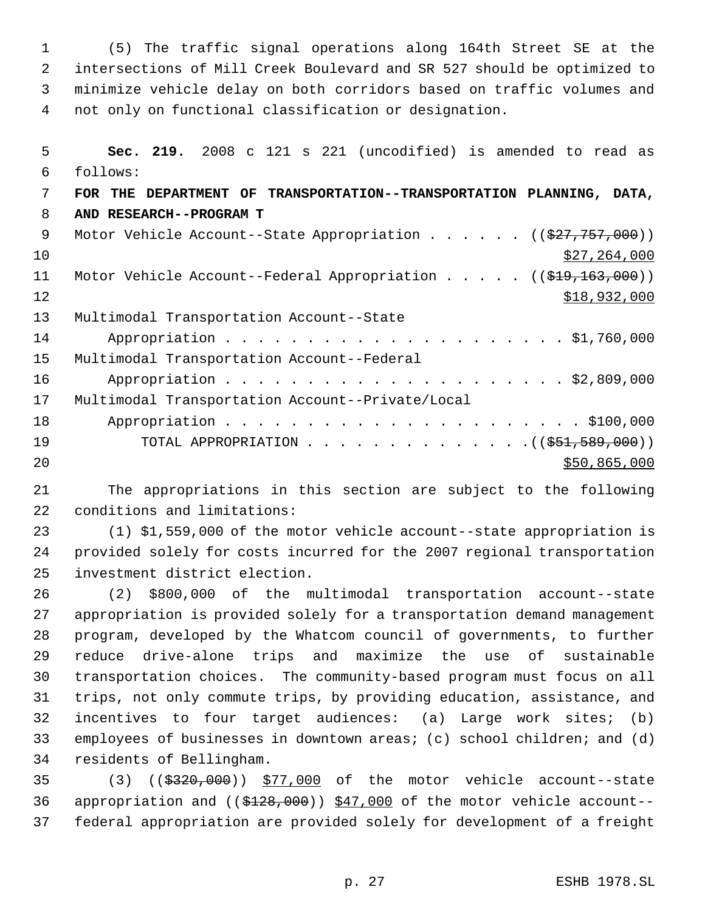(5) The traffic signal operations along 164th Street SE at the intersections of Mill Creek Boulevard and SR 527 should be optimized to minimize vehicle delay on both corridors based on traffic volumes and not only on functional classification or designation.

 **Sec. 219.** 2008 c 121 s 221 (uncodified) is amended to read as follows: **FOR THE DEPARTMENT OF TRANSPORTATION--TRANSPORTATION PLANNING, DATA, AND RESEARCH--PROGRAM T** 9 Motor Vehicle Account--State Appropriation . . . . . . ((\$27,757,000))  $\frac{$27,264,000}{20}$ 11 Motor Vehicle Account--Federal Appropriation . . . . . ((\$19,163,000)) 12 \$18,932,000 Multimodal Transportation Account--State Appropriation . . . . . . . . . . . . . . . . . . . . . \$1,760,000 Multimodal Transportation Account--Federal Appropriation . . . . . . . . . . . . . . . . . . . . . \$2,809,000 Multimodal Transportation Account--Private/Local Appropriation . . . . . . . . . . . . . . . . . . . . . . \$100,000 19 TOTAL APPROPRIATION . . . . . . . . . . . . . . ((\$51,589,000)) \$50,865,000

 The appropriations in this section are subject to the following conditions and limitations:

 (1) \$1,559,000 of the motor vehicle account--state appropriation is provided solely for costs incurred for the 2007 regional transportation investment district election.

 (2) \$800,000 of the multimodal transportation account--state appropriation is provided solely for a transportation demand management program, developed by the Whatcom council of governments, to further reduce drive-alone trips and maximize the use of sustainable transportation choices. The community-based program must focus on all trips, not only commute trips, by providing education, assistance, and incentives to four target audiences: (a) Large work sites; (b) employees of businesses in downtown areas; (c) school children; and (d) residents of Bellingham.

 (3) ((\$320,000)) \$77,000 of the motor vehicle account--state appropriation and ((\$128,000)) \$47,000 of the motor vehicle account-- federal appropriation are provided solely for development of a freight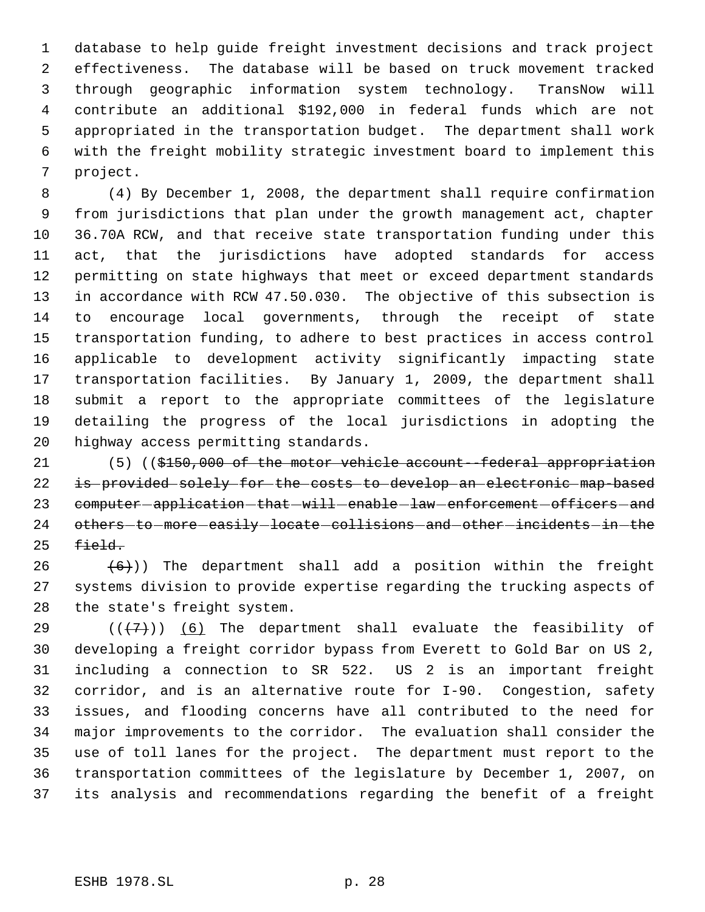database to help guide freight investment decisions and track project effectiveness. The database will be based on truck movement tracked through geographic information system technology. TransNow will contribute an additional \$192,000 in federal funds which are not appropriated in the transportation budget. The department shall work with the freight mobility strategic investment board to implement this project.

 (4) By December 1, 2008, the department shall require confirmation from jurisdictions that plan under the growth management act, chapter 36.70A RCW, and that receive state transportation funding under this act, that the jurisdictions have adopted standards for access permitting on state highways that meet or exceed department standards in accordance with RCW 47.50.030. The objective of this subsection is to encourage local governments, through the receipt of state transportation funding, to adhere to best practices in access control applicable to development activity significantly impacting state transportation facilities. By January 1, 2009, the department shall submit a report to the appropriate committees of the legislature detailing the progress of the local jurisdictions in adopting the highway access permitting standards.

21 (5) ((\$150,000 of the motor vehicle account-federal appropriation is provided solely for the costs to develop an electronic map-based 23 computer-application-that-will-enable-law-enforcement-officers-and 24 others-to-more-easily-locate-collisions-and-other-incidents-in-the field.

26  $(6)$ )) The department shall add a position within the freight systems division to provide expertise regarding the trucking aspects of the state's freight system.

 $((+7)$ ) (6) The department shall evaluate the feasibility of developing a freight corridor bypass from Everett to Gold Bar on US 2, including a connection to SR 522. US 2 is an important freight corridor, and is an alternative route for I-90. Congestion, safety issues, and flooding concerns have all contributed to the need for major improvements to the corridor. The evaluation shall consider the use of toll lanes for the project. The department must report to the transportation committees of the legislature by December 1, 2007, on its analysis and recommendations regarding the benefit of a freight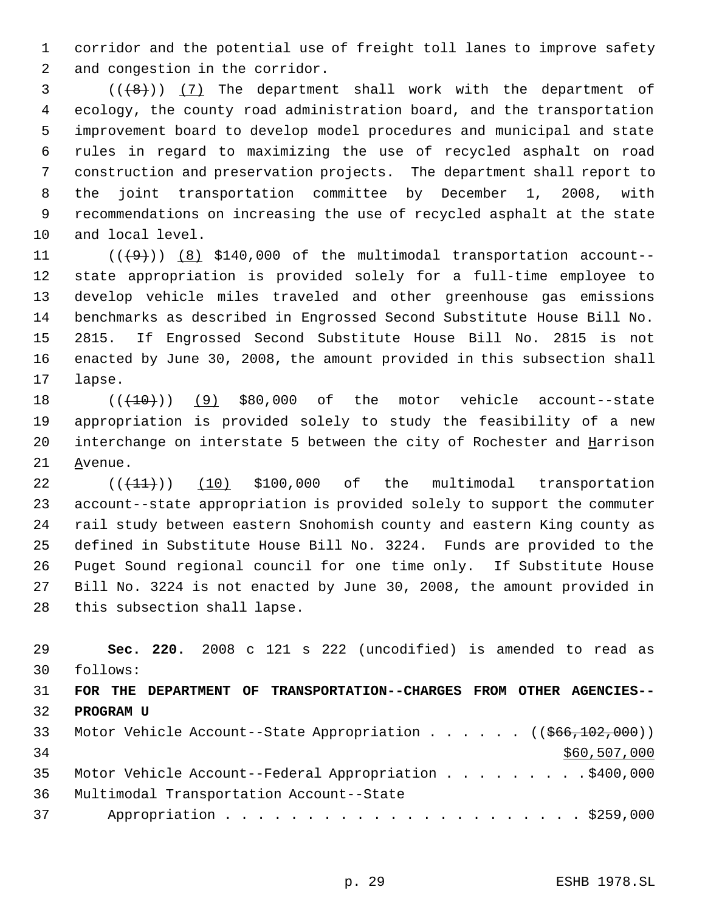corridor and the potential use of freight toll lanes to improve safety and congestion in the corridor.

 $(1+8)$  (( $(8)$ )) (7) The department shall work with the department of ecology, the county road administration board, and the transportation improvement board to develop model procedures and municipal and state rules in regard to maximizing the use of recycled asphalt on road construction and preservation projects. The department shall report to the joint transportation committee by December 1, 2008, with recommendations on increasing the use of recycled asphalt at the state and local level.

 $((+9))$   $(8)$  \$140,000 of the multimodal transportation account-- state appropriation is provided solely for a full-time employee to develop vehicle miles traveled and other greenhouse gas emissions benchmarks as described in Engrossed Second Substitute House Bill No. 2815. If Engrossed Second Substitute House Bill No. 2815 is not enacted by June 30, 2008, the amount provided in this subsection shall lapse.

 $((+10))$  (9) \$80,000 of the motor vehicle account--state appropriation is provided solely to study the feasibility of a new 20 interchange on interstate 5 between the city of Rochester and Harrison Avenue.

 $((+11))$  (10) \$100,000 of the multimodal transportation account--state appropriation is provided solely to support the commuter rail study between eastern Snohomish county and eastern King county as defined in Substitute House Bill No. 3224. Funds are provided to the Puget Sound regional council for one time only. If Substitute House Bill No. 3224 is not enacted by June 30, 2008, the amount provided in this subsection shall lapse.

| 29 | Sec. 220. 2008 c 121 s 222 (uncodified) is amended to read as                       |
|----|-------------------------------------------------------------------------------------|
| 30 | follows:                                                                            |
| 31 | FOR THE DEPARTMENT OF TRANSPORTATION--CHARGES FROM OTHER AGENCIES--                 |
| 32 | <b>PROGRAM U</b>                                                                    |
| 33 | Motor Vehicle Account--State Appropriation ( $(\frac{666}{102}, \frac{109}{100})$ ) |
| 34 | \$60,507,000                                                                        |
| 35 | Motor Vehicle Account--Federal Appropriation \$400,000                              |
| 36 | Multimodal Transportation Account--State                                            |
| 37 |                                                                                     |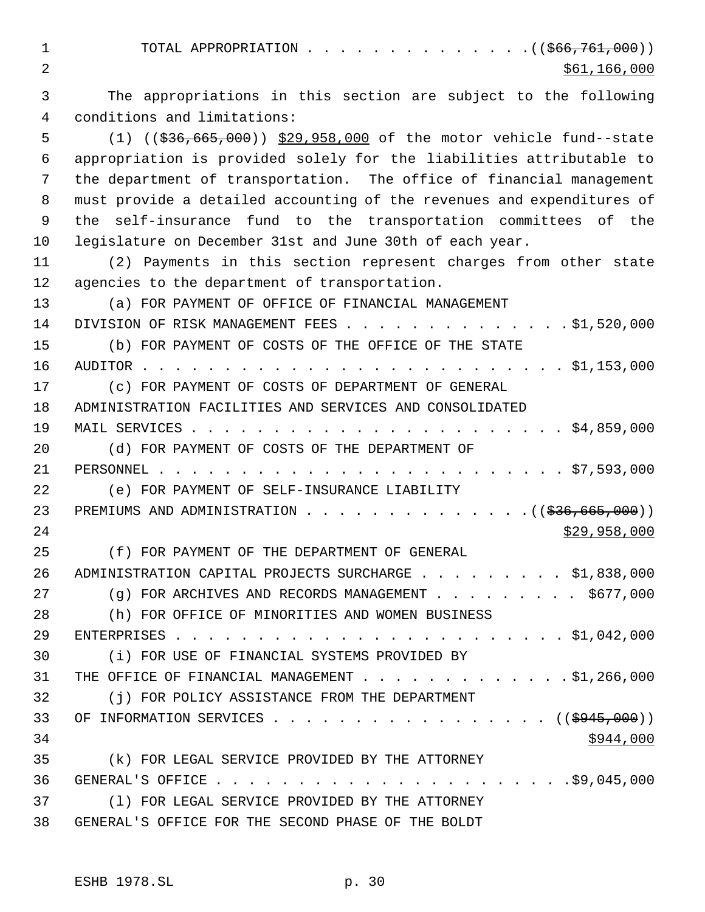1 TOTAL APPROPRIATION . . . . . . . . . . . . . . ((\$66,761,000))  $2 \div 561,166,000$  The appropriations in this section are subject to the following conditions and limitations: (1) ((\$36,665,000)) \$29,958,000 of the motor vehicle fund--state appropriation is provided solely for the liabilities attributable to the department of transportation. The office of financial management must provide a detailed accounting of the revenues and expenditures of the self-insurance fund to the transportation committees of the legislature on December 31st and June 30th of each year. (2) Payments in this section represent charges from other state agencies to the department of transportation. (a) FOR PAYMENT OF OFFICE OF FINANCIAL MANAGEMENT 14 DIVISION OF RISK MANAGEMENT FEES . . . . . . . . . . . . . . \$1,520,000 (b) FOR PAYMENT OF COSTS OF THE OFFICE OF THE STATE AUDITOR . . . . . . . . . . . . . . . . . . . . . . . . . . \$1,153,000 (c) FOR PAYMENT OF COSTS OF DEPARTMENT OF GENERAL ADMINISTRATION FACILITIES AND SERVICES AND CONSOLIDATED MAIL SERVICES . . . . . . . . . . . . . . . . . . . . . . . \$4,859,000 (d) FOR PAYMENT OF COSTS OF THE DEPARTMENT OF PERSONNEL . . . . . . . . . . . . . . . . . . . . . . . . . \$7,593,000 (e) FOR PAYMENT OF SELF-INSURANCE LIABILITY 23 PREMIUMS AND ADMINISTRATION . . . . . . . . . . . . . . . ((\$36,665,000)) \$29,958,000 (f) FOR PAYMENT OF THE DEPARTMENT OF GENERAL 26 ADMINISTRATION CAPITAL PROJECTS SURCHARGE . . . . . . . . \$1,838,000 27 (g) FOR ARCHIVES AND RECORDS MANAGEMENT . . . . . . . . \$677,000 (h) FOR OFFICE OF MINORITIES AND WOMEN BUSINESS ENTERPRISES . . . . . . . . . . . . . . . . . . . . . . . . \$1,042,000 (i) FOR USE OF FINANCIAL SYSTEMS PROVIDED BY 31 THE OFFICE OF FINANCIAL MANAGEMENT . . . . . . . . . . . . \$1,266,000 (j) FOR POLICY ASSISTANCE FROM THE DEPARTMENT 33 OF INFORMATION SERVICES . . . . . . . . . . . . . . . . ((<del>\$945,000</del>))  $\frac{$944,000}{ }$  (k) FOR LEGAL SERVICE PROVIDED BY THE ATTORNEY GENERAL'S OFFICE . . . . . . . . . . . . . . . . . . . . . .\$9,045,000 (l) FOR LEGAL SERVICE PROVIDED BY THE ATTORNEY GENERAL'S OFFICE FOR THE SECOND PHASE OF THE BOLDT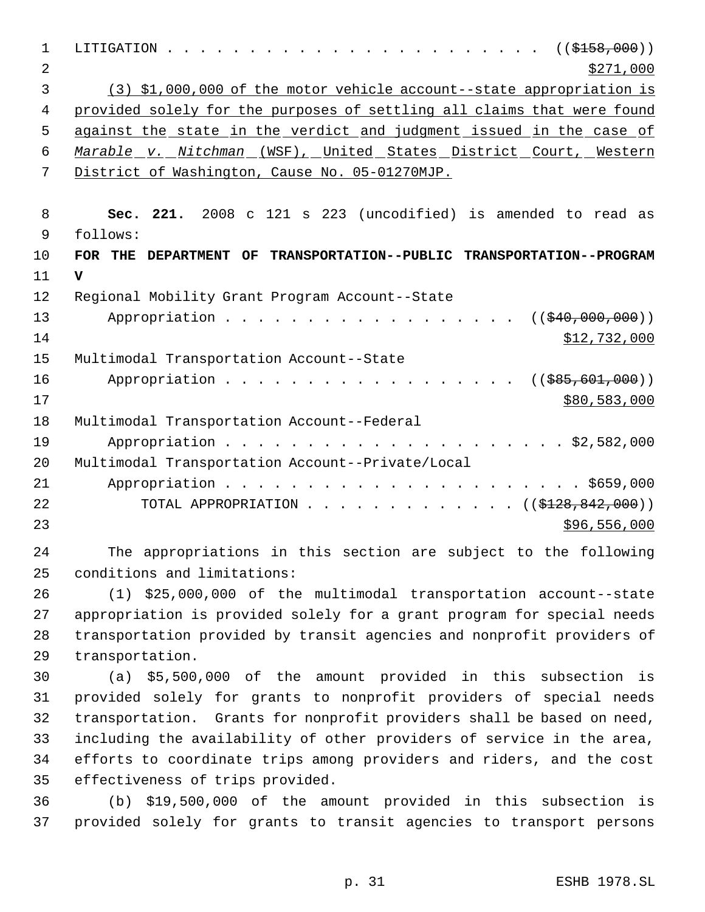| $\mathbf 1$    | $\cdots$ $\cdots$ $\cdots$ $\cdots$ $\cdots$ $\cdots$ $\cdots$ $\cdots$ $\cdots$ $\cdots$ $\cdots$ $\cdots$ $\cdots$ $\cdots$ $\cdots$ $\cdots$ $\cdots$ $\cdots$ $\cdots$ $\cdots$ $\cdots$ $\cdots$ $\cdots$ $\cdots$ $\cdots$ $\cdots$ $\cdots$ $\cdots$ $\cdots$ $\cdots$ $\cdots$ $\cdots$ $\cdots$ $\cdots$ $\cdots$ $\cdots$ $\cdots$<br>LITIGATION |
|----------------|------------------------------------------------------------------------------------------------------------------------------------------------------------------------------------------------------------------------------------------------------------------------------------------------------------------------------------------------------------|
| $\overline{2}$ | \$271,000                                                                                                                                                                                                                                                                                                                                                  |
| 3              | (3) \$1,000,000 of the motor vehicle account--state appropriation is                                                                                                                                                                                                                                                                                       |
| 4              | provided solely for the purposes of settling all claims that were found                                                                                                                                                                                                                                                                                    |
| 5              | against the state in the verdict and judgment issued in the case of                                                                                                                                                                                                                                                                                        |
| 6              | Marable v. Nitchman (WSF), United States District Court, Western                                                                                                                                                                                                                                                                                           |
| 7              | District of Washington, Cause No. 05-01270MJP.                                                                                                                                                                                                                                                                                                             |
|                |                                                                                                                                                                                                                                                                                                                                                            |
| 8              | Sec. 221. 2008 c 121 s 223 (uncodified) is amended to read as                                                                                                                                                                                                                                                                                              |
| 9              | follows:                                                                                                                                                                                                                                                                                                                                                   |
| 10             | FOR THE DEPARTMENT OF TRANSPORTATION--PUBLIC TRANSPORTATION--PROGRAM                                                                                                                                                                                                                                                                                       |
| 11             | $\mathbf{v}$                                                                                                                                                                                                                                                                                                                                               |
| 12             | Regional Mobility Grant Program Account--State                                                                                                                                                                                                                                                                                                             |
| 13             | Appropriation<br>((\$40,000,000)                                                                                                                                                                                                                                                                                                                           |
| 14             | \$12,732,000                                                                                                                                                                                                                                                                                                                                               |
| 15             | Multimodal Transportation Account--State                                                                                                                                                                                                                                                                                                                   |
| 16             | Appropriation<br>$(($ \$85,601,000))                                                                                                                                                                                                                                                                                                                       |
| 17             | \$80,583,000                                                                                                                                                                                                                                                                                                                                               |
| 18             | Multimodal Transportation Account--Federal                                                                                                                                                                                                                                                                                                                 |
| 19             |                                                                                                                                                                                                                                                                                                                                                            |
| 20             | Multimodal Transportation Account--Private/Local                                                                                                                                                                                                                                                                                                           |
| 21             |                                                                                                                                                                                                                                                                                                                                                            |
| 22             | TOTAL APPROPRIATION ( $(\frac{128}{128}, \frac{842}{100})$ )                                                                                                                                                                                                                                                                                               |
| 23             | \$96,556,000                                                                                                                                                                                                                                                                                                                                               |
| 24             | The appropriations in this section are subject to the following                                                                                                                                                                                                                                                                                            |
| 25             | conditions and limitations:                                                                                                                                                                                                                                                                                                                                |

 (1) \$25,000,000 of the multimodal transportation account--state appropriation is provided solely for a grant program for special needs transportation provided by transit agencies and nonprofit providers of transportation.

 (a) \$5,500,000 of the amount provided in this subsection is provided solely for grants to nonprofit providers of special needs transportation. Grants for nonprofit providers shall be based on need, including the availability of other providers of service in the area, efforts to coordinate trips among providers and riders, and the cost effectiveness of trips provided.

 (b) \$19,500,000 of the amount provided in this subsection is provided solely for grants to transit agencies to transport persons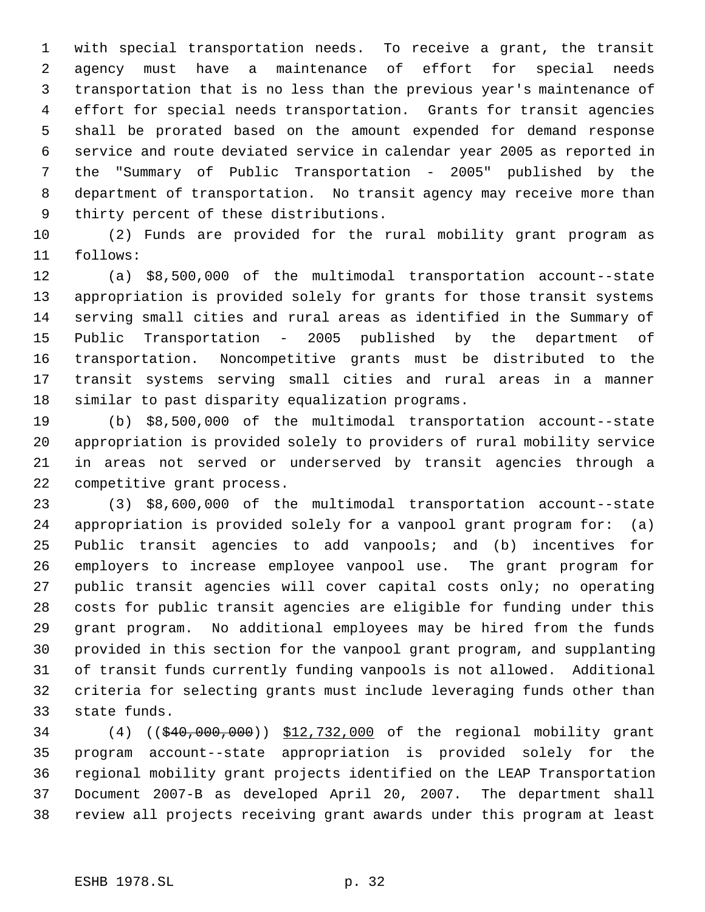with special transportation needs. To receive a grant, the transit agency must have a maintenance of effort for special needs transportation that is no less than the previous year's maintenance of effort for special needs transportation. Grants for transit agencies shall be prorated based on the amount expended for demand response service and route deviated service in calendar year 2005 as reported in the "Summary of Public Transportation - 2005" published by the department of transportation. No transit agency may receive more than thirty percent of these distributions.

 (2) Funds are provided for the rural mobility grant program as follows:

 (a) \$8,500,000 of the multimodal transportation account--state appropriation is provided solely for grants for those transit systems serving small cities and rural areas as identified in the Summary of Public Transportation - 2005 published by the department of transportation. Noncompetitive grants must be distributed to the transit systems serving small cities and rural areas in a manner similar to past disparity equalization programs.

 (b) \$8,500,000 of the multimodal transportation account--state appropriation is provided solely to providers of rural mobility service in areas not served or underserved by transit agencies through a competitive grant process.

 (3) \$8,600,000 of the multimodal transportation account--state appropriation is provided solely for a vanpool grant program for: (a) Public transit agencies to add vanpools; and (b) incentives for employers to increase employee vanpool use. The grant program for public transit agencies will cover capital costs only; no operating costs for public transit agencies are eligible for funding under this grant program. No additional employees may be hired from the funds provided in this section for the vanpool grant program, and supplanting of transit funds currently funding vanpools is not allowed. Additional criteria for selecting grants must include leveraging funds other than state funds.

34 (4) ((\$40,000,000)) \$12,732,000 of the regional mobility grant program account--state appropriation is provided solely for the regional mobility grant projects identified on the LEAP Transportation Document 2007-B as developed April 20, 2007. The department shall review all projects receiving grant awards under this program at least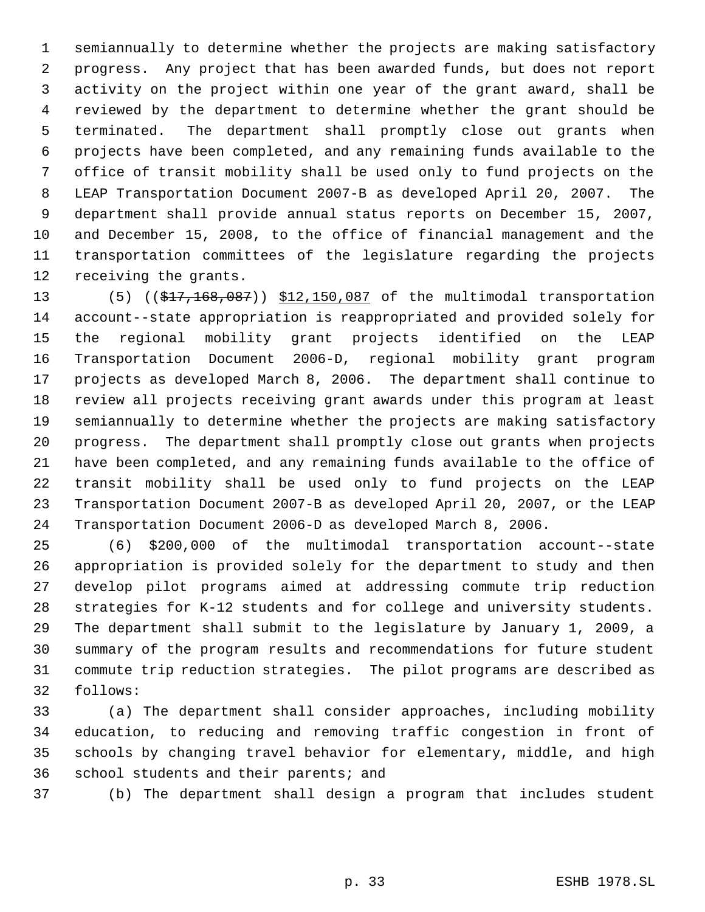semiannually to determine whether the projects are making satisfactory progress. Any project that has been awarded funds, but does not report activity on the project within one year of the grant award, shall be reviewed by the department to determine whether the grant should be terminated. The department shall promptly close out grants when projects have been completed, and any remaining funds available to the office of transit mobility shall be used only to fund projects on the LEAP Transportation Document 2007-B as developed April 20, 2007. The department shall provide annual status reports on December 15, 2007, and December 15, 2008, to the office of financial management and the transportation committees of the legislature regarding the projects receiving the grants.

13 (5) ((\$17,168,087)) \$12,150,087 of the multimodal transportation account--state appropriation is reappropriated and provided solely for the regional mobility grant projects identified on the LEAP Transportation Document 2006-D, regional mobility grant program projects as developed March 8, 2006. The department shall continue to review all projects receiving grant awards under this program at least semiannually to determine whether the projects are making satisfactory progress. The department shall promptly close out grants when projects have been completed, and any remaining funds available to the office of transit mobility shall be used only to fund projects on the LEAP Transportation Document 2007-B as developed April 20, 2007, or the LEAP Transportation Document 2006-D as developed March 8, 2006.

 (6) \$200,000 of the multimodal transportation account--state appropriation is provided solely for the department to study and then develop pilot programs aimed at addressing commute trip reduction strategies for K-12 students and for college and university students. The department shall submit to the legislature by January 1, 2009, a summary of the program results and recommendations for future student commute trip reduction strategies. The pilot programs are described as follows:

 (a) The department shall consider approaches, including mobility education, to reducing and removing traffic congestion in front of schools by changing travel behavior for elementary, middle, and high school students and their parents; and

(b) The department shall design a program that includes student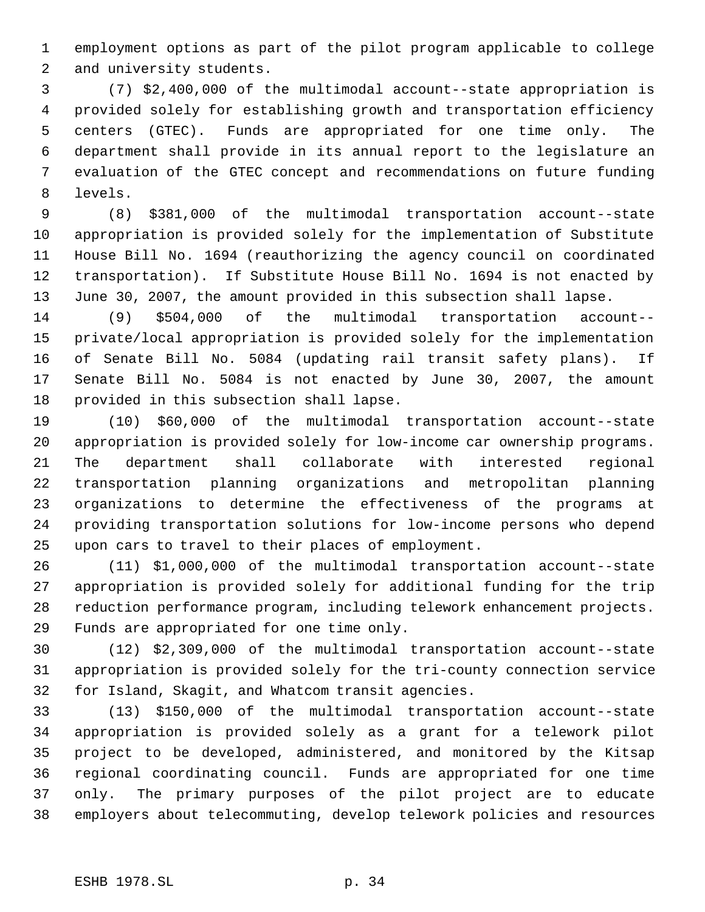employment options as part of the pilot program applicable to college and university students.

 (7) \$2,400,000 of the multimodal account--state appropriation is provided solely for establishing growth and transportation efficiency centers (GTEC). Funds are appropriated for one time only. The department shall provide in its annual report to the legislature an evaluation of the GTEC concept and recommendations on future funding levels.

 (8) \$381,000 of the multimodal transportation account--state appropriation is provided solely for the implementation of Substitute House Bill No. 1694 (reauthorizing the agency council on coordinated transportation). If Substitute House Bill No. 1694 is not enacted by June 30, 2007, the amount provided in this subsection shall lapse.

 (9) \$504,000 of the multimodal transportation account-- private/local appropriation is provided solely for the implementation of Senate Bill No. 5084 (updating rail transit safety plans). If Senate Bill No. 5084 is not enacted by June 30, 2007, the amount provided in this subsection shall lapse.

 (10) \$60,000 of the multimodal transportation account--state appropriation is provided solely for low-income car ownership programs. The department shall collaborate with interested regional transportation planning organizations and metropolitan planning organizations to determine the effectiveness of the programs at providing transportation solutions for low-income persons who depend upon cars to travel to their places of employment.

 (11) \$1,000,000 of the multimodal transportation account--state appropriation is provided solely for additional funding for the trip reduction performance program, including telework enhancement projects. Funds are appropriated for one time only.

 (12) \$2,309,000 of the multimodal transportation account--state appropriation is provided solely for the tri-county connection service for Island, Skagit, and Whatcom transit agencies.

 (13) \$150,000 of the multimodal transportation account--state appropriation is provided solely as a grant for a telework pilot project to be developed, administered, and monitored by the Kitsap regional coordinating council. Funds are appropriated for one time only. The primary purposes of the pilot project are to educate employers about telecommuting, develop telework policies and resources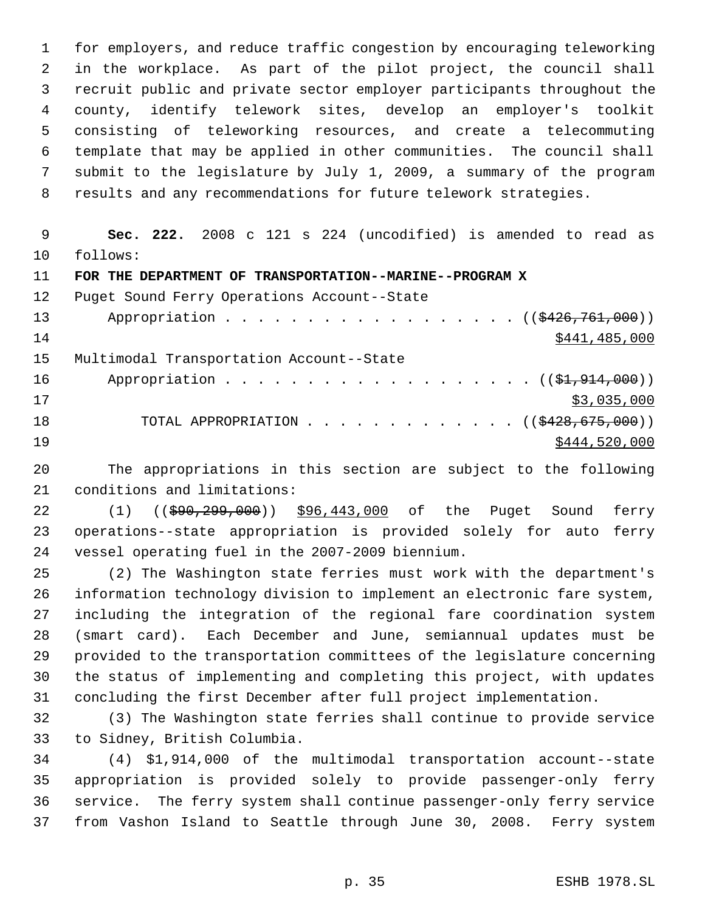for employers, and reduce traffic congestion by encouraging teleworking in the workplace. As part of the pilot project, the council shall recruit public and private sector employer participants throughout the county, identify telework sites, develop an employer's toolkit consisting of teleworking resources, and create a telecommuting template that may be applied in other communities. The council shall submit to the legislature by July 1, 2009, a summary of the program results and any recommendations for future telework strategies.

 **Sec. 222.** 2008 c 121 s 224 (uncodified) is amended to read as follows:

**FOR THE DEPARTMENT OF TRANSPORTATION--MARINE--PROGRAM X**

 Puget Sound Ferry Operations Account--State 13 Appropriation . . . . . . . . . . . . . . . . ((\$426,761,000)) \$441,485,000 Multimodal Transportation Account--State 16 Appropriation . . . . . . . . . . . . . . . . . (  $(\frac{21,914,000}{})$  \$3,035,000 18 TOTAL APPROPRIATION . . . . . . . . . . . . ((\$428,675,000)) 19 \$444,520,000

 The appropriations in this section are subject to the following conditions and limitations:

22 (1) ((\$90,299,000)) \$96,443,000 of the Puget Sound ferry operations--state appropriation is provided solely for auto ferry vessel operating fuel in the 2007-2009 biennium.

 (2) The Washington state ferries must work with the department's information technology division to implement an electronic fare system, including the integration of the regional fare coordination system (smart card). Each December and June, semiannual updates must be provided to the transportation committees of the legislature concerning the status of implementing and completing this project, with updates concluding the first December after full project implementation.

 (3) The Washington state ferries shall continue to provide service to Sidney, British Columbia.

 (4) \$1,914,000 of the multimodal transportation account--state appropriation is provided solely to provide passenger-only ferry service. The ferry system shall continue passenger-only ferry service from Vashon Island to Seattle through June 30, 2008. Ferry system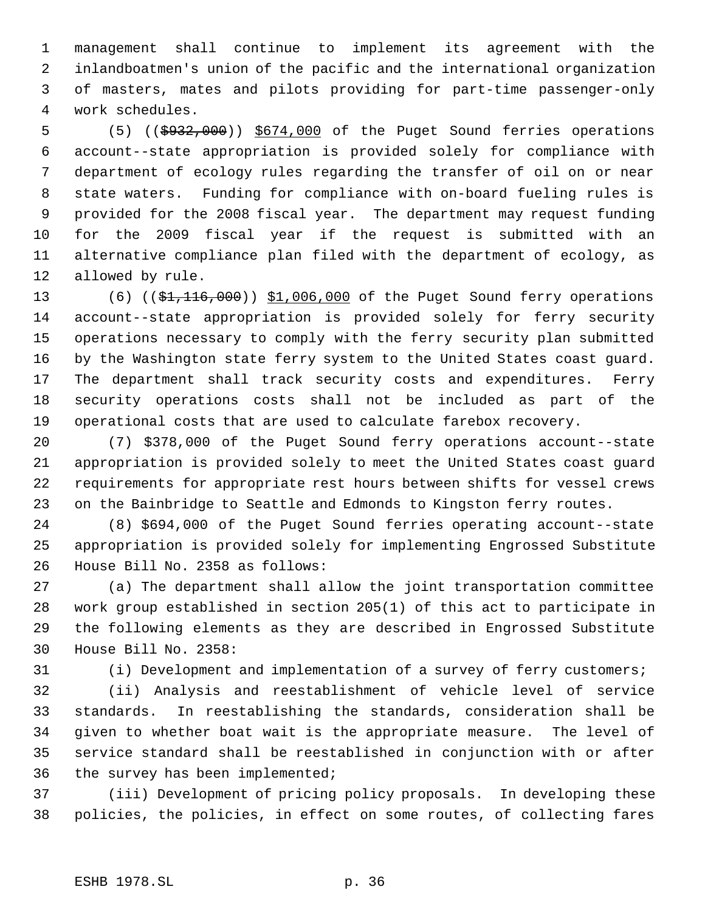management shall continue to implement its agreement with the inlandboatmen's union of the pacific and the international organization of masters, mates and pilots providing for part-time passenger-only work schedules.

 (5) ((\$932,000)) \$674,000 of the Puget Sound ferries operations account--state appropriation is provided solely for compliance with department of ecology rules regarding the transfer of oil on or near state waters. Funding for compliance with on-board fueling rules is provided for the 2008 fiscal year. The department may request funding for the 2009 fiscal year if the request is submitted with an alternative compliance plan filed with the department of ecology, as allowed by rule.

13 (6) ((\$1,116,000)) \$1,006,000 of the Puget Sound ferry operations account--state appropriation is provided solely for ferry security operations necessary to comply with the ferry security plan submitted by the Washington state ferry system to the United States coast guard. The department shall track security costs and expenditures. Ferry security operations costs shall not be included as part of the operational costs that are used to calculate farebox recovery.

 (7) \$378,000 of the Puget Sound ferry operations account--state appropriation is provided solely to meet the United States coast guard requirements for appropriate rest hours between shifts for vessel crews on the Bainbridge to Seattle and Edmonds to Kingston ferry routes.

 (8) \$694,000 of the Puget Sound ferries operating account--state appropriation is provided solely for implementing Engrossed Substitute House Bill No. 2358 as follows:

 (a) The department shall allow the joint transportation committee work group established in section 205(1) of this act to participate in the following elements as they are described in Engrossed Substitute House Bill No. 2358:

(i) Development and implementation of a survey of ferry customers;

 (ii) Analysis and reestablishment of vehicle level of service standards. In reestablishing the standards, consideration shall be given to whether boat wait is the appropriate measure. The level of service standard shall be reestablished in conjunction with or after the survey has been implemented;

 (iii) Development of pricing policy proposals. In developing these policies, the policies, in effect on some routes, of collecting fares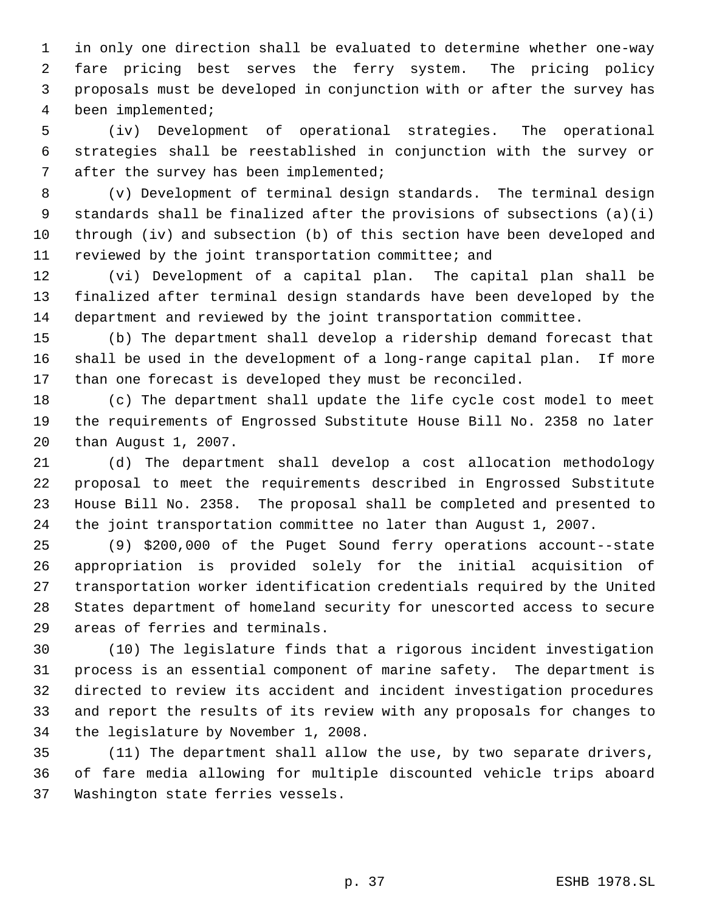in only one direction shall be evaluated to determine whether one-way fare pricing best serves the ferry system. The pricing policy proposals must be developed in conjunction with or after the survey has been implemented;

 (iv) Development of operational strategies. The operational strategies shall be reestablished in conjunction with the survey or 7 after the survey has been implemented;

 (v) Development of terminal design standards. The terminal design standards shall be finalized after the provisions of subsections (a)(i) through (iv) and subsection (b) of this section have been developed and reviewed by the joint transportation committee; and

 (vi) Development of a capital plan. The capital plan shall be finalized after terminal design standards have been developed by the department and reviewed by the joint transportation committee.

 (b) The department shall develop a ridership demand forecast that shall be used in the development of a long-range capital plan. If more than one forecast is developed they must be reconciled.

 (c) The department shall update the life cycle cost model to meet the requirements of Engrossed Substitute House Bill No. 2358 no later than August 1, 2007.

 (d) The department shall develop a cost allocation methodology proposal to meet the requirements described in Engrossed Substitute House Bill No. 2358. The proposal shall be completed and presented to the joint transportation committee no later than August 1, 2007.

 (9) \$200,000 of the Puget Sound ferry operations account--state appropriation is provided solely for the initial acquisition of transportation worker identification credentials required by the United States department of homeland security for unescorted access to secure areas of ferries and terminals.

 (10) The legislature finds that a rigorous incident investigation process is an essential component of marine safety. The department is directed to review its accident and incident investigation procedures and report the results of its review with any proposals for changes to the legislature by November 1, 2008.

 (11) The department shall allow the use, by two separate drivers, of fare media allowing for multiple discounted vehicle trips aboard Washington state ferries vessels.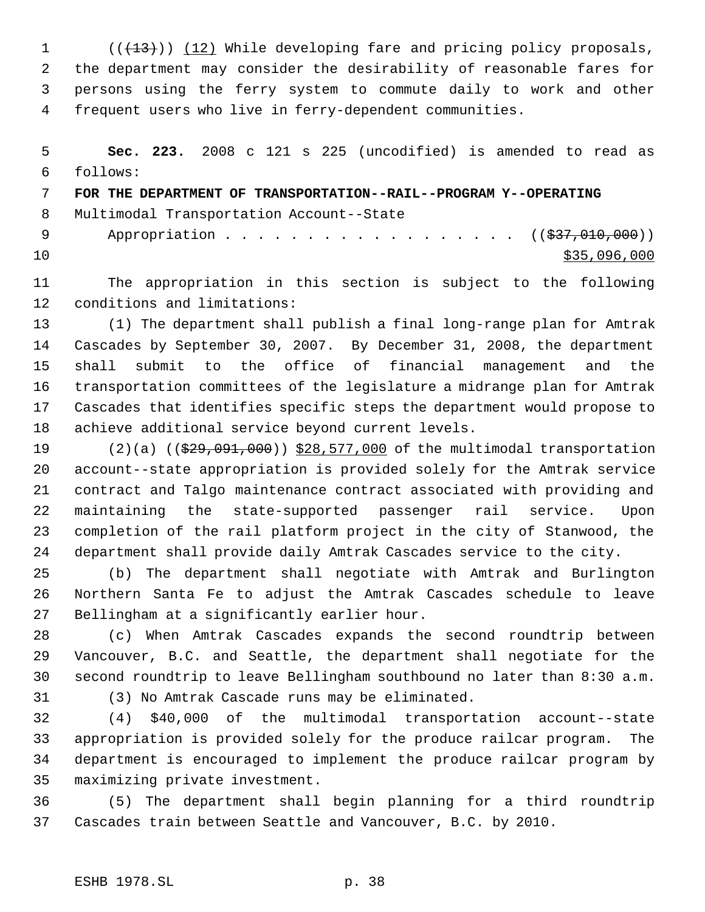1 (( $(13)$ )) (12) While developing fare and pricing policy proposals, the department may consider the desirability of reasonable fares for persons using the ferry system to commute daily to work and other frequent users who live in ferry-dependent communities.

 **Sec. 223.** 2008 c 121 s 225 (uncodified) is amended to read as follows: **FOR THE DEPARTMENT OF TRANSPORTATION--RAIL--PROGRAM Y--OPERATING** Multimodal Transportation Account--State 9 Appropriation . . . . . . . . . . . . . . . . . ((\$37,010,000))  $\frac{$35,096,000}{20}$ 

 The appropriation in this section is subject to the following conditions and limitations:

 (1) The department shall publish a final long-range plan for Amtrak Cascades by September 30, 2007. By December 31, 2008, the department shall submit to the office of financial management and the transportation committees of the legislature a midrange plan for Amtrak Cascades that identifies specific steps the department would propose to achieve additional service beyond current levels.

19 (2)(a) ((\$29,091,000)) \$28,577,000 of the multimodal transportation account--state appropriation is provided solely for the Amtrak service contract and Talgo maintenance contract associated with providing and maintaining the state-supported passenger rail service. Upon completion of the rail platform project in the city of Stanwood, the department shall provide daily Amtrak Cascades service to the city.

 (b) The department shall negotiate with Amtrak and Burlington Northern Santa Fe to adjust the Amtrak Cascades schedule to leave Bellingham at a significantly earlier hour.

 (c) When Amtrak Cascades expands the second roundtrip between Vancouver, B.C. and Seattle, the department shall negotiate for the second roundtrip to leave Bellingham southbound no later than 8:30 a.m.

(3) No Amtrak Cascade runs may be eliminated.

 (4) \$40,000 of the multimodal transportation account--state appropriation is provided solely for the produce railcar program. The department is encouraged to implement the produce railcar program by maximizing private investment.

 (5) The department shall begin planning for a third roundtrip Cascades train between Seattle and Vancouver, B.C. by 2010.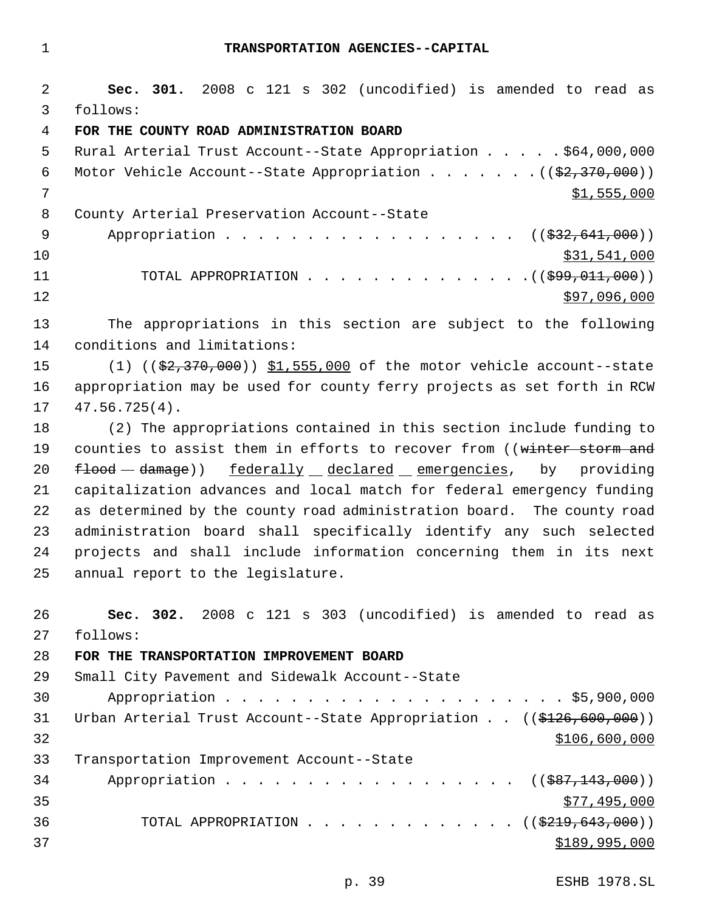**Sec. 301.** 2008 c 121 s 302 (uncodified) is amended to read as follows: **FOR THE COUNTY ROAD ADMINISTRATION BOARD** Rural Arterial Trust Account--State Appropriation . . . . . \$64,000,000 6 Motor Vehicle Account--State Appropriation . . . . . .  $($   $($ \$2,370,000))  $\frac{\$1,555,000}{\$}$  County Arterial Preservation Account--State 9 Appropriation . . . . . . . . . . . . . . . . ((\$32,641,000))  $\frac{10}{331}$ ,541,000 11 TOTAL APPROPRIATION . . . . . . . . . . . . . ((\$99,011,000)) \$97,096,000 The appropriations in this section are subject to the following conditions and limitations: 15 (1) ((\$2,370,000)) \$1,555,000 of the motor vehicle account--state appropriation may be used for county ferry projects as set forth in RCW 47.56.725(4). (2) The appropriations contained in this section include funding to 19 counties to assist them in efforts to recover from ((winter storm and  $f$ lood  $-d$ amage)) federally declared emergencies, by providing capitalization advances and local match for federal emergency funding as determined by the county road administration board. The county road administration board shall specifically identify any such selected projects and shall include information concerning them in its next annual report to the legislature. **Sec. 302.** 2008 c 121 s 303 (uncodified) is amended to read as follows: **FOR THE TRANSPORTATION IMPROVEMENT BOARD** Small City Pavement and Sidewalk Account--State Appropriation . . . . . . . . . . . . . . . . . . . . . \$5,900,000 31 Urban Arterial Trust Account--State Appropriation . . ((\$126,600,000)) \$106,600,000 Transportation Improvement Account--State 34 Appropriation . . . . . . . . . . . . . . . . ((\$87,143,000))  $577,495,000$ 36 TOTAL APPROPRIATION . . . . . . . . . . . . ((\$219,643,000))  $$189,995,000$ 

p. 39 ESHB 1978.SL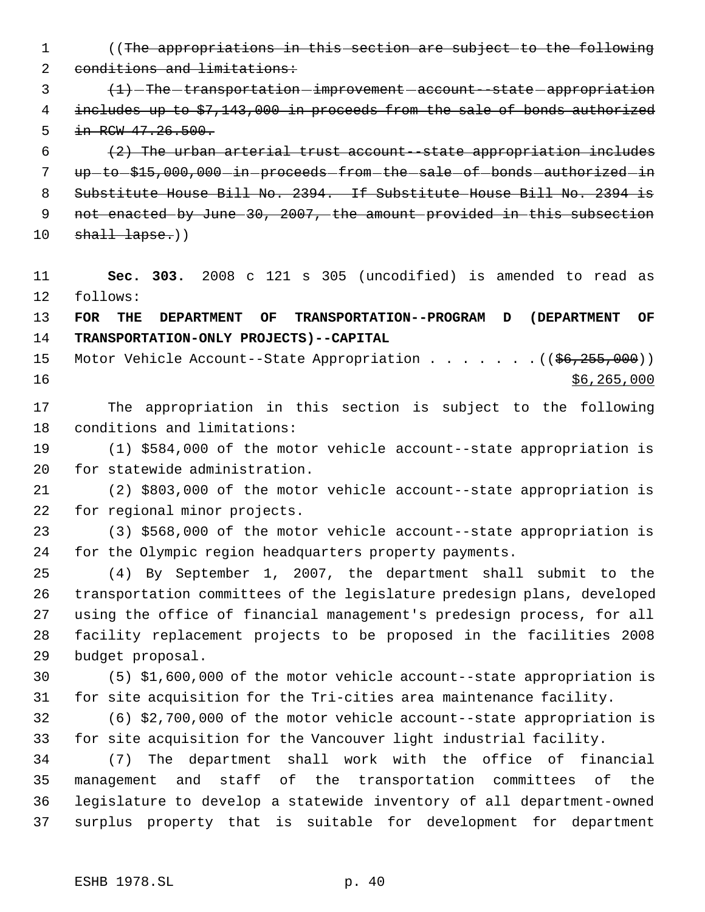- ((The appropriations in this section are subject to the following 2 conditions and limitations:
- 3  $(1)$  -The -transportation -improvement account -state -appropriation 4 includes up to \$7,143,000 in proceeds from the sale of bonds authorized 5 in RCW 47.26.500.
- (2) The urban arterial trust account--state appropriation includes 7 up-to-\$15,000,000-in-proceeds-from-the-sale-of-bonds-authorized-in Substitute House Bill No. 2394. If Substitute House Bill No. 2394 is not enacted by June 30, 2007, the amount provided in this subsection shall lapse.))
- **Sec. 303.** 2008 c 121 s 305 (uncodified) is amended to read as follows:
- **FOR THE DEPARTMENT OF TRANSPORTATION--PROGRAM D (DEPARTMENT OF TRANSPORTATION-ONLY PROJECTS)--CAPITAL**
- 15 Motor Vehicle Account--State Appropriation . . . . . . . ((\$6,255,000)) \$6,265,000
- The appropriation in this section is subject to the following conditions and limitations:
- (1) \$584,000 of the motor vehicle account--state appropriation is for statewide administration.
- (2) \$803,000 of the motor vehicle account--state appropriation is for regional minor projects.
- (3) \$568,000 of the motor vehicle account--state appropriation is for the Olympic region headquarters property payments.
- (4) By September 1, 2007, the department shall submit to the transportation committees of the legislature predesign plans, developed using the office of financial management's predesign process, for all facility replacement projects to be proposed in the facilities 2008 budget proposal.
- (5) \$1,600,000 of the motor vehicle account--state appropriation is for site acquisition for the Tri-cities area maintenance facility.
- (6) \$2,700,000 of the motor vehicle account--state appropriation is for site acquisition for the Vancouver light industrial facility.
- (7) The department shall work with the office of financial management and staff of the transportation committees of the legislature to develop a statewide inventory of all department-owned surplus property that is suitable for development for department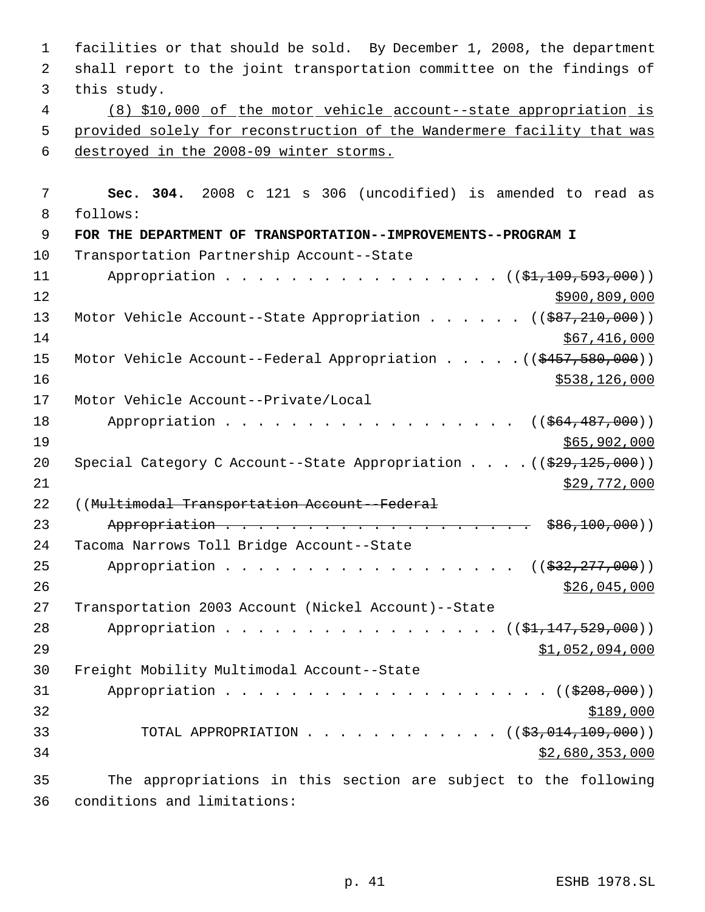facilities or that should be sold. By December 1, 2008, the department shall report to the joint transportation committee on the findings of this study. (8) \$10,000 of the motor vehicle account--state appropriation is provided solely for reconstruction of the Wandermere facility that was destroyed in the 2008-09 winter storms. **Sec. 304.** 2008 c 121 s 306 (uncodified) is amended to read as follows: **FOR THE DEPARTMENT OF TRANSPORTATION--IMPROVEMENTS--PROGRAM I** Transportation Partnership Account--State 11 Appropriation . . . . . . . . . . . . . . . ((\$1,109,593,000)) \$900,809,000 13 Motor Vehicle Account--State Appropriation . . . . . ((\$87,210,000)) \$67,416,000 15 Motor Vehicle Account--Federal Appropriation . . . . . ((\$457,580,000)) 16 \$538,126,000 Motor Vehicle Account--Private/Local 18 Appropriation . . . . . . . . . . . . . . . . ((\$64,487,000)) \$65,902,000 20 Special Category C Account--State Appropriation . . . . ((\$29,125,000)) \$29,772,000 ((Multimodal Transportation Account--Federal 23 Appropriation . . . . . . . . . . . . . . . . . . \$86,100,000) Tacoma Narrows Toll Bridge Account--State 25 Appropriation . . . . . . . . . . . . . . . . ((\$32,277,000))  $$26,045,000$  Transportation 2003 Account (Nickel Account)--State 28 Appropriation . . . . . . . . . . . . . . . ((\$1,147,529,000)) \$1,052,094,000 Freight Mobility Multimodal Account--State 31 Appropriation . . . . . . . . . . . . . . . . . ((\$208,000)) 33 TOTAL APPROPRIATION . . . . . . . . . . . . ((\$3,014,109,000)) \$2,680,353,000 The appropriations in this section are subject to the following conditions and limitations: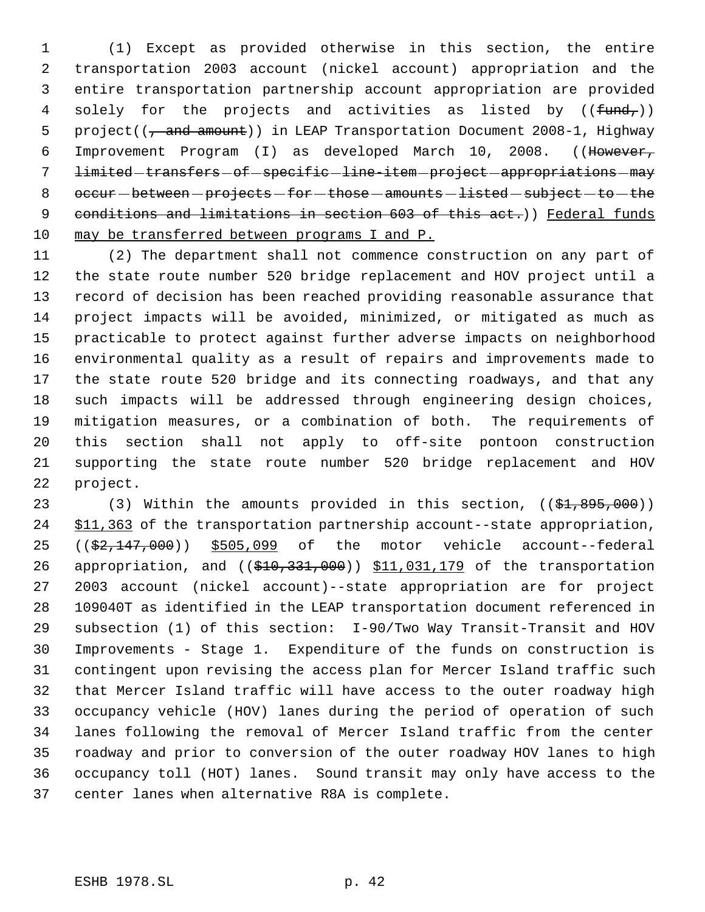(1) Except as provided otherwise in this section, the entire transportation 2003 account (nickel account) appropriation and the entire transportation partnership account appropriation are provided 4 solely for the projects and activities as listed by  $((fund<sub>r</sub>))$ 5 project(( $\frac{1}{7}$  and amount)) in LEAP Transportation Document 2008-1, Highway Improvement Program (I) as developed March 10, 2008. ((However, 7 limited-transfers-of-specific-line-item-project-appropriations-may 8  $occur - between - projects - for - those - amounts - listed - subject - to - the$ 9 conditions and limitations in section 603 of this act.)) Federal funds may be transferred between programs I and P.

 (2) The department shall not commence construction on any part of the state route number 520 bridge replacement and HOV project until a record of decision has been reached providing reasonable assurance that project impacts will be avoided, minimized, or mitigated as much as practicable to protect against further adverse impacts on neighborhood environmental quality as a result of repairs and improvements made to the state route 520 bridge and its connecting roadways, and that any such impacts will be addressed through engineering design choices, mitigation measures, or a combination of both. The requirements of this section shall not apply to off-site pontoon construction supporting the state route number 520 bridge replacement and HOV project.

23 (3) Within the amounts provided in this section, ((\$1,895,000)) 24 \$11,363 of the transportation partnership account--state appropriation, ((\$2,147,000)) \$505,099 of the motor vehicle account--federal 26 appropriation, and ((\$10,331,000)) \$11,031,179 of the transportation 2003 account (nickel account)--state appropriation are for project 109040T as identified in the LEAP transportation document referenced in subsection (1) of this section: I-90/Two Way Transit-Transit and HOV Improvements - Stage 1. Expenditure of the funds on construction is contingent upon revising the access plan for Mercer Island traffic such that Mercer Island traffic will have access to the outer roadway high occupancy vehicle (HOV) lanes during the period of operation of such lanes following the removal of Mercer Island traffic from the center roadway and prior to conversion of the outer roadway HOV lanes to high occupancy toll (HOT) lanes. Sound transit may only have access to the center lanes when alternative R8A is complete.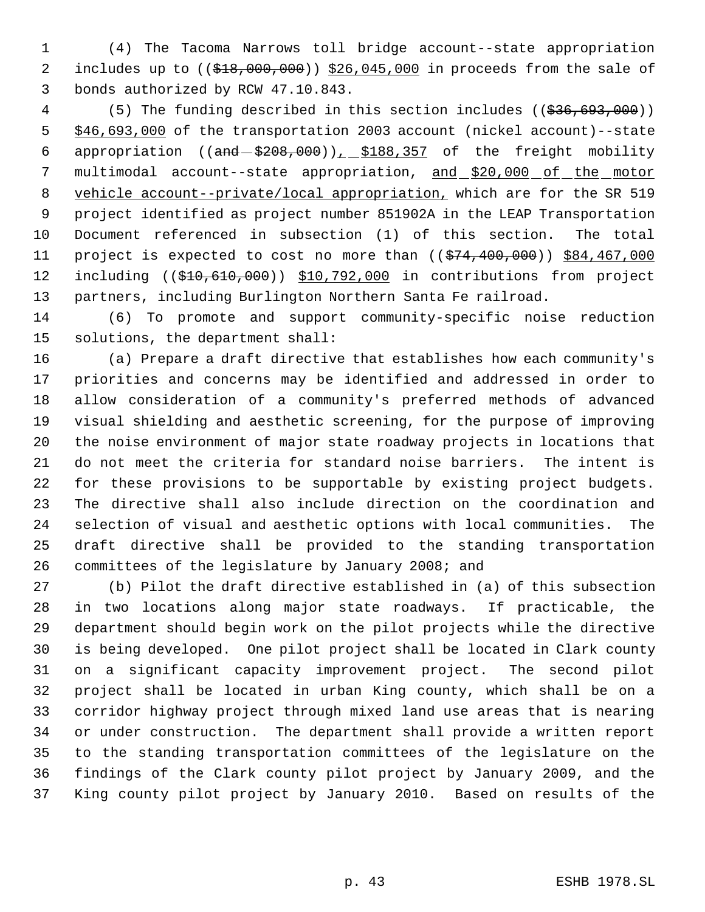(4) The Tacoma Narrows toll bridge account--state appropriation 2 includes up to  $((\frac{218}{100},000,000))$  \$26,045,000 in proceeds from the sale of bonds authorized by RCW 47.10.843.

4 (5) The funding described in this section includes ((\$36,693,000)) \$46,693,000 of the transportation 2003 account (nickel account)--state 6 appropriation  $((and - $208,000))$ ,  $$188,357$  of the freight mobility 7 multimodal account--state appropriation, and \$20,000 of the motor vehicle account--private/local appropriation, which are for the SR 519 project identified as project number 851902A in the LEAP Transportation Document referenced in subsection (1) of this section. The total 11 project is expected to cost no more than  $((\frac{274}{100}, 000))$  \$84,467,000 12 including ((\$10,610,000)) \$10,792,000 in contributions from project partners, including Burlington Northern Santa Fe railroad.

 (6) To promote and support community-specific noise reduction solutions, the department shall:

 (a) Prepare a draft directive that establishes how each community's priorities and concerns may be identified and addressed in order to allow consideration of a community's preferred methods of advanced visual shielding and aesthetic screening, for the purpose of improving the noise environment of major state roadway projects in locations that do not meet the criteria for standard noise barriers. The intent is for these provisions to be supportable by existing project budgets. The directive shall also include direction on the coordination and selection of visual and aesthetic options with local communities. The draft directive shall be provided to the standing transportation committees of the legislature by January 2008; and

 (b) Pilot the draft directive established in (a) of this subsection in two locations along major state roadways. If practicable, the department should begin work on the pilot projects while the directive is being developed. One pilot project shall be located in Clark county on a significant capacity improvement project. The second pilot project shall be located in urban King county, which shall be on a corridor highway project through mixed land use areas that is nearing or under construction. The department shall provide a written report to the standing transportation committees of the legislature on the findings of the Clark county pilot project by January 2009, and the King county pilot project by January 2010. Based on results of the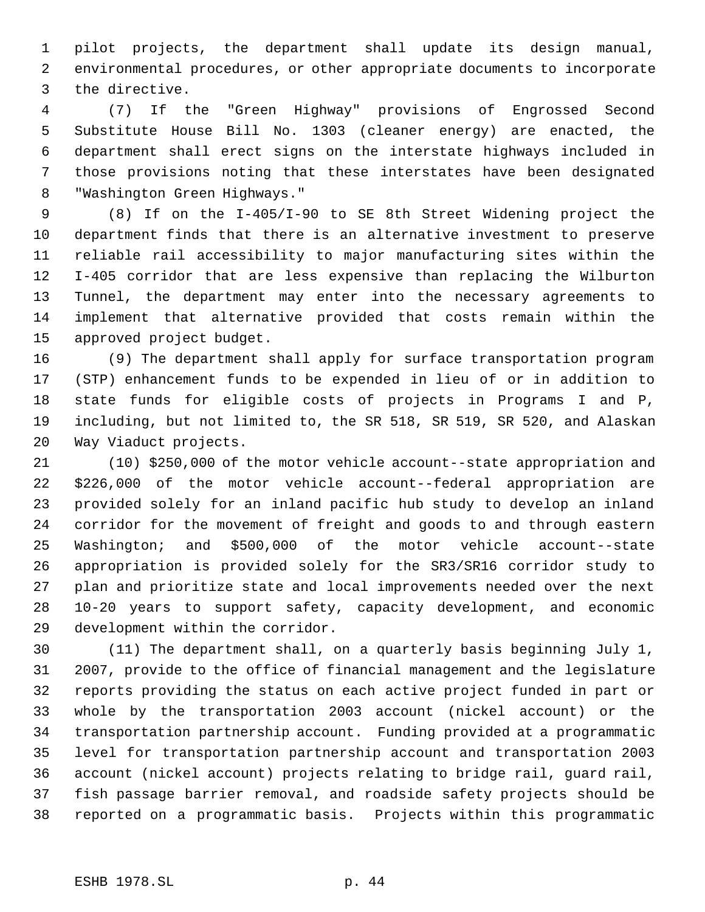pilot projects, the department shall update its design manual, environmental procedures, or other appropriate documents to incorporate the directive.

 (7) If the "Green Highway" provisions of Engrossed Second Substitute House Bill No. 1303 (cleaner energy) are enacted, the department shall erect signs on the interstate highways included in those provisions noting that these interstates have been designated "Washington Green Highways."

 (8) If on the I-405/I-90 to SE 8th Street Widening project the department finds that there is an alternative investment to preserve reliable rail accessibility to major manufacturing sites within the I-405 corridor that are less expensive than replacing the Wilburton Tunnel, the department may enter into the necessary agreements to implement that alternative provided that costs remain within the approved project budget.

 (9) The department shall apply for surface transportation program (STP) enhancement funds to be expended in lieu of or in addition to state funds for eligible costs of projects in Programs I and P, including, but not limited to, the SR 518, SR 519, SR 520, and Alaskan Way Viaduct projects.

 (10) \$250,000 of the motor vehicle account--state appropriation and \$226,000 of the motor vehicle account--federal appropriation are provided solely for an inland pacific hub study to develop an inland corridor for the movement of freight and goods to and through eastern Washington; and \$500,000 of the motor vehicle account--state appropriation is provided solely for the SR3/SR16 corridor study to plan and prioritize state and local improvements needed over the next 10-20 years to support safety, capacity development, and economic development within the corridor.

 (11) The department shall, on a quarterly basis beginning July 1, 2007, provide to the office of financial management and the legislature reports providing the status on each active project funded in part or whole by the transportation 2003 account (nickel account) or the transportation partnership account. Funding provided at a programmatic level for transportation partnership account and transportation 2003 account (nickel account) projects relating to bridge rail, guard rail, fish passage barrier removal, and roadside safety projects should be reported on a programmatic basis. Projects within this programmatic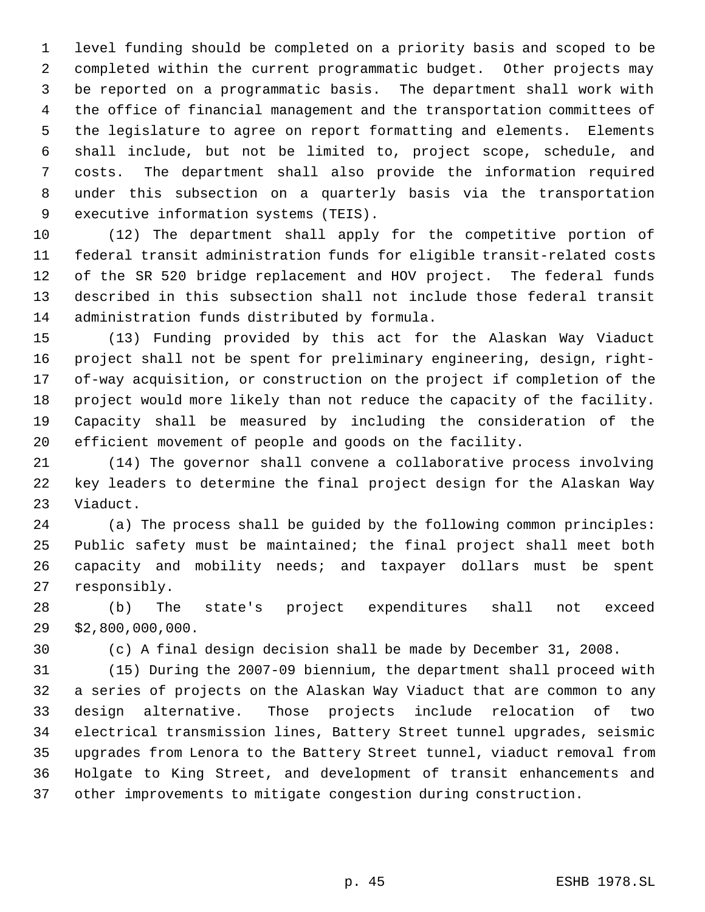level funding should be completed on a priority basis and scoped to be completed within the current programmatic budget. Other projects may be reported on a programmatic basis. The department shall work with the office of financial management and the transportation committees of the legislature to agree on report formatting and elements. Elements shall include, but not be limited to, project scope, schedule, and costs. The department shall also provide the information required under this subsection on a quarterly basis via the transportation executive information systems (TEIS).

 (12) The department shall apply for the competitive portion of federal transit administration funds for eligible transit-related costs of the SR 520 bridge replacement and HOV project. The federal funds described in this subsection shall not include those federal transit administration funds distributed by formula.

 (13) Funding provided by this act for the Alaskan Way Viaduct project shall not be spent for preliminary engineering, design, right- of-way acquisition, or construction on the project if completion of the project would more likely than not reduce the capacity of the facility. Capacity shall be measured by including the consideration of the efficient movement of people and goods on the facility.

 (14) The governor shall convene a collaborative process involving key leaders to determine the final project design for the Alaskan Way Viaduct.

 (a) The process shall be guided by the following common principles: Public safety must be maintained; the final project shall meet both capacity and mobility needs; and taxpayer dollars must be spent responsibly.

 (b) The state's project expenditures shall not exceed \$2,800,000,000.

(c) A final design decision shall be made by December 31, 2008.

 (15) During the 2007-09 biennium, the department shall proceed with a series of projects on the Alaskan Way Viaduct that are common to any design alternative. Those projects include relocation of two electrical transmission lines, Battery Street tunnel upgrades, seismic upgrades from Lenora to the Battery Street tunnel, viaduct removal from Holgate to King Street, and development of transit enhancements and other improvements to mitigate congestion during construction.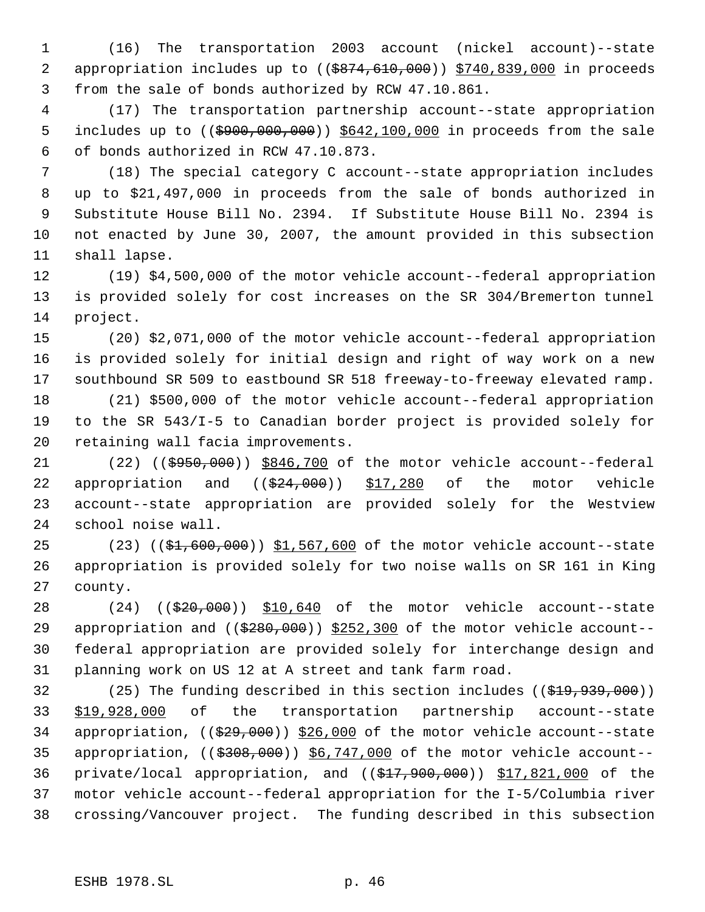(16) The transportation 2003 account (nickel account)--state 2 appropriation includes up to ((\$874,610,000)) \$740,839,000 in proceeds from the sale of bonds authorized by RCW 47.10.861.

 (17) The transportation partnership account--state appropriation 5 includes up to ((\$900,000,000)) \$642,100,000 in proceeds from the sale of bonds authorized in RCW 47.10.873.

 (18) The special category C account--state appropriation includes up to \$21,497,000 in proceeds from the sale of bonds authorized in Substitute House Bill No. 2394. If Substitute House Bill No. 2394 is not enacted by June 30, 2007, the amount provided in this subsection shall lapse.

 (19) \$4,500,000 of the motor vehicle account--federal appropriation is provided solely for cost increases on the SR 304/Bremerton tunnel project.

 (20) \$2,071,000 of the motor vehicle account--federal appropriation is provided solely for initial design and right of way work on a new southbound SR 509 to eastbound SR 518 freeway-to-freeway elevated ramp.

 (21) \$500,000 of the motor vehicle account--federal appropriation to the SR 543/I-5 to Canadian border project is provided solely for retaining wall facia improvements.

21 (22) ((\$950,000)) \$846,700 of the motor vehicle account--federal 22 appropriation and  $((\$24,000))$  \$17,280 of the motor vehicle account--state appropriation are provided solely for the Westview school noise wall.

25 (23) ((\$1,600,000)) \$1,567,600 of the motor vehicle account--state appropriation is provided solely for two noise walls on SR 161 in King county.

28 (24) ((\$20,000)) \$10,640 of the motor vehicle account--state 29 appropriation and  $($   $(*280,000)$  \$252,300 of the motor vehicle account-- federal appropriation are provided solely for interchange design and planning work on US 12 at A street and tank farm road.

 (25) The funding described in this section includes ((\$19,939,000)) \$19,928,000 of the transportation partnership account--state 34 appropriation, ((\$29,000)) \$26,000 of the motor vehicle account--state 35 appropriation, ((\$308,000)) \$6,747,000 of the motor vehicle account--36 private/local appropriation, and  $($  $$17,900,000)$ ) \$17,821,000 of the motor vehicle account--federal appropriation for the I-5/Columbia river crossing/Vancouver project. The funding described in this subsection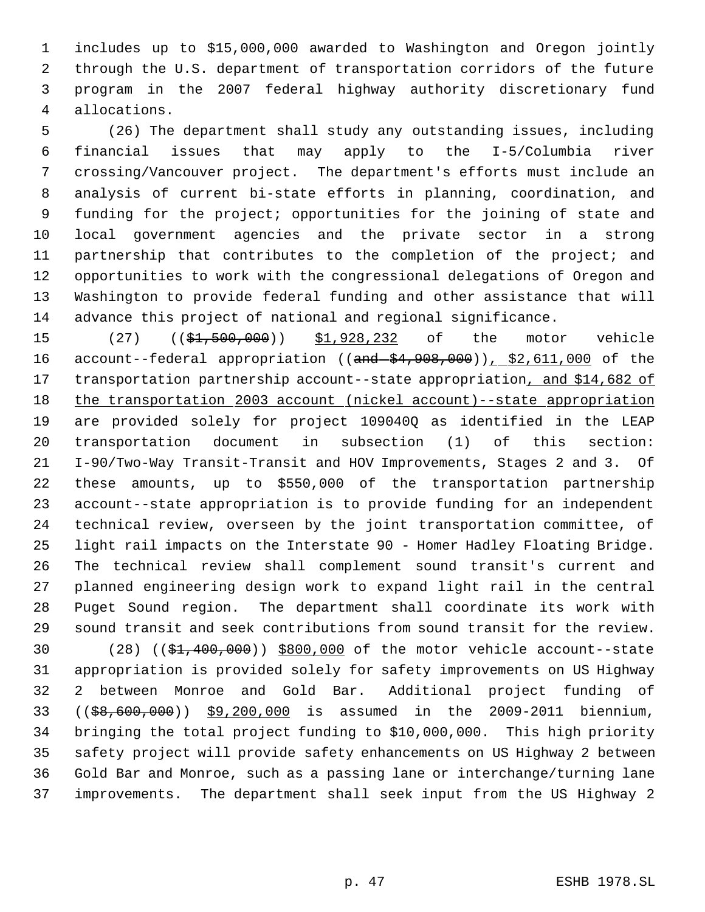includes up to \$15,000,000 awarded to Washington and Oregon jointly through the U.S. department of transportation corridors of the future program in the 2007 federal highway authority discretionary fund allocations.

 (26) The department shall study any outstanding issues, including financial issues that may apply to the I-5/Columbia river crossing/Vancouver project. The department's efforts must include an analysis of current bi-state efforts in planning, coordination, and funding for the project; opportunities for the joining of state and local government agencies and the private sector in a strong partnership that contributes to the completion of the project; and opportunities to work with the congressional delegations of Oregon and Washington to provide federal funding and other assistance that will advance this project of national and regional significance.

15 (27) ((\$1,500,000)) \$1,928,232 of the motor vehicle 16 account--federal appropriation ((and  $(4, 908, 000)$ ), \$2,611,000 of the 17 transportation partnership account--state appropriation, and \$14,682 of 18 the transportation 2003 account (nickel account)--state appropriation are provided solely for project 109040Q as identified in the LEAP transportation document in subsection (1) of this section: I-90/Two-Way Transit-Transit and HOV Improvements, Stages 2 and 3. Of these amounts, up to \$550,000 of the transportation partnership account--state appropriation is to provide funding for an independent technical review, overseen by the joint transportation committee, of light rail impacts on the Interstate 90 - Homer Hadley Floating Bridge. The technical review shall complement sound transit's current and planned engineering design work to expand light rail in the central Puget Sound region. The department shall coordinate its work with sound transit and seek contributions from sound transit for the review. 30 (28) ((\$1,400,000)) \$800,000 of the motor vehicle account--state appropriation is provided solely for safety improvements on US Highway 2 between Monroe and Gold Bar. Additional project funding of

 ((\$8,600,000)) \$9,200,000 is assumed in the 2009-2011 biennium, bringing the total project funding to \$10,000,000. This high priority safety project will provide safety enhancements on US Highway 2 between Gold Bar and Monroe, such as a passing lane or interchange/turning lane improvements. The department shall seek input from the US Highway 2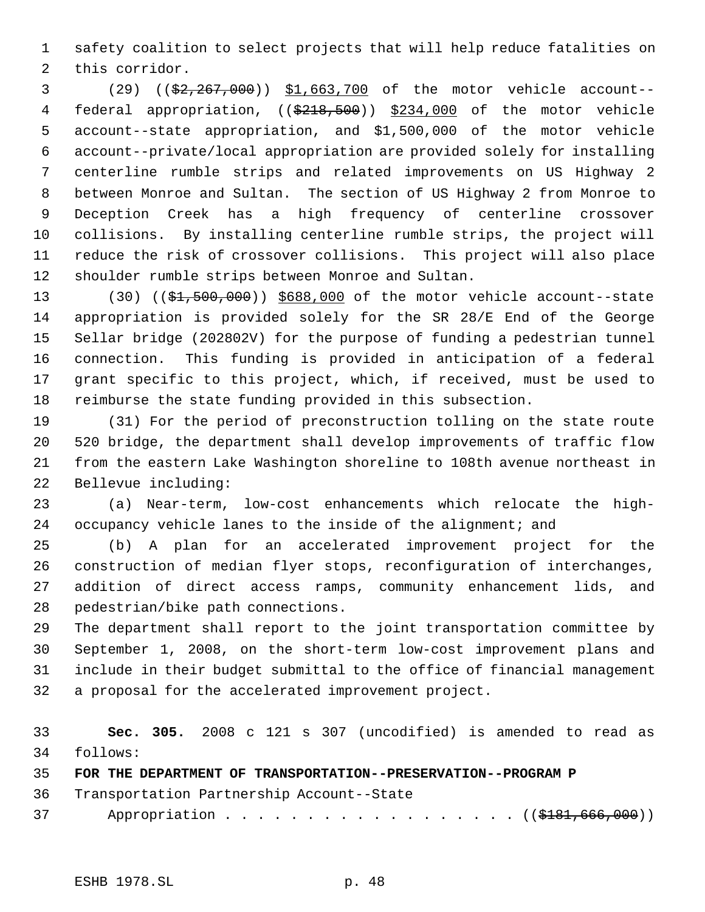safety coalition to select projects that will help reduce fatalities on this corridor.

 (29) ((\$2,267,000)) \$1,663,700 of the motor vehicle account-- 4 federal appropriation, ((\$218,500)) \$234,000 of the motor vehicle account--state appropriation, and \$1,500,000 of the motor vehicle account--private/local appropriation are provided solely for installing centerline rumble strips and related improvements on US Highway 2 between Monroe and Sultan. The section of US Highway 2 from Monroe to Deception Creek has a high frequency of centerline crossover collisions. By installing centerline rumble strips, the project will reduce the risk of crossover collisions. This project will also place shoulder rumble strips between Monroe and Sultan.

13 (30) ((\$1,500,000)) \$688,000 of the motor vehicle account--state appropriation is provided solely for the SR 28/E End of the George Sellar bridge (202802V) for the purpose of funding a pedestrian tunnel connection. This funding is provided in anticipation of a federal grant specific to this project, which, if received, must be used to reimburse the state funding provided in this subsection.

 (31) For the period of preconstruction tolling on the state route 520 bridge, the department shall develop improvements of traffic flow from the eastern Lake Washington shoreline to 108th avenue northeast in Bellevue including:

 (a) Near-term, low-cost enhancements which relocate the high-24 occupancy vehicle lanes to the inside of the alignment; and

 (b) A plan for an accelerated improvement project for the construction of median flyer stops, reconfiguration of interchanges, addition of direct access ramps, community enhancement lids, and pedestrian/bike path connections.

 The department shall report to the joint transportation committee by September 1, 2008, on the short-term low-cost improvement plans and include in their budget submittal to the office of financial management a proposal for the accelerated improvement project.

 **Sec. 305.** 2008 c 121 s 307 (uncodified) is amended to read as follows:

**FOR THE DEPARTMENT OF TRANSPORTATION--PRESERVATION--PROGRAM P** 

Transportation Partnership Account--State

37 Appropriation . . . . . . . . . . . . . . . . ((\$181,666,000))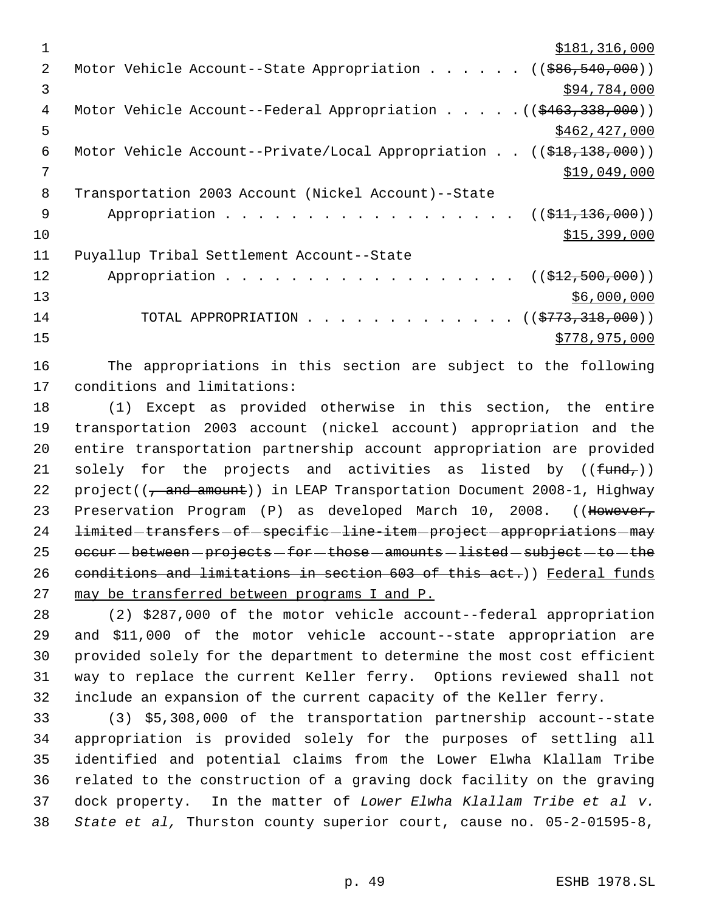$\frac{$181,316,000}{2}$ 2 Motor Vehicle Account--State Appropriation . . . . . . ((\$86,540,000))  $\frac{1}{2}$   $\frac{1}{2}$   $\frac{1}{2}$   $\frac{1}{2}$   $\frac{1}{2}$   $\frac{1}{2}$   $\frac{1}{2}$   $\frac{1}{2}$   $\frac{1}{2}$   $\frac{1}{2}$   $\frac{1}{2}$   $\frac{1}{2}$   $\frac{1}{2}$   $\frac{1}{2}$   $\frac{1}{2}$   $\frac{1}{2}$   $\frac{1}{2}$   $\frac{1}{2}$   $\frac{1}{2}$   $\frac{1}{2}$   $\frac{1}{2}$   $\frac{1}{2}$  4 Motor Vehicle Account--Federal Appropriation . . . . . ((\$463,338,000))  $\frac{$462,427,000}{5}$  Motor Vehicle Account--Private/Local Appropriation . . ((\$18,138,000)) \$19,049,000 Transportation 2003 Account (Nickel Account)--State 9 Appropriation . . . . . . . . . . . . . . . . ((\$<del>11,136,000</del>)) \$15,399,000 Puyallup Tribal Settlement Account--State 12 Appropriation . . . . . . . . . . . . . . . . ((\$12,500,000))  $\frac{$6,000,000}{ }$ 14 TOTAL APPROPRIATION . . . . . . . . . . . . ((<del>\$773,318,000</del>)) \$778,975,000

 The appropriations in this section are subject to the following conditions and limitations:

 (1) Except as provided otherwise in this section, the entire transportation 2003 account (nickel account) appropriation and the entire transportation partnership account appropriation are provided 21 solely for the projects and activities as listed by  $((f<sub>und<sub>r</sub>)</sub>)$ 22 project( $(\frac{1}{2} + \frac{1}{2})$ ) in LEAP Transportation Document 2008-1, Highway 23 Preservation Program (P) as developed March 10, 2008. ((However, 24 limited-transfers-of-specific-line-item-project-appropriations-may occur - between - projects - for - those - amounts - listed - subject - to - the 26 conditions and limitations in section 603 of this act.)) Federal funds may be transferred between programs I and P.

 (2) \$287,000 of the motor vehicle account--federal appropriation and \$11,000 of the motor vehicle account--state appropriation are provided solely for the department to determine the most cost efficient way to replace the current Keller ferry. Options reviewed shall not include an expansion of the current capacity of the Keller ferry.

 (3) \$5,308,000 of the transportation partnership account--state appropriation is provided solely for the purposes of settling all identified and potential claims from the Lower Elwha Klallam Tribe related to the construction of a graving dock facility on the graving dock property. In the matter of *Lower Elwha Klallam Tribe et al v. State et al,* Thurston county superior court, cause no. 05-2-01595-8,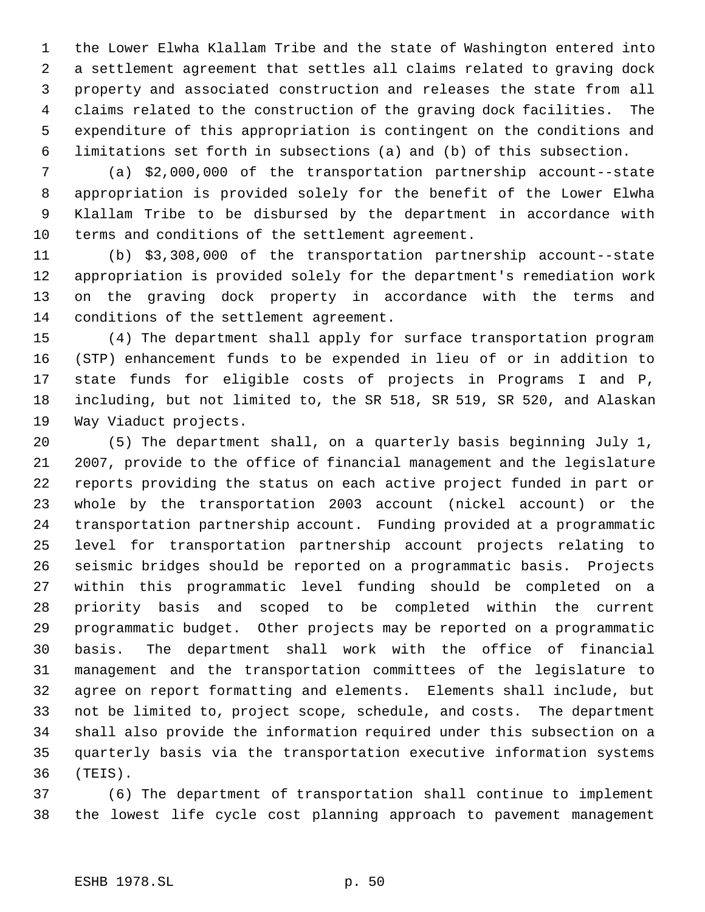the Lower Elwha Klallam Tribe and the state of Washington entered into a settlement agreement that settles all claims related to graving dock property and associated construction and releases the state from all claims related to the construction of the graving dock facilities. The expenditure of this appropriation is contingent on the conditions and limitations set forth in subsections (a) and (b) of this subsection.

 (a) \$2,000,000 of the transportation partnership account--state appropriation is provided solely for the benefit of the Lower Elwha Klallam Tribe to be disbursed by the department in accordance with terms and conditions of the settlement agreement.

 (b) \$3,308,000 of the transportation partnership account--state appropriation is provided solely for the department's remediation work on the graving dock property in accordance with the terms and conditions of the settlement agreement.

 (4) The department shall apply for surface transportation program (STP) enhancement funds to be expended in lieu of or in addition to state funds for eligible costs of projects in Programs I and P, including, but not limited to, the SR 518, SR 519, SR 520, and Alaskan Way Viaduct projects.

 (5) The department shall, on a quarterly basis beginning July 1, 2007, provide to the office of financial management and the legislature reports providing the status on each active project funded in part or whole by the transportation 2003 account (nickel account) or the transportation partnership account. Funding provided at a programmatic level for transportation partnership account projects relating to seismic bridges should be reported on a programmatic basis. Projects within this programmatic level funding should be completed on a priority basis and scoped to be completed within the current programmatic budget. Other projects may be reported on a programmatic basis. The department shall work with the office of financial management and the transportation committees of the legislature to agree on report formatting and elements. Elements shall include, but not be limited to, project scope, schedule, and costs. The department shall also provide the information required under this subsection on a quarterly basis via the transportation executive information systems (TEIS).

 (6) The department of transportation shall continue to implement the lowest life cycle cost planning approach to pavement management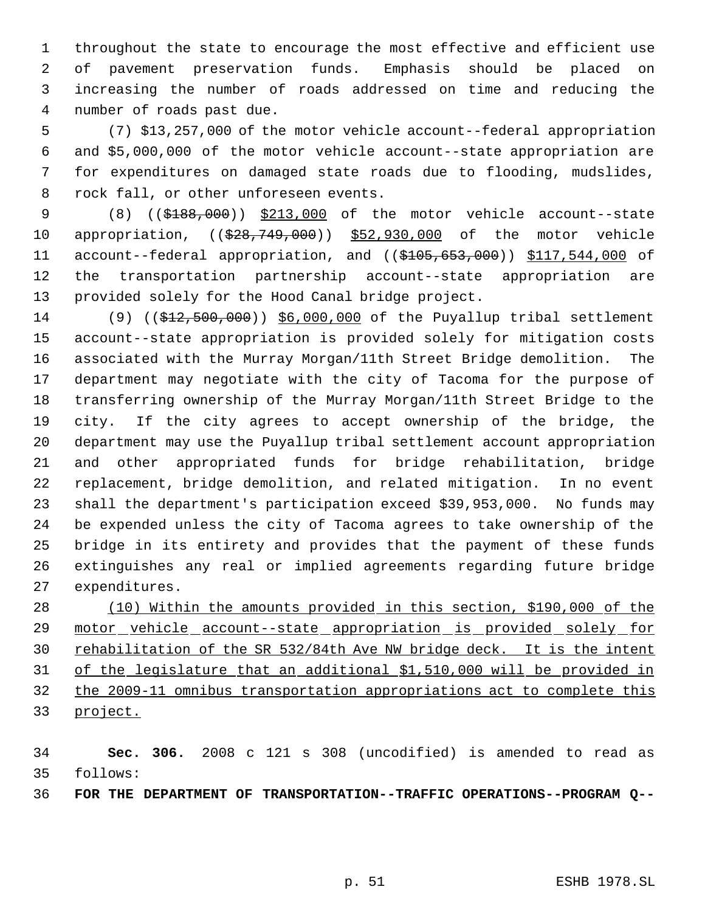throughout the state to encourage the most effective and efficient use of pavement preservation funds. Emphasis should be placed on increasing the number of roads addressed on time and reducing the number of roads past due.

 (7) \$13,257,000 of the motor vehicle account--federal appropriation and \$5,000,000 of the motor vehicle account--state appropriation are for expenditures on damaged state roads due to flooding, mudslides, rock fall, or other unforeseen events.

9 (8) ((\$188,000)) \$213,000 of the motor vehicle account--state 10 appropriation, ((\$28,749,000)) \$52,930,000 of the motor vehicle 11 account--federal appropriation, and ((\$105,653,000)) \$117,544,000 of the transportation partnership account--state appropriation are provided solely for the Hood Canal bridge project.

 (9) ((\$12,500,000)) \$6,000,000 of the Puyallup tribal settlement account--state appropriation is provided solely for mitigation costs associated with the Murray Morgan/11th Street Bridge demolition. The department may negotiate with the city of Tacoma for the purpose of transferring ownership of the Murray Morgan/11th Street Bridge to the city. If the city agrees to accept ownership of the bridge, the department may use the Puyallup tribal settlement account appropriation and other appropriated funds for bridge rehabilitation, bridge replacement, bridge demolition, and related mitigation. In no event shall the department's participation exceed \$39,953,000. No funds may be expended unless the city of Tacoma agrees to take ownership of the bridge in its entirety and provides that the payment of these funds extinguishes any real or implied agreements regarding future bridge expenditures.

 (10) Within the amounts provided in this section, \$190,000 of the 29 motor vehicle account--state appropriation is provided solely for rehabilitation of the SR 532/84th Ave NW bridge deck. It is the intent of the legislature that an additional \$1,510,000 will be provided in the 2009-11 omnibus transportation appropriations act to complete this project.

 **Sec. 306.** 2008 c 121 s 308 (uncodified) is amended to read as follows:

**FOR THE DEPARTMENT OF TRANSPORTATION--TRAFFIC OPERATIONS--PROGRAM Q--**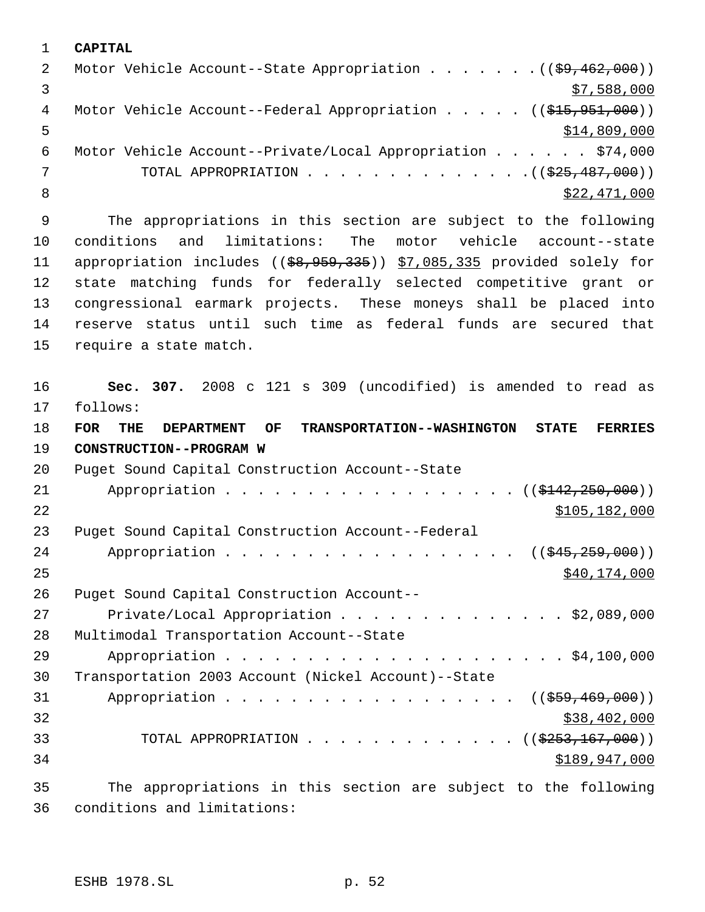**CAPITAL** 2 Motor Vehicle Account--State Appropriation . . . . . . . ((\$9,462,000))  $3 \div 588,000$ 4 Motor Vehicle Account--Federal Appropriation . . . . . ((\$15,951,000))  $5 - 5$  \$14,809,000 Motor Vehicle Account--Private/Local Appropriation . . . . . . \$74,000 7 TOTAL APPROPRIATION . . . . . . . . . . . . . . ((<del>\$25,487,000</del>)) 8 \$22,471,000

 The appropriations in this section are subject to the following conditions and limitations: The motor vehicle account--state 11 appropriation includes ((\$8,959,335)) \$7,085,335 provided solely for state matching funds for federally selected competitive grant or congressional earmark projects. These moneys shall be placed into reserve status until such time as federal funds are secured that require a state match.

 **Sec. 307.** 2008 c 121 s 309 (uncodified) is amended to read as follows: **FOR THE DEPARTMENT OF TRANSPORTATION--WASHINGTON STATE FERRIES CONSTRUCTION--PROGRAM W** Puget Sound Capital Construction Account--State 21 Appropriation . . . . . . . . . . . . . . . . (  $(\frac{2142,250,000}{s})$  \$105,182,000 Puget Sound Capital Construction Account--Federal 24 Appropriation . . . . . . . . . . . . . . . . ((\$45,259,000)) \$40,174,000 Puget Sound Capital Construction Account-- Private/Local Appropriation . . . . . . . . . . . . . . \$2,089,000 Multimodal Transportation Account--State Appropriation . . . . . . . . . . . . . . . . . . . . . \$4,100,000 Transportation 2003 Account (Nickel Account)--State 31 Appropriation . . . . . . . . . . . . . . . . ((\$59,469,000)) \$38,402,000 33 TOTAL APPROPRIATION . . . . . . . . . . . . ((\$253,167,000)) \$189,947,000

 The appropriations in this section are subject to the following conditions and limitations: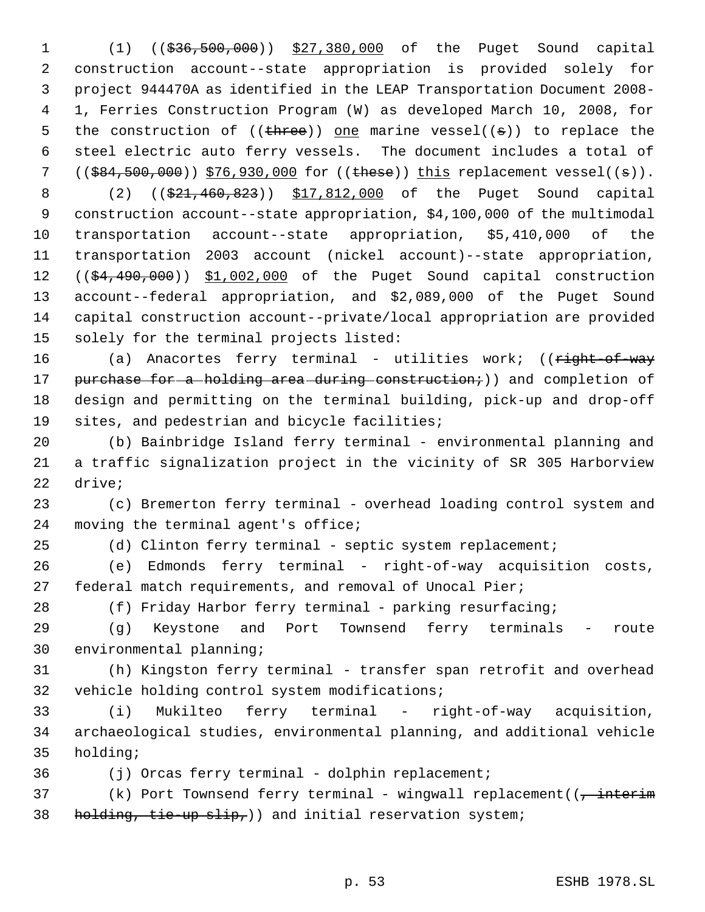1 (1) ((\$36,500,000)) \$27,380,000 of the Puget Sound capital construction account--state appropriation is provided solely for project 944470A as identified in the LEAP Transportation Document 2008- 1, Ferries Construction Program (W) as developed March 10, 2008, for 5 the construction of  $((\text{three}))$  one marine vessel $((s))$  to replace the steel electric auto ferry vessels. The document includes a total of 7 ((\$84,500,000)) \$76,930,000 for ((these)) this replacement vessel((s)).

8 (2) ((\$21,460,823)) \$17,812,000 of the Puget Sound capital construction account--state appropriation, \$4,100,000 of the multimodal transportation account--state appropriation, \$5,410,000 of the transportation 2003 account (nickel account)--state appropriation, 12 ((\$4,490,000)) \$1,002,000 of the Puget Sound capital construction account--federal appropriation, and \$2,089,000 of the Puget Sound capital construction account--private/local appropriation are provided solely for the terminal projects listed:

16 (a) Anacortes ferry terminal - utilities work; ((right-of-way 17 purchase for a holding area during construction;)) and completion of design and permitting on the terminal building, pick-up and drop-off sites, and pedestrian and bicycle facilities;

 (b) Bainbridge Island ferry terminal - environmental planning and a traffic signalization project in the vicinity of SR 305 Harborview drive;

 (c) Bremerton ferry terminal - overhead loading control system and 24 moving the terminal agent's office;

25 (d) Clinton ferry terminal - septic system replacement;

 (e) Edmonds ferry terminal - right-of-way acquisition costs, federal match requirements, and removal of Unocal Pier;

28 (f) Friday Harbor ferry terminal - parking resurfacing;

 (g) Keystone and Port Townsend ferry terminals - route environmental planning;

 (h) Kingston ferry terminal - transfer span retrofit and overhead vehicle holding control system modifications;

 (i) Mukilteo ferry terminal - right-of-way acquisition, archaeological studies, environmental planning, and additional vehicle holding;

(j) Orcas ferry terminal - dolphin replacement;

37 (k) Port Townsend ferry terminal - wingwall replacement( $\overline{(-)}$  interim 38 holding, tie-up slip,) and initial reservation system;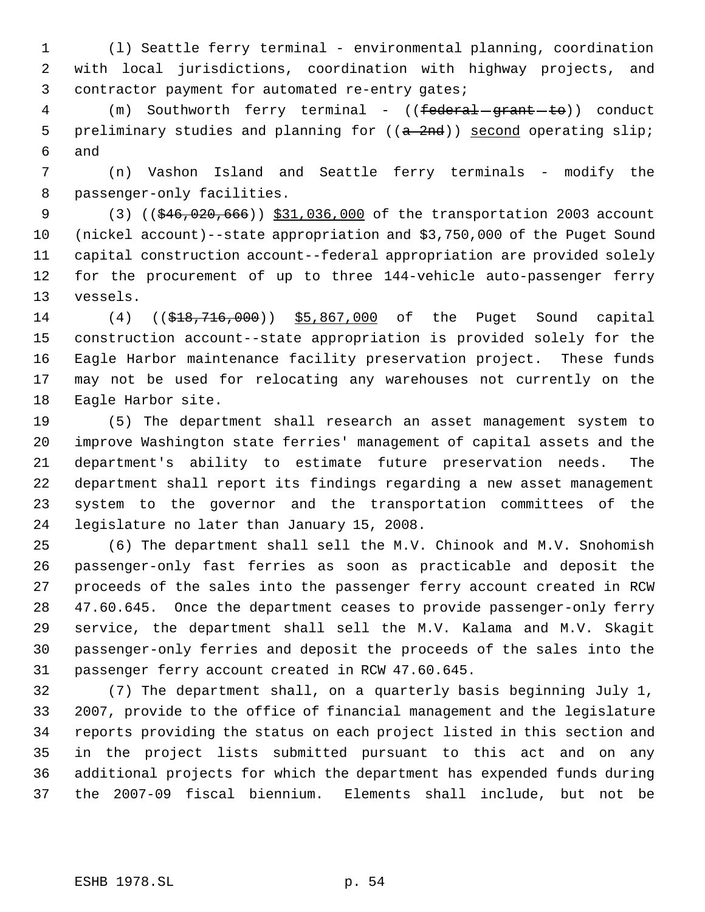(l) Seattle ferry terminal - environmental planning, coordination with local jurisdictions, coordination with highway projects, and contractor payment for automated re-entry gates;

4 (m) Southworth ferry terminal - ((<del>federal grant to</del>)) conduct 5 preliminary studies and planning for  $((a - 2nd))$  second operating slip; and

 (n) Vashon Island and Seattle ferry terminals - modify the passenger-only facilities.

9 (3) ((\$46,020,666)) \$31,036,000 of the transportation 2003 account (nickel account)--state appropriation and \$3,750,000 of the Puget Sound capital construction account--federal appropriation are provided solely for the procurement of up to three 144-vehicle auto-passenger ferry vessels.

 (4) ((\$18,716,000)) \$5,867,000 of the Puget Sound capital construction account--state appropriation is provided solely for the Eagle Harbor maintenance facility preservation project. These funds may not be used for relocating any warehouses not currently on the Eagle Harbor site.

 (5) The department shall research an asset management system to improve Washington state ferries' management of capital assets and the department's ability to estimate future preservation needs. The department shall report its findings regarding a new asset management system to the governor and the transportation committees of the legislature no later than January 15, 2008.

 (6) The department shall sell the M.V. Chinook and M.V. Snohomish passenger-only fast ferries as soon as practicable and deposit the proceeds of the sales into the passenger ferry account created in RCW 47.60.645. Once the department ceases to provide passenger-only ferry service, the department shall sell the M.V. Kalama and M.V. Skagit passenger-only ferries and deposit the proceeds of the sales into the passenger ferry account created in RCW 47.60.645.

 (7) The department shall, on a quarterly basis beginning July 1, 2007, provide to the office of financial management and the legislature reports providing the status on each project listed in this section and in the project lists submitted pursuant to this act and on any additional projects for which the department has expended funds during the 2007-09 fiscal biennium. Elements shall include, but not be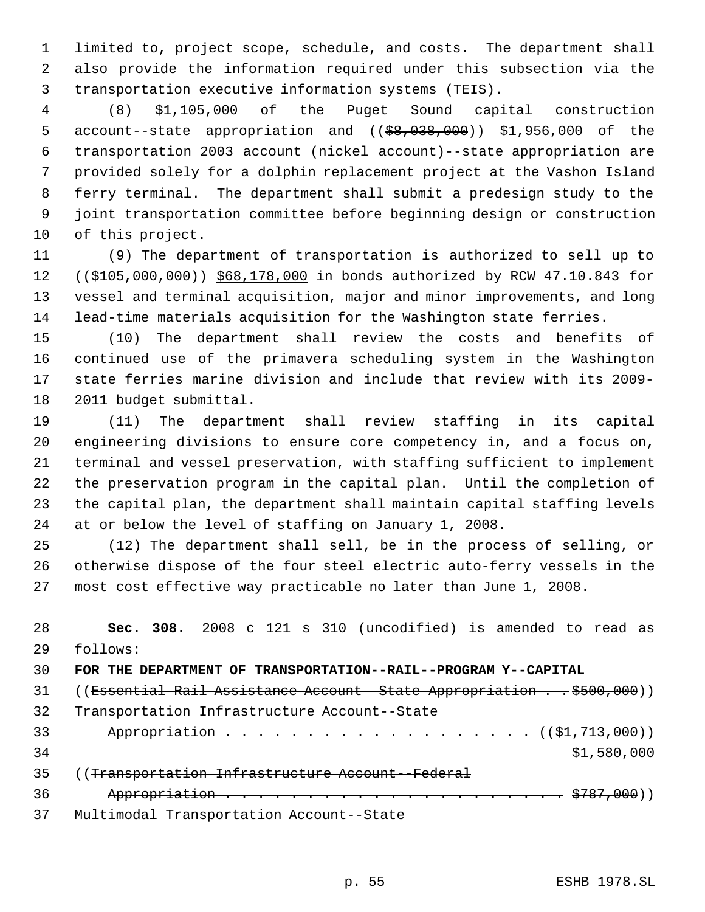limited to, project scope, schedule, and costs. The department shall also provide the information required under this subsection via the transportation executive information systems (TEIS).

 (8) \$1,105,000 of the Puget Sound capital construction 5 account--state appropriation and ((\$8,038,000)) \$1,956,000 of the transportation 2003 account (nickel account)--state appropriation are provided solely for a dolphin replacement project at the Vashon Island ferry terminal. The department shall submit a predesign study to the joint transportation committee before beginning design or construction of this project.

 (9) The department of transportation is authorized to sell up to 12 ((\$105,000,000)) \$68,178,000 in bonds authorized by RCW 47.10.843 for vessel and terminal acquisition, major and minor improvements, and long lead-time materials acquisition for the Washington state ferries.

 (10) The department shall review the costs and benefits of continued use of the primavera scheduling system in the Washington state ferries marine division and include that review with its 2009- 2011 budget submittal.

 (11) The department shall review staffing in its capital engineering divisions to ensure core competency in, and a focus on, terminal and vessel preservation, with staffing sufficient to implement the preservation program in the capital plan. Until the completion of the capital plan, the department shall maintain capital staffing levels at or below the level of staffing on January 1, 2008.

 (12) The department shall sell, be in the process of selling, or otherwise dispose of the four steel electric auto-ferry vessels in the most cost effective way practicable no later than June 1, 2008.

 **Sec. 308.** 2008 c 121 s 310 (uncodified) is amended to read as follows: **FOR THE DEPARTMENT OF TRANSPORTATION--RAIL--PROGRAM Y--CAPITAL** 31 ((Essential Rail Assistance Account--State Appropriation . . \$500,000)) Transportation Infrastructure Account--State 33 Appropriation . . . . . . . . . . . . . . . . . ((\$1,713,000))  $\frac{$1,580,000}{9}$  ((Transportation Infrastructure Account--Federal Appropriation . . . . . . . . . . . . . . . . . . . . . \$787,000)) Multimodal Transportation Account--State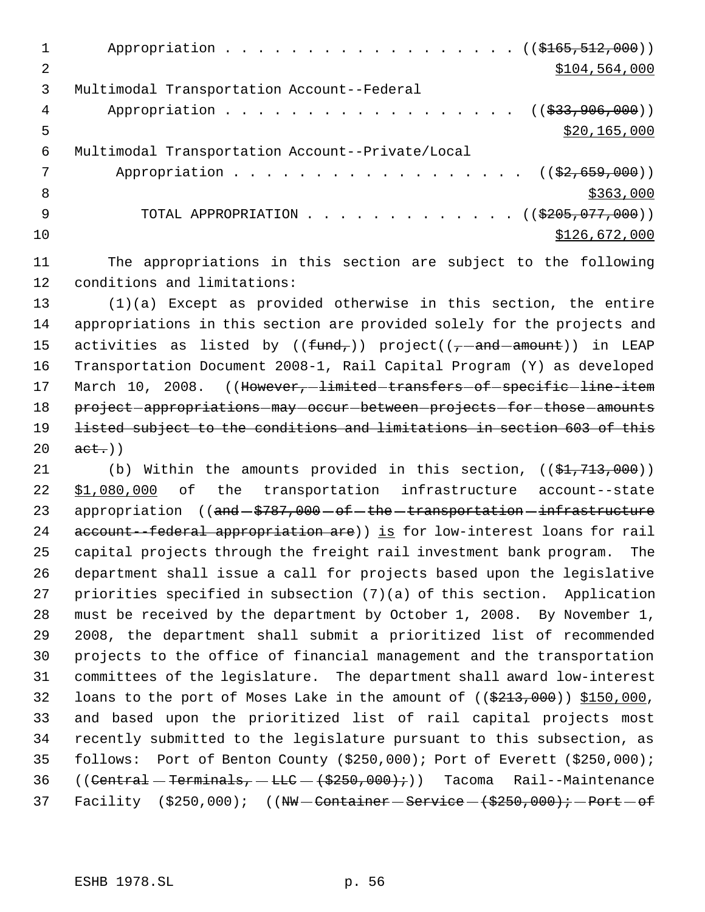|    | Appropriation ((\$165,512,000))                   |
|----|---------------------------------------------------|
| 2  | \$104,564,000                                     |
| 3  | Multimodal Transportation Account--Federal        |
| 4  | Appropriation ((\$33,906,000))                    |
| 5  | \$20,165,000                                      |
| 6  | Multimodal Transportation Account--Private/Local  |
|    | Appropriation ( $(\frac{2}{2}, 659, 000)$ )       |
| 8  | \$363,000                                         |
| 9  | TOTAL APPROPRIATION $($ $($ $\frac{205}{77},000)$ |
| 10 | \$126,672,000                                     |
|    |                                                   |

11 The appropriations in this section are subject to the following 12 conditions and limitations:

13 (1)(a) Except as provided otherwise in this section, the entire 14 appropriations in this section are provided solely for the projects and 15 activities as listed by  $((\text{fund}_t))$  project $((-\text{and}-\text{amount}))$  in LEAP 16 Transportation Document 2008-1, Rail Capital Program (Y) as developed 17 March 10, 2008. ((However, limited transfers of specific line-item 18 project appropriations may occur between projects for those amounts 19 listed subject to the conditions and limitations in section 603 of this  $20 \quad \text{act.}$ )

21 (b) Within the amounts provided in this section,  $((\frac{21}{71}, \frac{713}{700}))$  \$1,080,000 of the transportation infrastructure account--state 23 appropriation ((and  $$787,000$  of the transportation infrastructure 24 account--federal appropriation are)) is for low-interest loans for rail capital projects through the freight rail investment bank program. The department shall issue a call for projects based upon the legislative priorities specified in subsection (7)(a) of this section. Application must be received by the department by October 1, 2008. By November 1, 2008, the department shall submit a prioritized list of recommended projects to the office of financial management and the transportation committees of the legislature. The department shall award low-interest 32 loans to the port of Moses Lake in the amount of  $((\$213,000)$   $\$150,000$ , and based upon the prioritized list of rail capital projects most recently submitted to the legislature pursuant to this subsection, as follows: Port of Benton County (\$250,000); Port of Everett (\$250,000); 36 ((Central - Terminals, - LLC -  $(\frac{2550}{100})$ ;)) Tacoma Rail--Maintenance 37 Facility  $(5250,000)$ ;  $(WW - \text{Container} - \text{Service} - (+250,000)$ ; Port  $-6$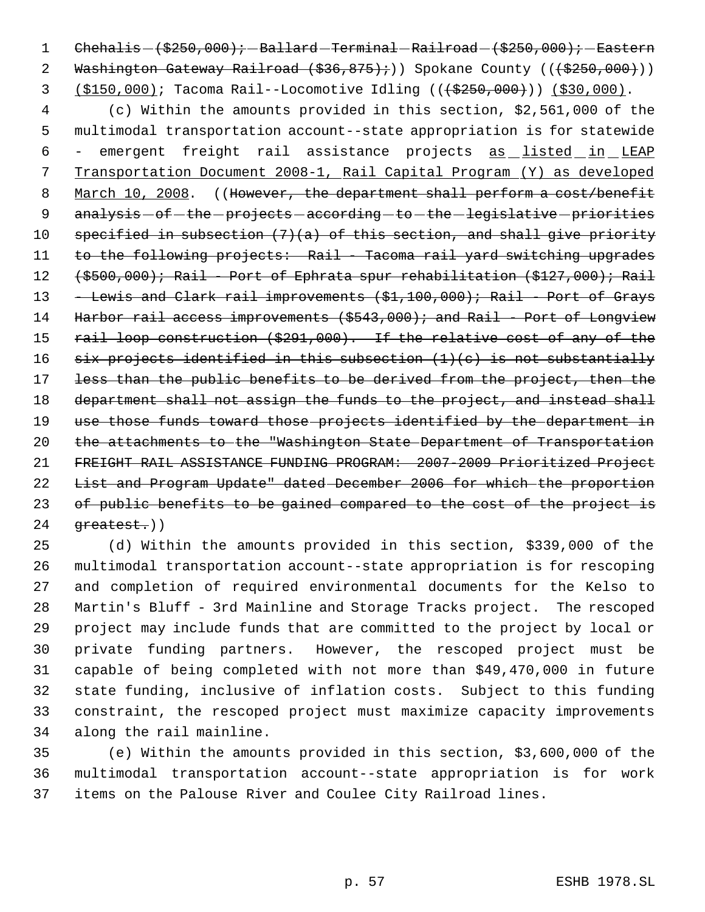1  $Chehahis - (5250,000); - Ballard - Ferminal - Railroad - (5250,000); - Eastern$ 2 Washington Gateway Railroad  $(\frac{236}{175})$ ;) Spokane County ( $(\frac{25250}{100})$ ) 3 (\$150,000); Tacoma Rail--Locomotive Idling (( $\left(\frac{25250,000}{1}\right)$ ) (\$30,000).

 4 (c) Within the amounts provided in this section, \$2,561,000 of the 5 multimodal transportation account--state appropriation is for statewide 6 - emergent freight rail assistance projects as listed in LEAP 7 Transportation Document 2008-1, Rail Capital Program (Y) as developed 8 March 10, 2008. ((However, the department shall perform a cost/benefit 9 analysis - of - the - projects - according - to - the - legislative - priorities 10 specified in subsection  $(7)(a)$  of this section, and shall give priority 11 to the following projects: Rail - Tacoma rail yard switching upgrades 12 (\$500,000); Rail - Port of Ephrata spur rehabilitation (\$127,000); Rail 13 - Lewis and Clark rail improvements (\$1,100,000); Rail - Port of Grays 14 Harbor rail access improvements (\$543,000); and Rail - Port of Longview 15 rail loop construction (\$291,000). If the relative cost of any of the 16 six projects identified in this subsection  $(1)(e)$  is not substantially 17 less than the public benefits to be derived from the project, then the 18 department shall not assign the funds to the project, and instead shall 19 use those funds toward those projects identified by the department in 20 the attachments to the "Washington State Department of Transportation 21 FREIGHT RAIL ASSISTANCE FUNDING PROGRAM: 2007-2009 Prioritized Project 22 List and Program Update" dated December 2006 for which the proportion 23 of public benefits to be gained compared to the cost of the project is  $24$   $q$ reatest.)

 (d) Within the amounts provided in this section, \$339,000 of the multimodal transportation account--state appropriation is for rescoping and completion of required environmental documents for the Kelso to Martin's Bluff - 3rd Mainline and Storage Tracks project. The rescoped project may include funds that are committed to the project by local or private funding partners. However, the rescoped project must be capable of being completed with not more than \$49,470,000 in future state funding, inclusive of inflation costs. Subject to this funding constraint, the rescoped project must maximize capacity improvements along the rail mainline.

35 (e) Within the amounts provided in this section, \$3,600,000 of the 36 multimodal transportation account--state appropriation is for work 37 items on the Palouse River and Coulee City Railroad lines.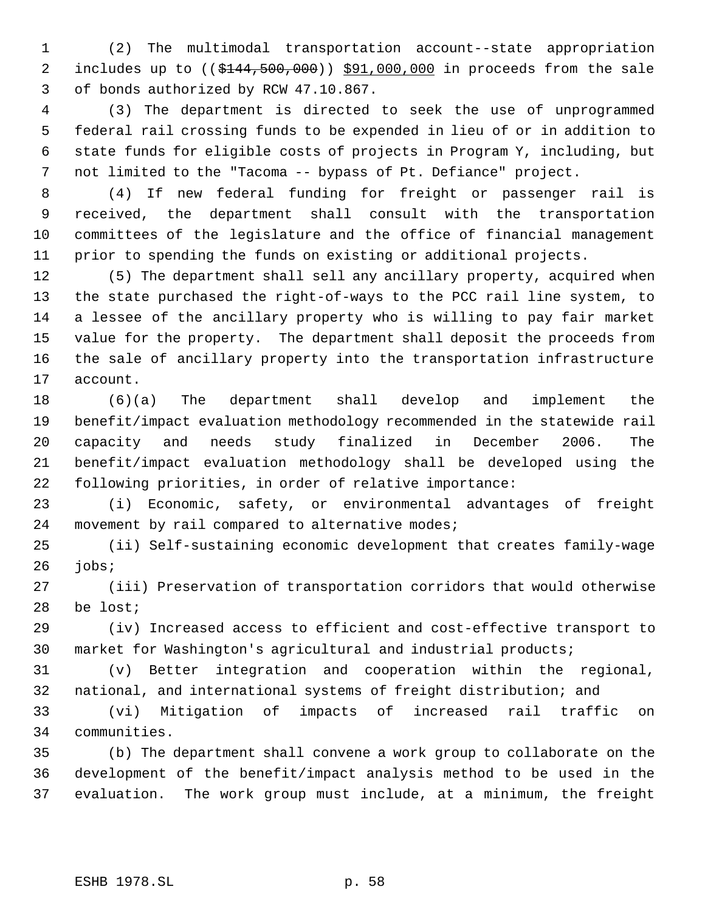(2) The multimodal transportation account--state appropriation 2 includes up to ((\$144,500,000)) \$91,000,000 in proceeds from the sale of bonds authorized by RCW 47.10.867.

 (3) The department is directed to seek the use of unprogrammed federal rail crossing funds to be expended in lieu of or in addition to state funds for eligible costs of projects in Program Y, including, but not limited to the "Tacoma -- bypass of Pt. Defiance" project.

 (4) If new federal funding for freight or passenger rail is received, the department shall consult with the transportation committees of the legislature and the office of financial management prior to spending the funds on existing or additional projects.

 (5) The department shall sell any ancillary property, acquired when the state purchased the right-of-ways to the PCC rail line system, to a lessee of the ancillary property who is willing to pay fair market value for the property. The department shall deposit the proceeds from the sale of ancillary property into the transportation infrastructure account.

 (6)(a) The department shall develop and implement the benefit/impact evaluation methodology recommended in the statewide rail capacity and needs study finalized in December 2006. The benefit/impact evaluation methodology shall be developed using the following priorities, in order of relative importance:

 (i) Economic, safety, or environmental advantages of freight 24 movement by rail compared to alternative modes;

 (ii) Self-sustaining economic development that creates family-wage jobs;

 (iii) Preservation of transportation corridors that would otherwise be lost;

 (iv) Increased access to efficient and cost-effective transport to market for Washington's agricultural and industrial products;

 (v) Better integration and cooperation within the regional, national, and international systems of freight distribution; and

 (vi) Mitigation of impacts of increased rail traffic on communities.

 (b) The department shall convene a work group to collaborate on the development of the benefit/impact analysis method to be used in the evaluation. The work group must include, at a minimum, the freight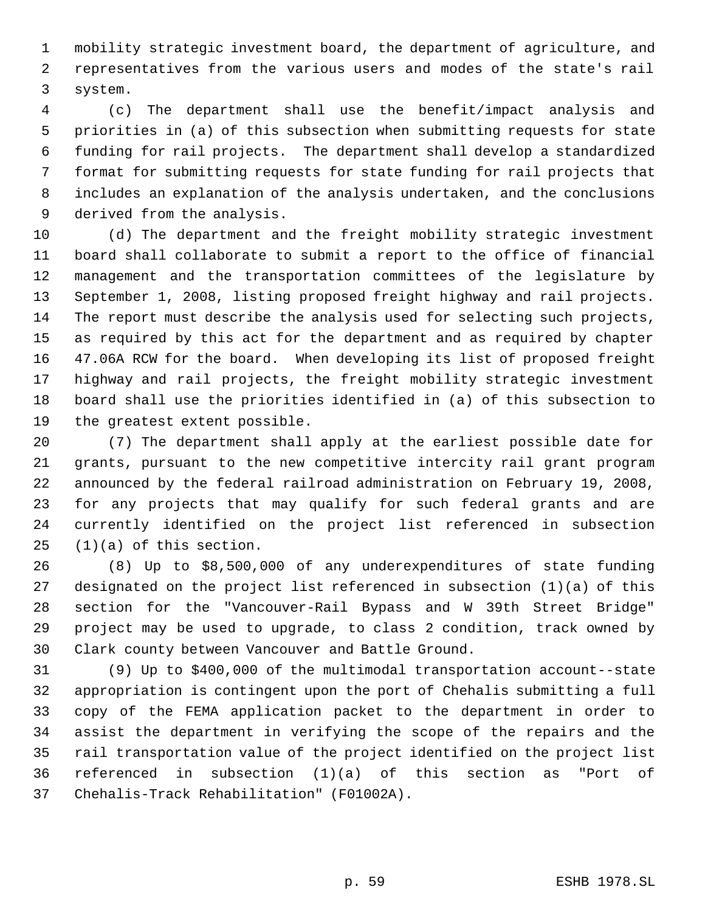mobility strategic investment board, the department of agriculture, and representatives from the various users and modes of the state's rail system.

 (c) The department shall use the benefit/impact analysis and priorities in (a) of this subsection when submitting requests for state funding for rail projects. The department shall develop a standardized format for submitting requests for state funding for rail projects that includes an explanation of the analysis undertaken, and the conclusions derived from the analysis.

 (d) The department and the freight mobility strategic investment board shall collaborate to submit a report to the office of financial management and the transportation committees of the legislature by September 1, 2008, listing proposed freight highway and rail projects. The report must describe the analysis used for selecting such projects, as required by this act for the department and as required by chapter 47.06A RCW for the board. When developing its list of proposed freight highway and rail projects, the freight mobility strategic investment board shall use the priorities identified in (a) of this subsection to the greatest extent possible.

 (7) The department shall apply at the earliest possible date for grants, pursuant to the new competitive intercity rail grant program announced by the federal railroad administration on February 19, 2008, for any projects that may qualify for such federal grants and are currently identified on the project list referenced in subsection (1)(a) of this section.

 (8) Up to \$8,500,000 of any underexpenditures of state funding designated on the project list referenced in subsection (1)(a) of this section for the "Vancouver-Rail Bypass and W 39th Street Bridge" project may be used to upgrade, to class 2 condition, track owned by Clark county between Vancouver and Battle Ground.

 (9) Up to \$400,000 of the multimodal transportation account--state appropriation is contingent upon the port of Chehalis submitting a full copy of the FEMA application packet to the department in order to assist the department in verifying the scope of the repairs and the rail transportation value of the project identified on the project list referenced in subsection (1)(a) of this section as "Port of Chehalis-Track Rehabilitation" (F01002A).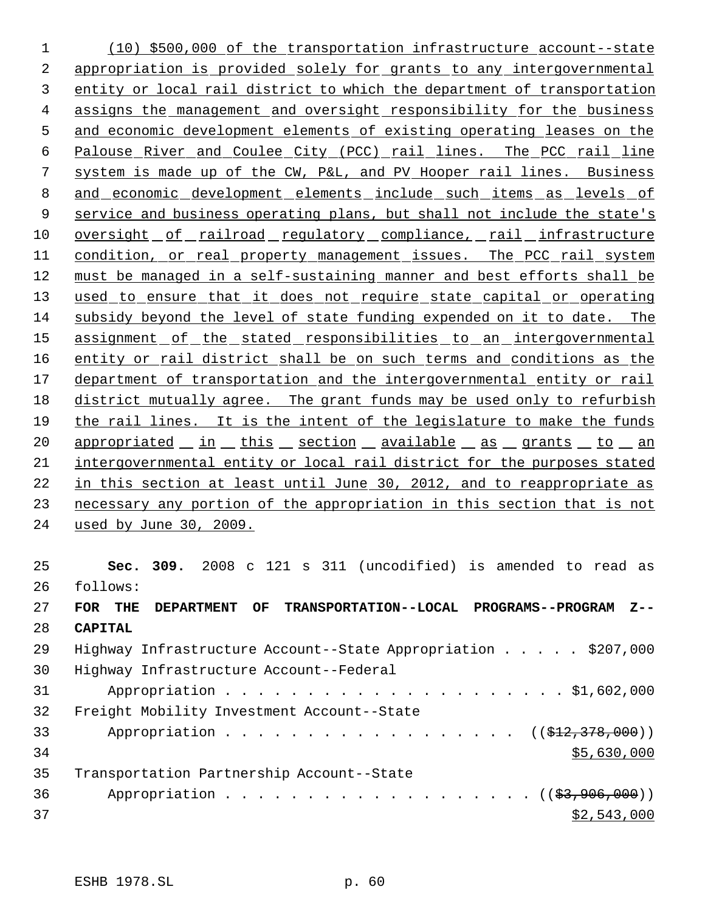(10) \$500,000 of the transportation infrastructure account--state appropriation is provided solely for grants to any intergovernmental entity or local rail district to which the department of transportation assigns the management and oversight responsibility for the business and economic development elements of existing operating leases on the Palouse River and Coulee City (PCC) rail lines. The PCC rail line system is made up of the CW, P&L, and PV Hooper rail lines. Business and economic development elements include such items as levels of 9 service and business operating plans, but shall not include the state's 10 oversight of railroad regulatory compliance, rail infrastructure condition, or real property management issues. The PCC rail system must be managed in a self-sustaining manner and best efforts shall be 13 used to ensure that it does not require state capital or operating subsidy beyond the level of state funding expended on it to date. The 15 assignment of the stated responsibilities to an intergovernmental 16 entity or rail district shall be on such terms and conditions as the department of transportation and the intergovernmental entity or rail 18 district mutually agree. The grant funds may be used only to refurbish the rail lines. It is the intent of the legislature to make the funds 20 appropriated in this section available as grants to an intergovernmental entity or local rail district for the purposes stated in this section at least until June 30, 2012, and to reappropriate as necessary any portion of the appropriation in this section that is not used by June 30, 2009. **Sec. 309.** 2008 c 121 s 311 (uncodified) is amended to read as follows:

| 2.7 | TRANSPORTATION--LOCAL PROGRAMS--PROGRAM<br>$Z - -$<br>FOR<br>THE<br><b>DEPARTMENT</b><br>OF |
|-----|---------------------------------------------------------------------------------------------|
| 28  | <b>CAPITAL</b>                                                                              |
| 29  | Highway Infrastructure Account--State Appropriation $\ldots$ \$207,000                      |
| 30  | Highway Infrastructure Account--Federal                                                     |
| 31  |                                                                                             |
| 32  | Freight Mobility Investment Account--State                                                  |
| 33  | Appropriation $($ $($ $\frac{212}{7378},000) )$                                             |
| 34  | \$5,630,000                                                                                 |
| 35  | Transportation Partnership Account--State                                                   |
| 36  | Appropriation $($ $($ $\frac{27}{97},906,000) )$                                            |
| 37  | \$2,543,000                                                                                 |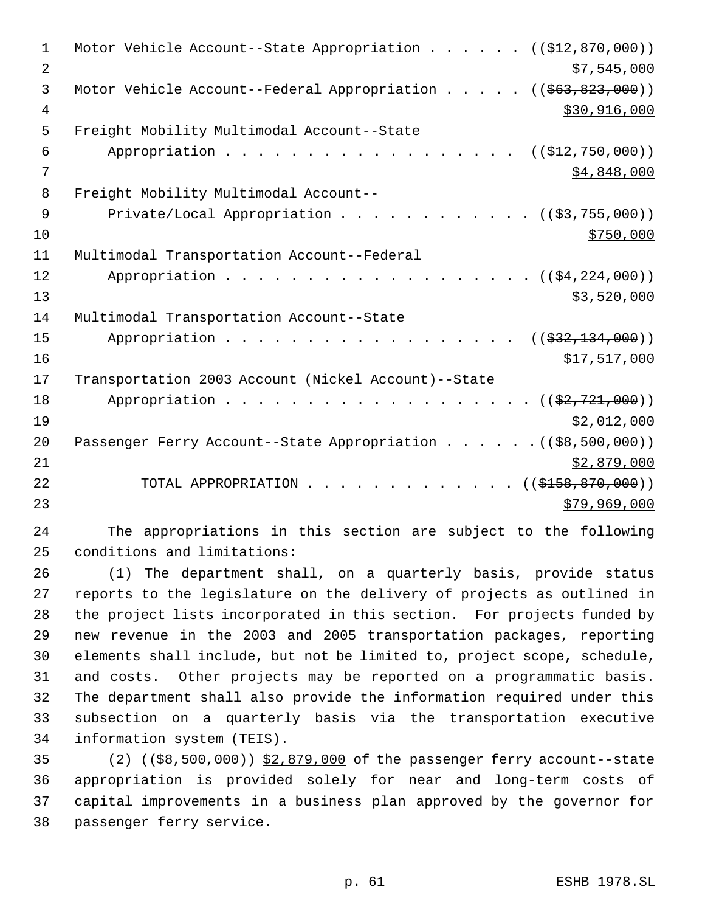| 1              | Motor Vehicle Account--State Appropriation<br>$((\$12,870,000))$                                            |
|----------------|-------------------------------------------------------------------------------------------------------------|
| $\overline{2}$ | \$7,545,000                                                                                                 |
| 3              | Motor Vehicle Account--Federal Appropriation.<br>((\$63,823,000))<br><b><i>Contract Contract Street</i></b> |
| 4              | \$30,916,000                                                                                                |
| 5              | Freight Mobility Multimodal Account--State                                                                  |
| 6              | Appropriation<br>((\$12,750,000))                                                                           |
| 7              | \$4,848,000                                                                                                 |
| 8              | Freight Mobility Multimodal Account--                                                                       |
| 9              | Private/Local Appropriation<br>$((\frac{23}{755}, \frac{755}{700})$                                         |
| 10             | \$750,000                                                                                                   |
| 11             | Multimodal Transportation Account--Federal                                                                  |
| 12             | Appropriation<br>$((\frac{154}{224}, 000))$                                                                 |
| 13             | \$3,520,000                                                                                                 |
| 14             | Multimodal Transportation Account--State                                                                    |
| 15             | Appropriation<br>$((\$32,134,000))$                                                                         |
| 16             | \$17,517,000                                                                                                |
| 17             | Transportation 2003 Account (Nickel Account)--State                                                         |
| 18             | Appropriation<br>$((\frac{2}{2}, 721, 000))$                                                                |
| 19             | \$2,012,000                                                                                                 |
| 20             | Passenger Ferry Account--State Appropriation $($ $($ $\frac{69}{50}, \frac{500}{100})$                      |
| 21             | \$2,879,000                                                                                                 |
| 22             | ((\$158,870,000))<br>TOTAL APPROPRIATION.                                                                   |
| 23             | \$79,969,000                                                                                                |
|                |                                                                                                             |

 The appropriations in this section are subject to the following conditions and limitations:

 (1) The department shall, on a quarterly basis, provide status reports to the legislature on the delivery of projects as outlined in the project lists incorporated in this section. For projects funded by new revenue in the 2003 and 2005 transportation packages, reporting elements shall include, but not be limited to, project scope, schedule, and costs. Other projects may be reported on a programmatic basis. The department shall also provide the information required under this subsection on a quarterly basis via the transportation executive information system (TEIS).

35 (2) ((\$8,500,000)) \$2,879,000 of the passenger ferry account--state appropriation is provided solely for near and long-term costs of capital improvements in a business plan approved by the governor for passenger ferry service.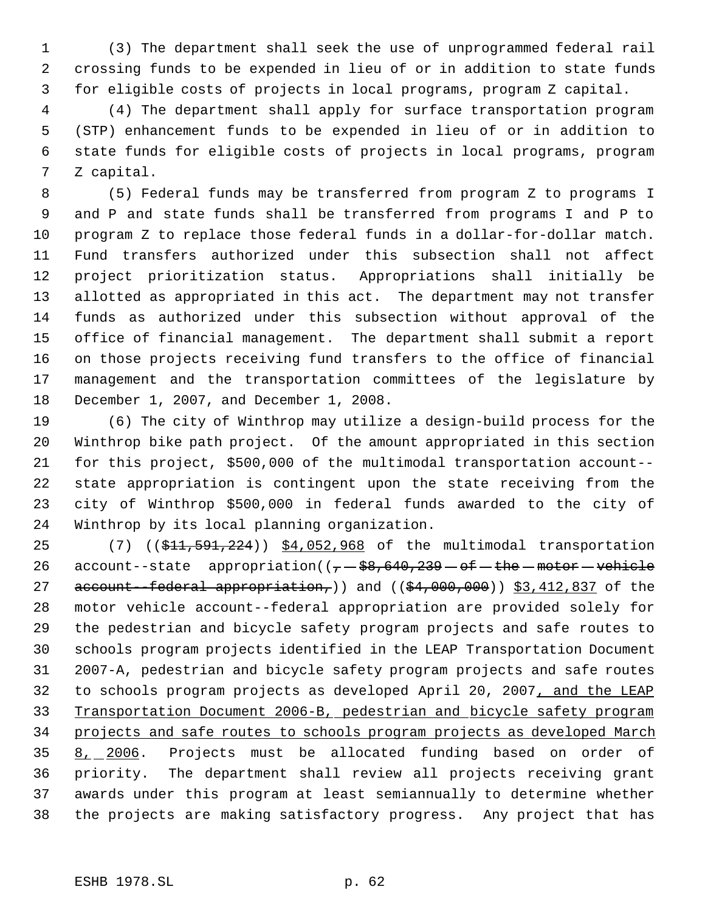(3) The department shall seek the use of unprogrammed federal rail crossing funds to be expended in lieu of or in addition to state funds for eligible costs of projects in local programs, program Z capital.

 (4) The department shall apply for surface transportation program (STP) enhancement funds to be expended in lieu of or in addition to state funds for eligible costs of projects in local programs, program Z capital.

 (5) Federal funds may be transferred from program Z to programs I and P and state funds shall be transferred from programs I and P to program Z to replace those federal funds in a dollar-for-dollar match. Fund transfers authorized under this subsection shall not affect project prioritization status. Appropriations shall initially be allotted as appropriated in this act. The department may not transfer funds as authorized under this subsection without approval of the office of financial management. The department shall submit a report on those projects receiving fund transfers to the office of financial management and the transportation committees of the legislature by December 1, 2007, and December 1, 2008.

 (6) The city of Winthrop may utilize a design-build process for the Winthrop bike path project. Of the amount appropriated in this section for this project, \$500,000 of the multimodal transportation account-- state appropriation is contingent upon the state receiving from the city of Winthrop \$500,000 in federal funds awarded to the city of Winthrop by its local planning organization.

25 (7) ((\$11,591,224)) \$4,052,968 of the multimodal transportation 26 account--state appropriation( $(-, -\frac{28}{56}, \frac{640}{239} - \text{of} - \text{the} - \text{motor} - \text{vehicle}$ 27 account-federal appropriation,) and  $(( $$4,000,000)$ )  $$3,412,837$  of the$  motor vehicle account--federal appropriation are provided solely for the pedestrian and bicycle safety program projects and safe routes to schools program projects identified in the LEAP Transportation Document 2007-A, pedestrian and bicycle safety program projects and safe routes to schools program projects as developed April 20, 2007, and the LEAP Transportation Document 2006-B, pedestrian and bicycle safety program projects and safe routes to schools program projects as developed March 35 8, 2006. Projects must be allocated funding based on order of priority. The department shall review all projects receiving grant awards under this program at least semiannually to determine whether the projects are making satisfactory progress. Any project that has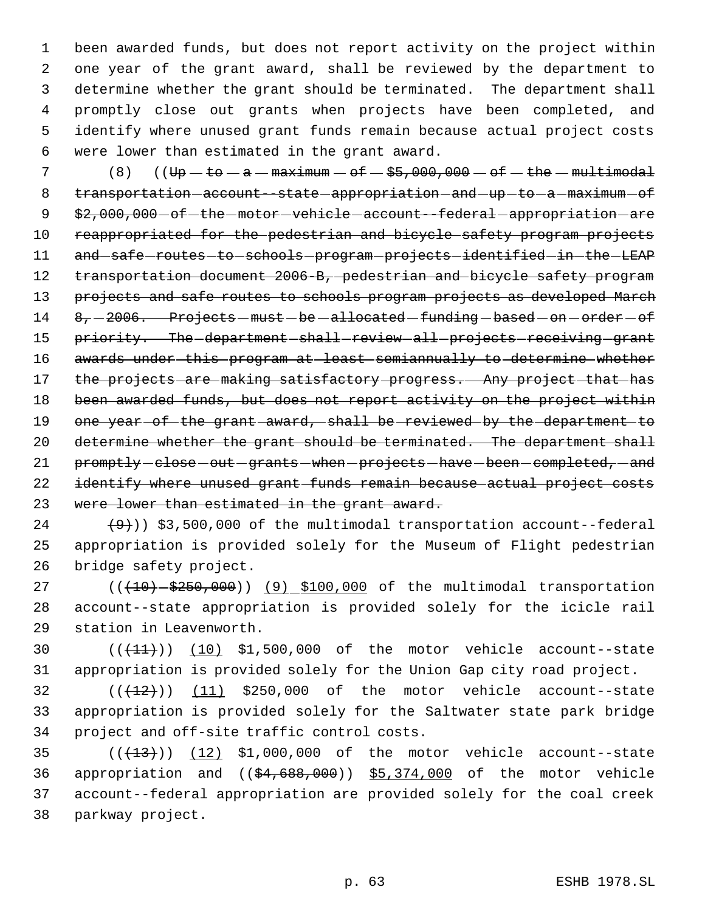been awarded funds, but does not report activity on the project within one year of the grant award, shall be reviewed by the department to determine whether the grant should be terminated. The department shall promptly close out grants when projects have been completed, and identify where unused grant funds remain because actual project costs were lower than estimated in the grant award.

7  $(8)$   $(U\bar{v} - \bar{v} - a - \bar{v} - a - \bar{v} - \bar{v} - \bar{v} - \bar{v} - \bar{v} - \bar{v} - \bar{v} - \bar{v} - \bar{v} - \bar{v} - \bar{v} - \bar{v} - \bar{v} - \bar{v} - \bar{v} - \bar{v} - \bar{v} - \bar{v} - \bar{v} - \bar{v} - \bar{v} - \bar{v} - \bar{v} - \bar{v} - \bar{v} - \bar{v} - \bar{v} - \bar{v} - \bar{v} - \bar{v} - \bar{v} - \bar$ 8 transportation-account--state-appropriation-and-up-to-a-maximum-of 9 \$2,000,000 - of - the - motor - vehicle - account--federal - appropriation - are 10 reappropriated for the pedestrian and bicycle safety program projects 11 and safe - routes - to - schools - program - projects - identified - in - the - LEAP 12 transportation document 2006-B, pedestrian and bicycle safety program 13 projects and safe routes to schools program projects as developed March 14 8, -2006. Projects - must - be -allocated - funding - based - on - order - of 15 priority. The department shall review all projects receiving grant 16 awards under this program at least semiannually to determine whether 17 the projects are making satisfactory progress. Any project that has 18 been awarded funds, but does not report activity on the project within 19 one year of the grant award, shall be reviewed by the department to 20 determine whether the grant should be terminated. The department shall 21 promptly-close-out-grants-when-projects-have-been-completed,-and 22 identify where unused grant funds remain because actual project costs 23 were lower than estimated in the grant award.

 $(9)$ ) \$3,500,000 of the multimodal transportation account--federal 25 appropriation is provided solely for the Museum of Flight pedestrian 26 bridge safety project.

27 (( $(10) - $250,000$ )) (9) \$100,000 of the multimodal transportation 28 account--state appropriation is provided solely for the icicle rail 29 station in Leavenworth.

30 (( $(11)$ )) (10) \$1,500,000 of the motor vehicle account--state 31 appropriation is provided solely for the Union Gap city road project.

 $32$  ( $(\overline{+12})$ ) (11) \$250,000 of the motor vehicle account--state 33 appropriation is provided solely for the Saltwater state park bridge 34 project and off-site traffic control costs.

 $((+13))$   $(12)$  \$1,000,000 of the motor vehicle account--state appropriation and ((\$4,688,000)) \$5,374,000 of the motor vehicle account--federal appropriation are provided solely for the coal creek parkway project.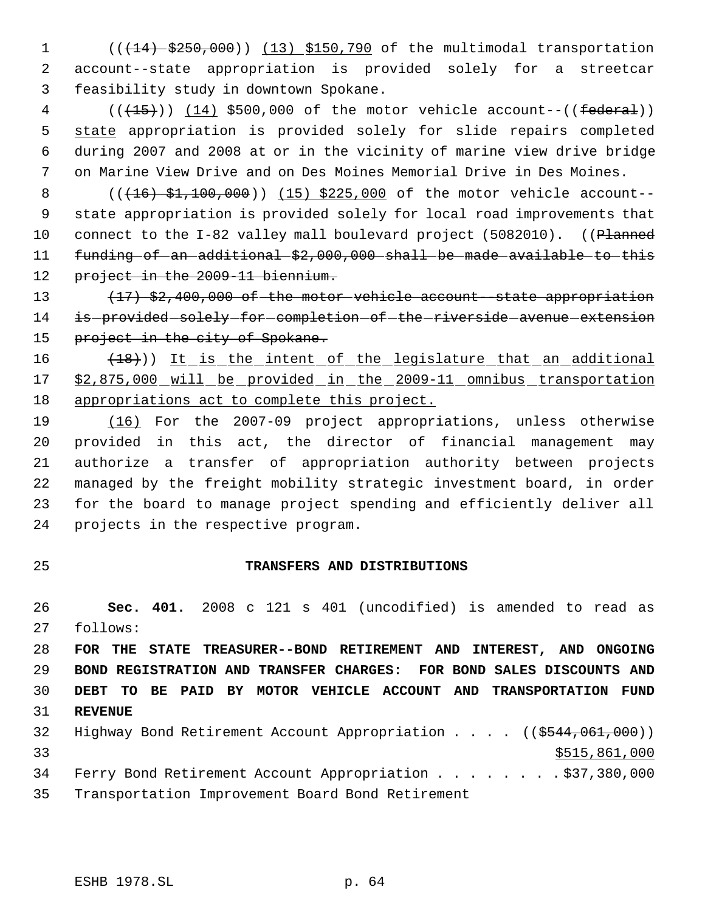1 (( $(14)$  \$250,000)) (13) \$150,790 of the multimodal transportation account--state appropriation is provided solely for a streetcar feasibility study in downtown Spokane.

 ( $(\overline{+15})$ )  $(14)$  \$500,000 of the motor vehicle account--((federal)) 5 state appropriation is provided solely for slide repairs completed during 2007 and 2008 at or in the vicinity of marine view drive bridge on Marine View Drive and on Des Moines Memorial Drive in Des Moines.

8 (( $(16)$  \$1,100,000)) (15) \$225,000 of the motor vehicle account-- state appropriation is provided solely for local road improvements that 10 connect to the I-82 valley mall boulevard project (5082010). ((Planned funding of an additional \$2,000,000 shall be made available to this 12 project in the 2009-11 biennium.

 (17) \$2,400,000 of the motor vehicle account--state appropriation 14 is provided solely for completion of the riverside avenue extension 15 project in the city of Spokane.

16 (18)) It is the intent of the legislature that an additional \$2,875,000 will be provided in the 2009-11 omnibus transportation 18 appropriations act to complete this project.

 (16) For the 2007-09 project appropriations, unless otherwise provided in this act, the director of financial management may authorize a transfer of appropriation authority between projects managed by the freight mobility strategic investment board, in order for the board to manage project spending and efficiently deliver all projects in the respective program.

## **TRANSFERS AND DISTRIBUTIONS**

 **Sec. 401.** 2008 c 121 s 401 (uncodified) is amended to read as follows:

 **FOR THE STATE TREASURER--BOND RETIREMENT AND INTEREST, AND ONGOING BOND REGISTRATION AND TRANSFER CHARGES: FOR BOND SALES DISCOUNTS AND DEBT TO BE PAID BY MOTOR VEHICLE ACCOUNT AND TRANSPORTATION FUND REVENUE**

32 Highway Bond Retirement Account Appropriation . . . . ((\$544,061,000)) \$515,861,000 34 Ferry Bond Retirement Account Appropriation . . . . . . . \$37,380,000

Transportation Improvement Board Bond Retirement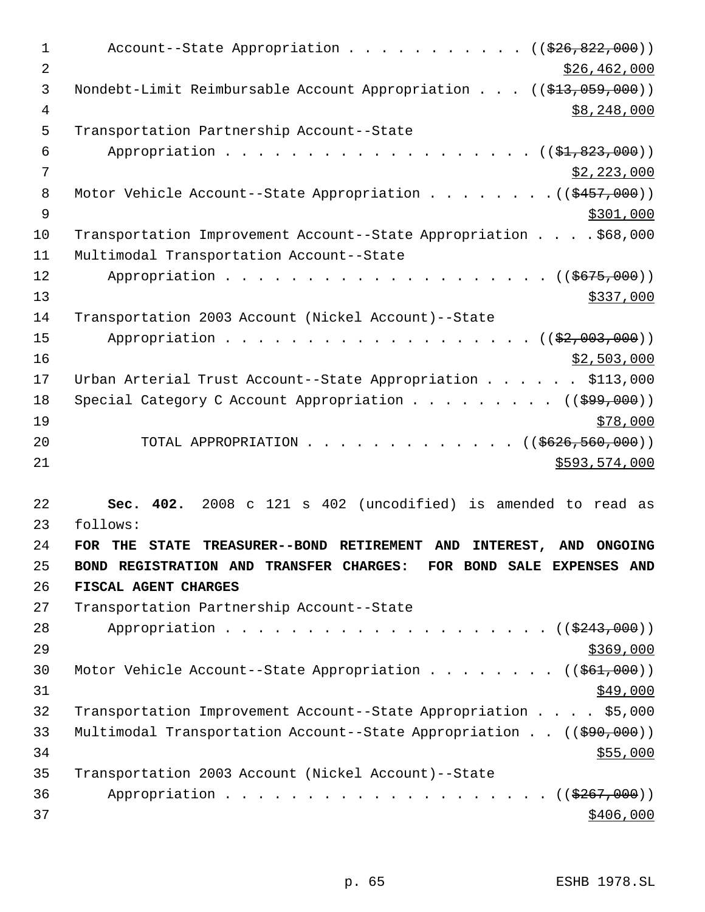1 Account--State Appropriation . . . . . . . . . . ((\$26,822,000)) 2 \$26,462,000 3 Nondebt-Limit Reimbursable Account Appropriation . . . ((\$13,059,000))  $\frac{4}{38}$ , 248, 000 5 Transportation Partnership Account--State 6 Appropriation . . . . . . . . . . . . . . . . . (  $(\frac{1}{21}, \frac{823}{100})$  )  $7 \frac{\text{S2,223,000}}{1}$ 8 Motor Vehicle Account--State Appropriation . . . . . . . ((\$457,000))  $\frac{1}{2}$  \$301,000 10 Transportation Improvement Account--State Appropriation . . . . \$68,000 11 Multimodal Transportation Account--State 12 Appropriation . . . . . . . . . . . . . . . . . ((\$675,000))  $\frac{$337,000}{ }$ 14 Transportation 2003 Account (Nickel Account)--State 15 Appropriation . . . . . . . . . . . . . . . . (  $(\frac{22,003,000}{2})$  $16$  \$2,503,000 17 Urban Arterial Trust Account--State Appropriation . . . . . \$113,000 18 Special Category C Account Appropriation . . . . . . . . ((\$99,000))  $19$   $\frac{$78,000}{}$ 20 TOTAL APPROPRIATION . . . . . . . . . . . . ((\$626,560,000)) 21 \$593,574,000 22 **Sec. 402.** 2008 c 121 s 402 (uncodified) is amended to read as 23 follows: 24 **FOR THE STATE TREASURER--BOND RETIREMENT AND INTEREST, AND ONGOING** 25 **BOND REGISTRATION AND TRANSFER CHARGES: FOR BOND SALE EXPENSES AND** 26 **FISCAL AGENT CHARGES** 27 Transportation Partnership Account--State 28 Appropriation . . . . . . . . . . . . . . . . . . ((\$243,000))  $29$ 30 Motor Vehicle Account--State Appropriation . . . . . . . ((\$61,000))  $31$   $\frac{$49,000}{ }$ 32 Transportation Improvement Account--State Appropriation . . . . \$5,000 33 Multimodal Transportation Account--State Appropriation . . ((\$90,000))  $34$ 35 Transportation 2003 Account (Nickel Account)--State 36 Appropriation . . . . . . . . . . . . . . . . . ((\$267,000))  $37$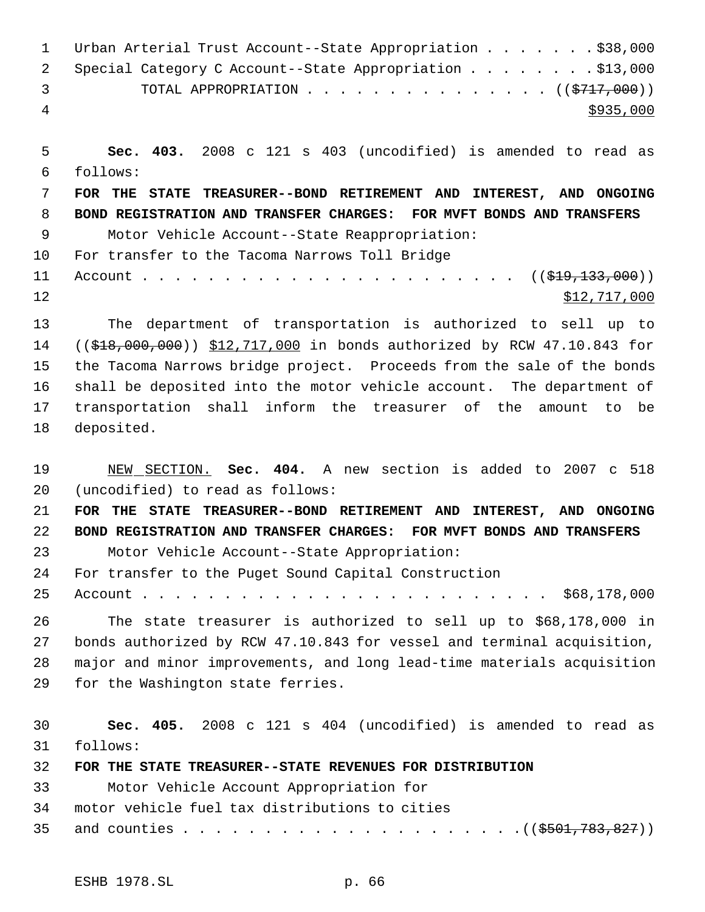|               | 1 Urban Arterial Trust Account--State Appropriation \$38,000 |
|---------------|--------------------------------------------------------------|
|               | 2 Special Category C Account--State Appropriation \$13,000   |
| $\mathcal{R}$ | TOTAL APPROPRIATION $\cdots$ ((\$717,000))                   |
| 4             | \$935,000                                                    |

 **Sec. 403.** 2008 c 121 s 403 (uncodified) is amended to read as follows: **FOR THE STATE TREASURER--BOND RETIREMENT AND INTEREST, AND ONGOING BOND REGISTRATION AND TRANSFER CHARGES: FOR MVFT BONDS AND TRANSFERS** Motor Vehicle Account--State Reappropriation: For transfer to the Tacoma Narrows Toll Bridge Account . . . . . . . . . . . . . . . . . . . . . . . ((\$19,133,000)) 12 \$12,717,000 The department of transportation is authorized to sell up to 14 ((\$18,000,000)) \$12,717,000 in bonds authorized by RCW 47.10.843 for

 the Tacoma Narrows bridge project. Proceeds from the sale of the bonds shall be deposited into the motor vehicle account. The department of transportation shall inform the treasurer of the amount to be deposited.

 NEW SECTION. **Sec. 404.** A new section is added to 2007 c 518 (uncodified) to read as follows:

**FOR THE STATE TREASURER--BOND RETIREMENT AND INTEREST, AND ONGOING**

**BOND REGISTRATION AND TRANSFER CHARGES: FOR MVFT BONDS AND TRANSFERS**

Motor Vehicle Account--State Appropriation:

For transfer to the Puget Sound Capital Construction

Account . . . . . . . . . . . . . . . . . . . . . . . . . \$68,178,000

 The state treasurer is authorized to sell up to \$68,178,000 in bonds authorized by RCW 47.10.843 for vessel and terminal acquisition, major and minor improvements, and long lead-time materials acquisition for the Washington state ferries.

 **Sec. 405.** 2008 c 121 s 404 (uncodified) is amended to read as follows:

 **FOR THE STATE TREASURER--STATE REVENUES FOR DISTRIBUTION** Motor Vehicle Account Appropriation for motor vehicle fuel tax distributions to cities and counties . . . . . . . . . . . . . . . . . . . . .((\$501,783,827))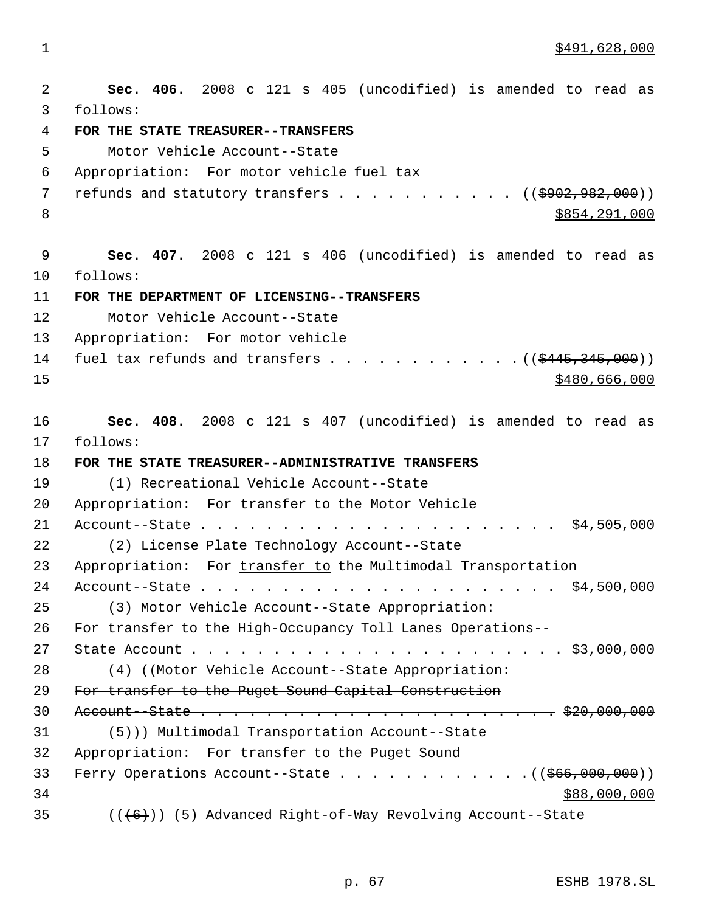\$491,628,000

 **Sec. 406.** 2008 c 121 s 405 (uncodified) is amended to read as follows: **FOR THE STATE TREASURER--TRANSFERS** Motor Vehicle Account--State Appropriation: For motor vehicle fuel tax 7 refunds and statutory transfers  $\ldots$  . . . . . . . . ( $(\frac{\$902,982,000}{\$900,000})$ ) 8 \$854,291,000 \$864,291,000 \$854,291,000 \$854,291,000 \$854,291,000 \$854,291,000 \$854,291,000 \$854,291,000 \$854 **Sec. 407.** 2008 c 121 s 406 (uncodified) is amended to read as follows: **FOR THE DEPARTMENT OF LICENSING--TRANSFERS** Motor Vehicle Account--State Appropriation: For motor vehicle 14 fuel tax refunds and transfers  $\ldots$  . . . . . . . . . .  $($   $($ \$445,345,000 $)$ ) \$480,666,000 **Sec. 408.** 2008 c 121 s 407 (uncodified) is amended to read as follows: **FOR THE STATE TREASURER--ADMINISTRATIVE TRANSFERS** (1) Recreational Vehicle Account--State Appropriation: For transfer to the Motor Vehicle Account--State . . . . . . . . . . . . . . . . . . . . . . \$4,505,000 (2) License Plate Technology Account--State 23 Appropriation: For transfer to the Multimodal Transportation Account--State . . . . . . . . . . . . . . . . . . . . . . \$4,500,000 (3) Motor Vehicle Account--State Appropriation: For transfer to the High-Occupancy Toll Lanes Operations-- State Account . . . . . . . . . . . . . . . . . . . . . . . \$3,000,000 28 (4) ((Motor Vehicle Account--State Appropriation: For transfer to the Puget Sound Capital Construction Account--State . . . . . . . . . . . . . . . . . . . . . . \$20,000,000  $(5)$ ) Multimodal Transportation Account--State Appropriation: For transfer to the Puget Sound 33 Ferry Operations Account--State . . . . . . . . . . . . ((\$66,000,000)) \$88,000,000  $((+6))$   $(5)$  Advanced Right-of-Way Revolving Account--State

p. 67 ESHB 1978.SL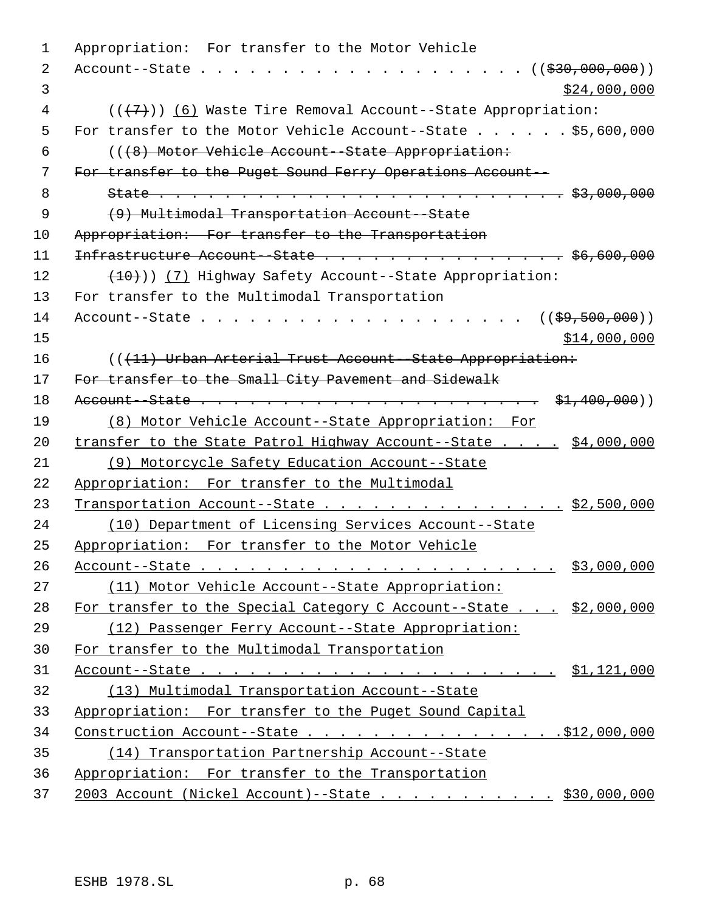Appropriation: For transfer to the Motor Vehicle Account--State . . . . . . . . . . . . . . . . . . . . ((\$30,000,000))  $\frac{1}{2}$  3 ( $(\overline{7})$ ) (6) Waste Tire Removal Account--State Appropriation: For transfer to the Motor Vehicle Account--State . . . . . . \$5,600,000 (((8) Motor Vehicle Account--State Appropriation: For transfer to the Puget Sound Ferry Operations Account-- State . . . . . . . . . . . . . . . . . . . . . . . . . \$3,000,000 (9) Multimodal Transportation Account--State Appropriation: For transfer to the Transportation  $Infrastructure$  Account - State  $\ldots$  . . . . . . . . . . . . . . \$6,600,000 12 (<del>10)</del>)) (7) Highway Safety Account--State Appropriation: For transfer to the Multimodal Transportation Account--State . . . . . . . . . . . . . . . . . . . . ((\$9,500,000)) \$14,000,000 16 (((11) Urban Arterial Trust Account--State Appropriation: 17 For transfer to the Small City Pavement and Sidewalk Account--State . . . . . . . . . . . . . . . . . . . . . \$1,400,000)) (8) Motor Vehicle Account--State Appropriation: For 20 transfer to the State Patrol Highway Account--State . . . . \$4,000,000 (9) Motorcycle Safety Education Account--State Appropriation: For transfer to the Multimodal 23 Transportation Account--State . . . . . . . . . . . . . . . \$2,500,000 (10) Department of Licensing Services Account--State Appropriation: For transfer to the Motor Vehicle Account--State . . . . . . . . . . . . . . . . . . . . . . \$3,000,000 (11) Motor Vehicle Account--State Appropriation: 28 For transfer to the Special Category C Account--State . . . \$2,000,000 (12) Passenger Ferry Account--State Appropriation: For transfer to the Multimodal Transportation Account--State . . . . . . . . . . . . . . . . . . . . . . \$1,121,000 (13) Multimodal Transportation Account--State Appropriation: For transfer to the Puget Sound Capital 34 Construction Account--State . . . . . . . . . . . . . . . . . \$12,000,000 (14) Transportation Partnership Account--State Appropriation: For transfer to the Transportation 2003 Account (Nickel Account)--State . . . . . . . . . . . \$30,000,000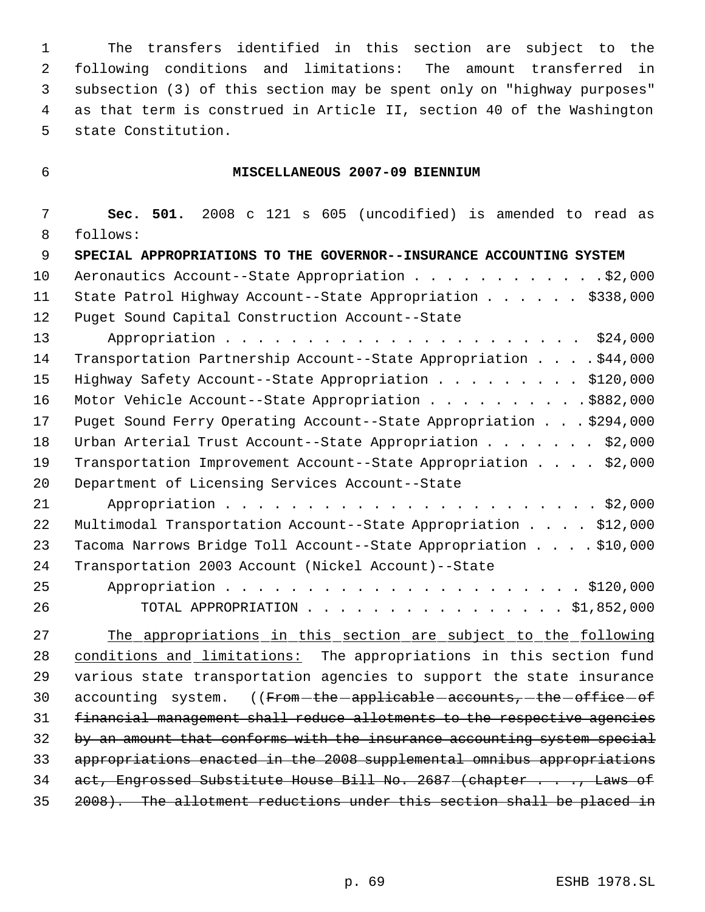The transfers identified in this section are subject to the following conditions and limitations: The amount transferred in subsection (3) of this section may be spent only on "highway purposes" as that term is construed in Article II, section 40 of the Washington state Constitution.

## **MISCELLANEOUS 2007-09 BIENNIUM**

 **Sec. 501.** 2008 c 121 s 605 (uncodified) is amended to read as follows: **SPECIAL APPROPRIATIONS TO THE GOVERNOR--INSURANCE ACCOUNTING SYSTEM** 10 Aeronautics Account--State Appropriation . . . . . . . . . . . . . \$2,000 11 State Patrol Highway Account--State Appropriation . . . . . \$338,000 Puget Sound Capital Construction Account--State Appropriation . . . . . . . . . . . . . . . . . . . . . . \$24,000 14 Transportation Partnership Account--State Appropriation . . . . \$44,000 15 Highway Safety Account--State Appropriation . . . . . . . . \$120,000 16 Motor Vehicle Account--State Appropriation . . . . . . . . . . \$882,000 Puget Sound Ferry Operating Account--State Appropriation . . . \$294,000 18 Urban Arterial Trust Account--State Appropriation . . . . . . \$2,000 Transportation Improvement Account--State Appropriation . . . . \$2,000 Department of Licensing Services Account--State Appropriation . . . . . . . . . . . . . . . . . . . . . . . \$2,000 Multimodal Transportation Account--State Appropriation . . . . \$12,000 Tacoma Narrows Bridge Toll Account--State Appropriation . . . . \$10,000 Transportation 2003 Account (Nickel Account)--State Appropriation . . . . . . . . . . . . . . . . . . . . . . \$120,000 TOTAL APPROPRIATION . . . . . . . . . . . . . . . . \$1,852,000

 The appropriations in this section are subject to the following 28 conditions and limitations: The appropriations in this section fund various state transportation agencies to support the state insurance 30 accounting system. ((From-the-applicable-accounts,-the-office-of financial management shall reduce allotments to the respective agencies 32 by an amount that conforms with the insurance accounting system special appropriations enacted in the 2008 supplemental omnibus appropriations 34 act, Engrossed Substitute House Bill No. 2687 (chapter . . ., Laws of 2008). The allotment reductions under this section shall be placed in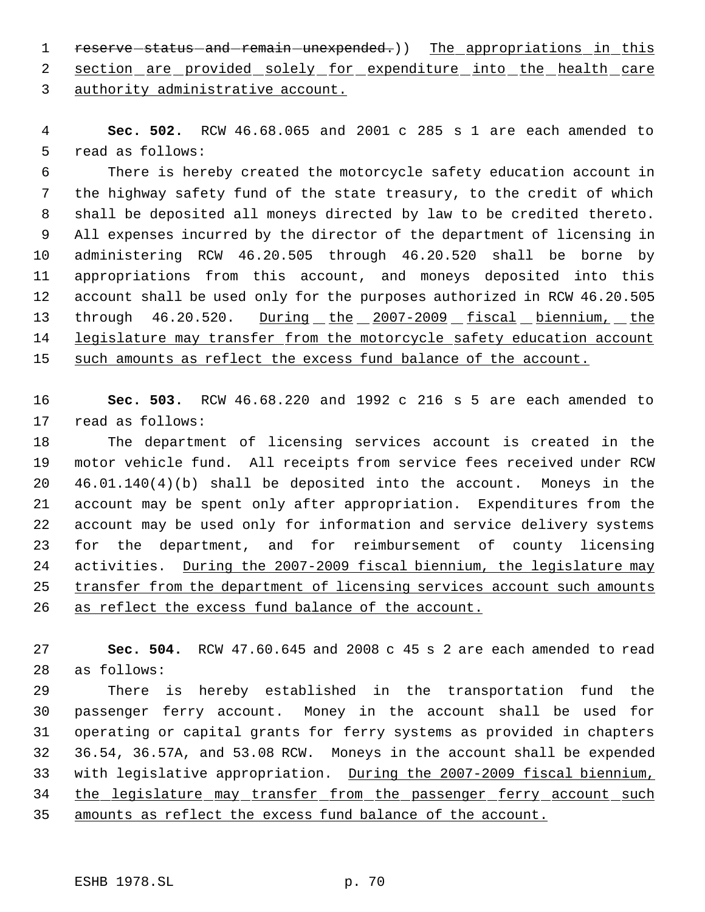1 reserve status and remain unexpended.) The appropriations in this

2 section are provided solely for expenditure into the health care authority administrative account.

 **Sec. 502.** RCW 46.68.065 and 2001 c 285 s 1 are each amended to read as follows:

 There is hereby created the motorcycle safety education account in the highway safety fund of the state treasury, to the credit of which shall be deposited all moneys directed by law to be credited thereto. All expenses incurred by the director of the department of licensing in administering RCW 46.20.505 through 46.20.520 shall be borne by appropriations from this account, and moneys deposited into this account shall be used only for the purposes authorized in RCW 46.20.505 through 46.20.520. During the 2007-2009 fiscal biennium, the 14 legislature may transfer from the motorcycle safety education account 15 such amounts as reflect the excess fund balance of the account.

 **Sec. 503.** RCW 46.68.220 and 1992 c 216 s 5 are each amended to read as follows:

 The department of licensing services account is created in the motor vehicle fund. All receipts from service fees received under RCW 46.01.140(4)(b) shall be deposited into the account. Moneys in the account may be spent only after appropriation. Expenditures from the account may be used only for information and service delivery systems for the department, and for reimbursement of county licensing activities. During the 2007-2009 fiscal biennium, the legislature may transfer from the department of licensing services account such amounts 26 as reflect the excess fund balance of the account.

 **Sec. 504.** RCW 47.60.645 and 2008 c 45 s 2 are each amended to read as follows:

 There is hereby established in the transportation fund the passenger ferry account. Money in the account shall be used for operating or capital grants for ferry systems as provided in chapters 36.54, 36.57A, and 53.08 RCW. Moneys in the account shall be expended with legislative appropriation. During the 2007-2009 fiscal biennium, 34 the legislature may transfer from the passenger ferry account such amounts as reflect the excess fund balance of the account.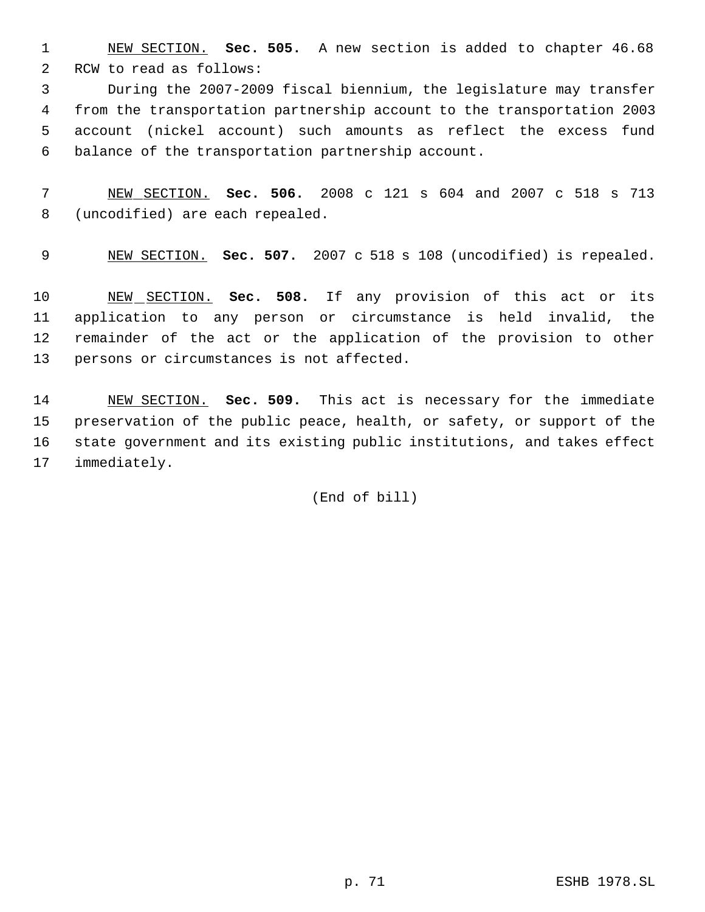NEW SECTION. **Sec. 505.** A new section is added to chapter 46.68 RCW to read as follows:

 During the 2007-2009 fiscal biennium, the legislature may transfer from the transportation partnership account to the transportation 2003 account (nickel account) such amounts as reflect the excess fund balance of the transportation partnership account.

 NEW SECTION. **Sec. 506.** 2008 c 121 s 604 and 2007 c 518 s 713 (uncodified) are each repealed.

NEW SECTION. **Sec. 507.** 2007 c 518 s 108 (uncodified) is repealed.

 NEW SECTION. **Sec. 508.** If any provision of this act or its application to any person or circumstance is held invalid, the remainder of the act or the application of the provision to other persons or circumstances is not affected.

 NEW SECTION. **Sec. 509.** This act is necessary for the immediate preservation of the public peace, health, or safety, or support of the state government and its existing public institutions, and takes effect immediately.

(End of bill)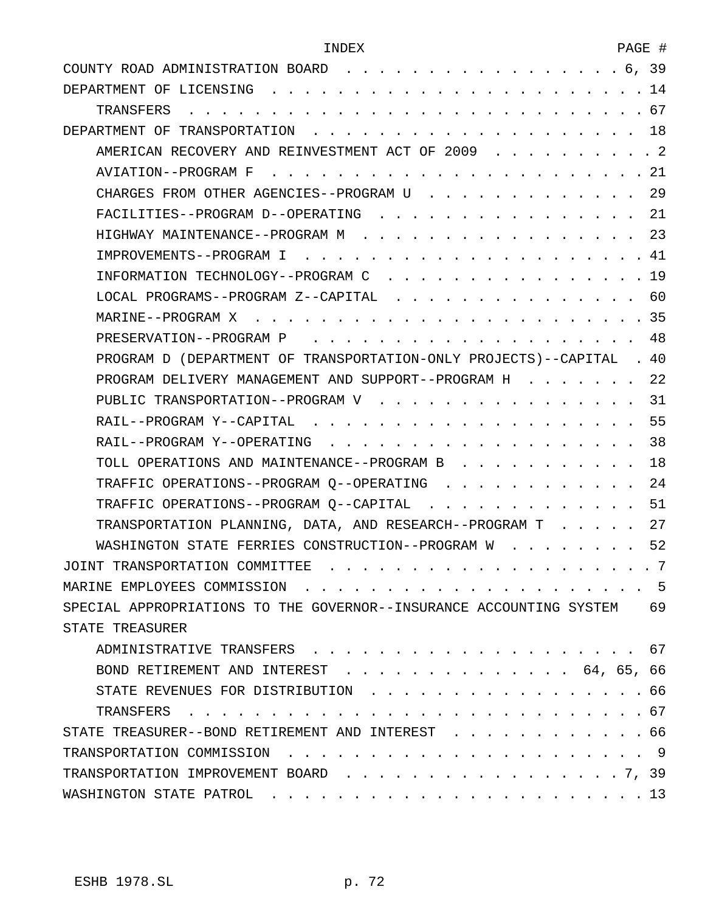| COUNTY ROAD ADMINISTRATION BOARD 6, 39                                 |
|------------------------------------------------------------------------|
|                                                                        |
|                                                                        |
|                                                                        |
| AMERICAN RECOVERY AND REINVESTMENT ACT OF 2009 2                       |
| AVIATION--PROGRAM F                                                    |
| CHARGES FROM OTHER AGENCIES--PROGRAM U 29                              |
| FACILITIES--PROGRAM D--OPERATING 21                                    |
| HIGHWAY MAINTENANCE--PROGRAM M 23                                      |
|                                                                        |
| INFORMATION TECHNOLOGY--PROGRAM C 19                                   |
| LOCAL PROGRAMS--PROGRAM Z--CAPITAL 60                                  |
|                                                                        |
| 48                                                                     |
| PROGRAM D (DEPARTMENT OF TRANSPORTATION-ONLY PROJECTS)--CAPITAL . 40   |
| 22<br>PROGRAM DELIVERY MANAGEMENT AND SUPPORT--PROGRAM H               |
| PUBLIC TRANSPORTATION--PROGRAM V 31                                    |
|                                                                        |
| RAIL--PROGRAM Y--OPERATING 38                                          |
| TOLL OPERATIONS AND MAINTENANCE--PROGRAM B 18                          |
| TRAFFIC OPERATIONS--PROGRAM Q--OPERATING 24                            |
| TRAFFIC OPERATIONS--PROGRAM Q--CAPITAL 51                              |
| TRANSPORTATION PLANNING, DATA, AND RESEARCH--PROGRAM T 27              |
| WASHINGTON STATE FERRIES CONSTRUCTION--PROGRAM W 52                    |
|                                                                        |
| MARINE EMPLOYEES COMMISSION<br>. 5                                     |
| SPECIAL APPROPRIATIONS TO THE GOVERNOR--INSURANCE ACCOUNTING SYSTEM 69 |
| STATE TREASURER                                                        |
|                                                                        |
| BOND RETIREMENT AND INTEREST 64, 65, 66                                |
| STATE REVENUES FOR DISTRIBUTION 66                                     |
|                                                                        |
| STATE TREASURER--BOND RETIREMENT AND INTEREST 66                       |
|                                                                        |
| TRANSPORTATION IMPROVEMENT BOARD 7, 39                                 |
|                                                                        |